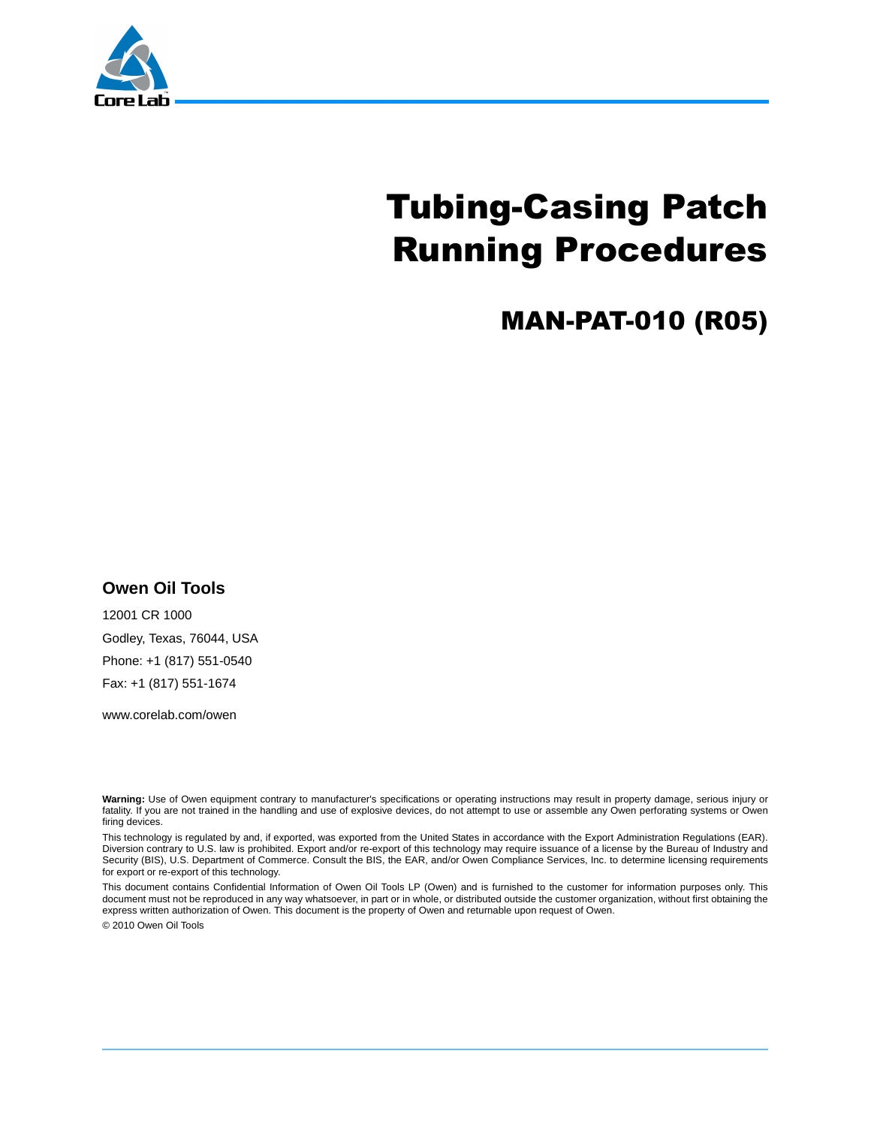

# Tubing-Casing Patch Running Procedures

# MAN-PAT-010 (R05)

#### **Owen Oil Tools**

12001 CR 1000 Godley, Texas, 76044, USA Phone: +1 (817) 551-0540 Fax: +1 (817) 551-1674

www.corelab.com/owen

This document contains Confidential Information of Owen Oil Tools LP (Owen) and is furnished to the customer for information purposes only. This document must not be reproduced in any way whatsoever, in part or in whole, or distributed outside the customer organization, without first obtaining the express written authorization of Owen. This document is the property of Owen and returnable upon request of Owen.

© 2010 Owen Oil Tools

**Warning:** Use of Owen equipment contrary to manufacturer's specifications or operating instructions may result in property damage, serious injury or fatality. If you are not trained in the handling and use of explosive devices, do not attempt to use or assemble any Owen perforating systems or Owen firing devices.

This technology is regulated by and, if exported, was exported from the United States in accordance with the Export Administration Regulations (EAR). Diversion contrary to U.S. law is prohibited. Export and/or re-export of this technology may require issuance of a license by the Bureau of Industry and Security (BIS), U.S. Department of Commerce. Consult the BIS, the EAR, and/or Owen Compliance Services, Inc. to determine licensing requirements for export or re-export of this technology.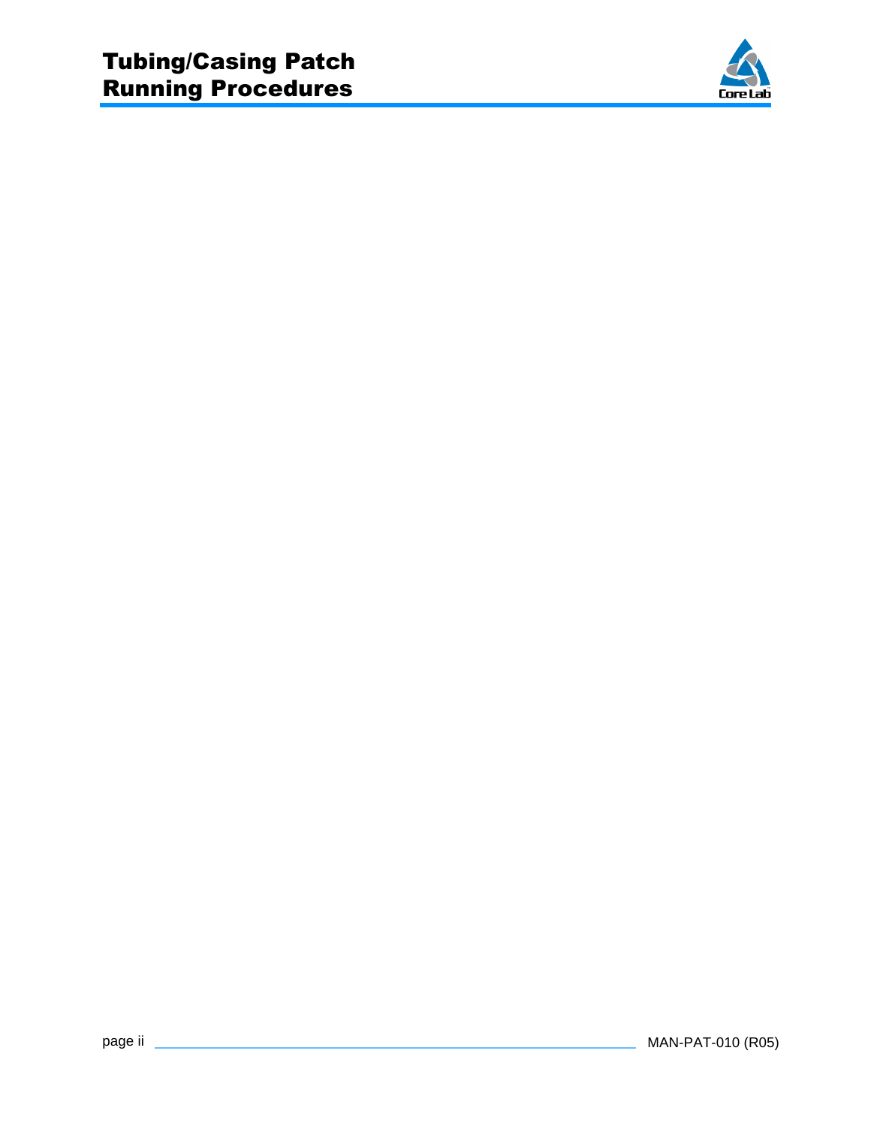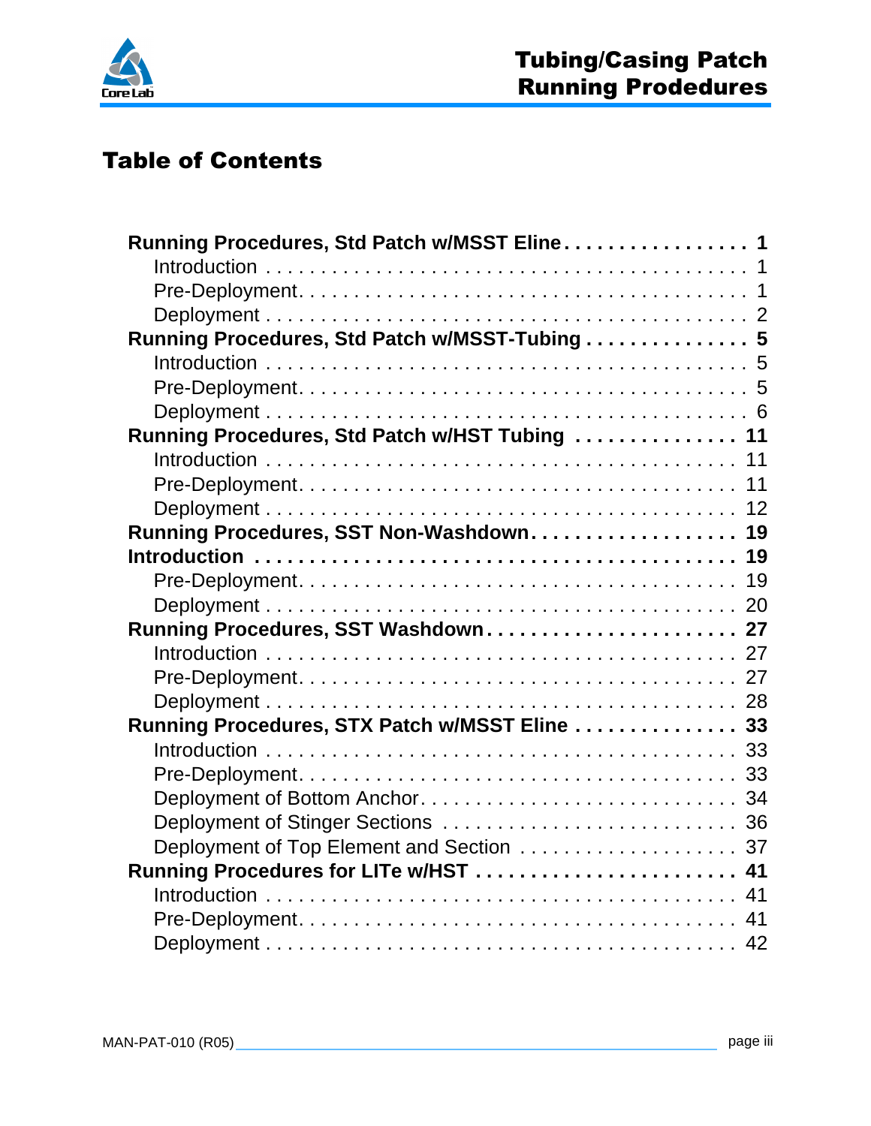

# Table of Contents

| Running Procedures, Std Patch w/MSST Eline 1   |
|------------------------------------------------|
|                                                |
|                                                |
|                                                |
| Running Procedures, Std Patch w/MSST-Tubing 5  |
|                                                |
|                                                |
|                                                |
| Running Procedures, Std Patch w/HST Tubing  11 |
|                                                |
|                                                |
|                                                |
| Running Procedures, SST Non-Washdown 19        |
|                                                |
|                                                |
|                                                |
| Running Procedures, SST Washdown 27            |
|                                                |
|                                                |
|                                                |
| Running Procedures, STX Patch w/MSST Eline  33 |
|                                                |
| 33                                             |
|                                                |
|                                                |
| Deployment of Top Element and Section  37      |
| Running Procedures for LITe w/HST<br>41        |
| 41                                             |
| 41                                             |
|                                                |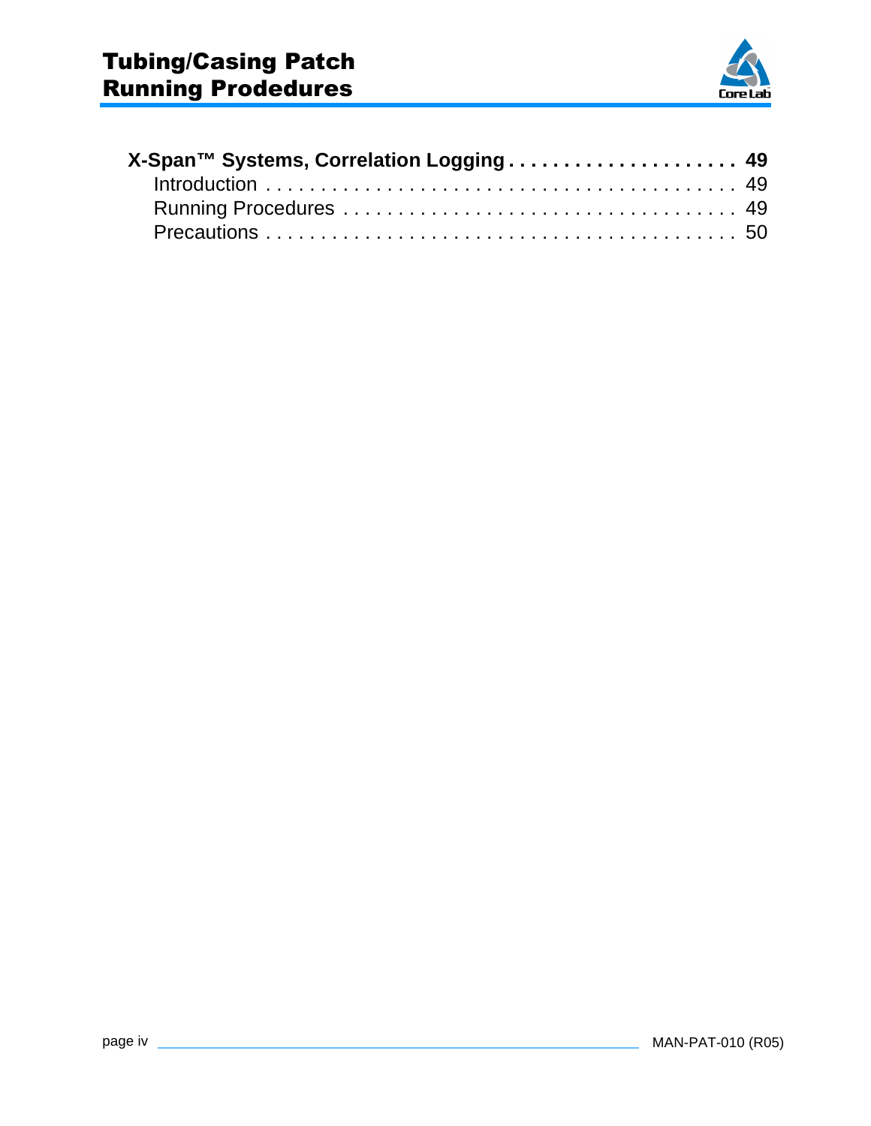

| X-Span™ Systems, Correlation Logging 49 |  |
|-----------------------------------------|--|
|                                         |  |
|                                         |  |
|                                         |  |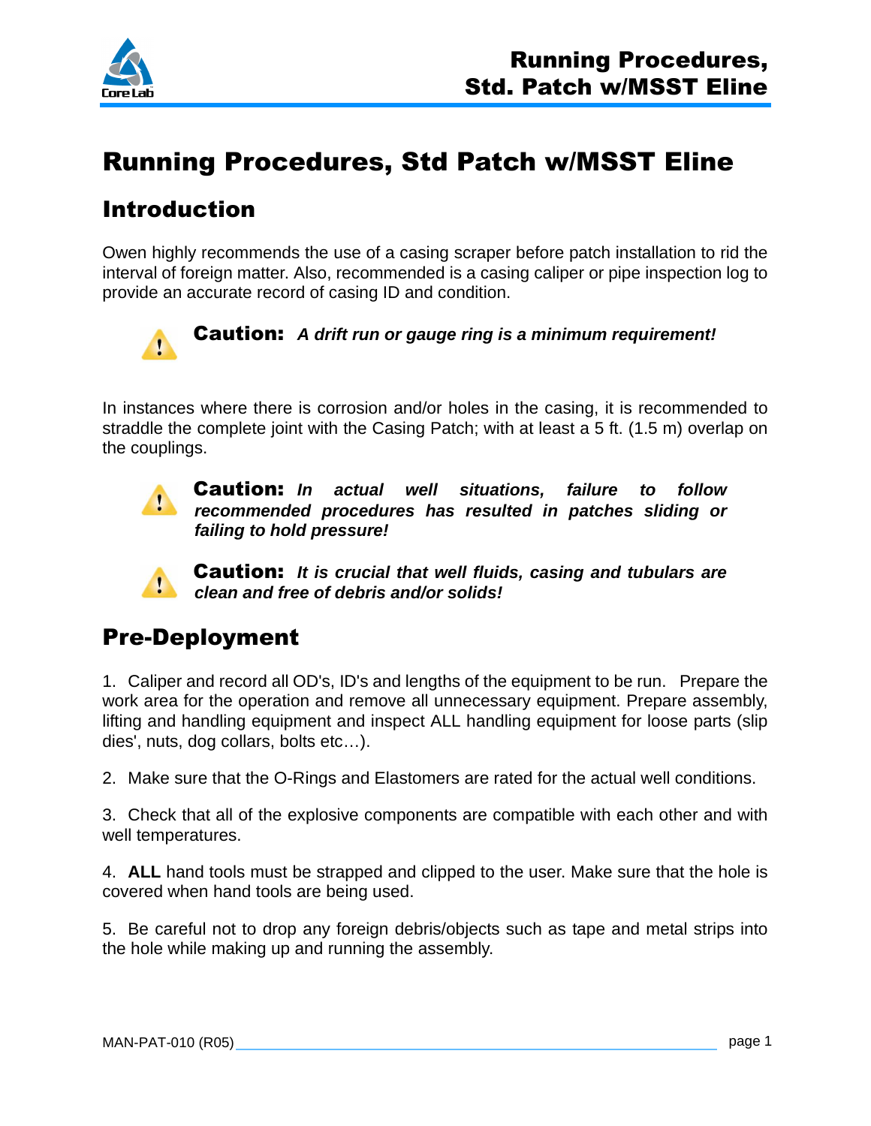

# Running Procedures, Std Patch w/MSST Eline

# Introduction

Owen highly recommends the use of a casing scraper before patch installation to rid the interval of foreign matter. Also, recommended is a casing caliper or pipe inspection log to provide an accurate record of casing ID and condition.



Caution: **A drift run or gauge ring is a minimum requirement!**

In instances where there is corrosion and/or holes in the casing, it is recommended to straddle the complete joint with the Casing Patch; with at least a 5 ft. (1.5 m) overlap on the couplings.



Caution: **In actual well situations, failure to follow recommended procedures has resulted in patches sliding or failing to hold pressure!**



Caution: **It is crucial that well fluids, casing and tubulars are clean and free of debris and/or solids!**

# Pre-Deployment

1. Caliper and record all OD's, ID's and lengths of the equipment to be run. Prepare the work area for the operation and remove all unnecessary equipment. Prepare assembly, lifting and handling equipment and inspect ALL handling equipment for loose parts (slip dies', nuts, dog collars, bolts etc…).

2. Make sure that the O-Rings and Elastomers are rated for the actual well conditions.

3. Check that all of the explosive components are compatible with each other and with well temperatures.

4. **ALL** hand tools must be strapped and clipped to the user. Make sure that the hole is covered when hand tools are being used.

5. Be careful not to drop any foreign debris/objects such as tape and metal strips into the hole while making up and running the assembly.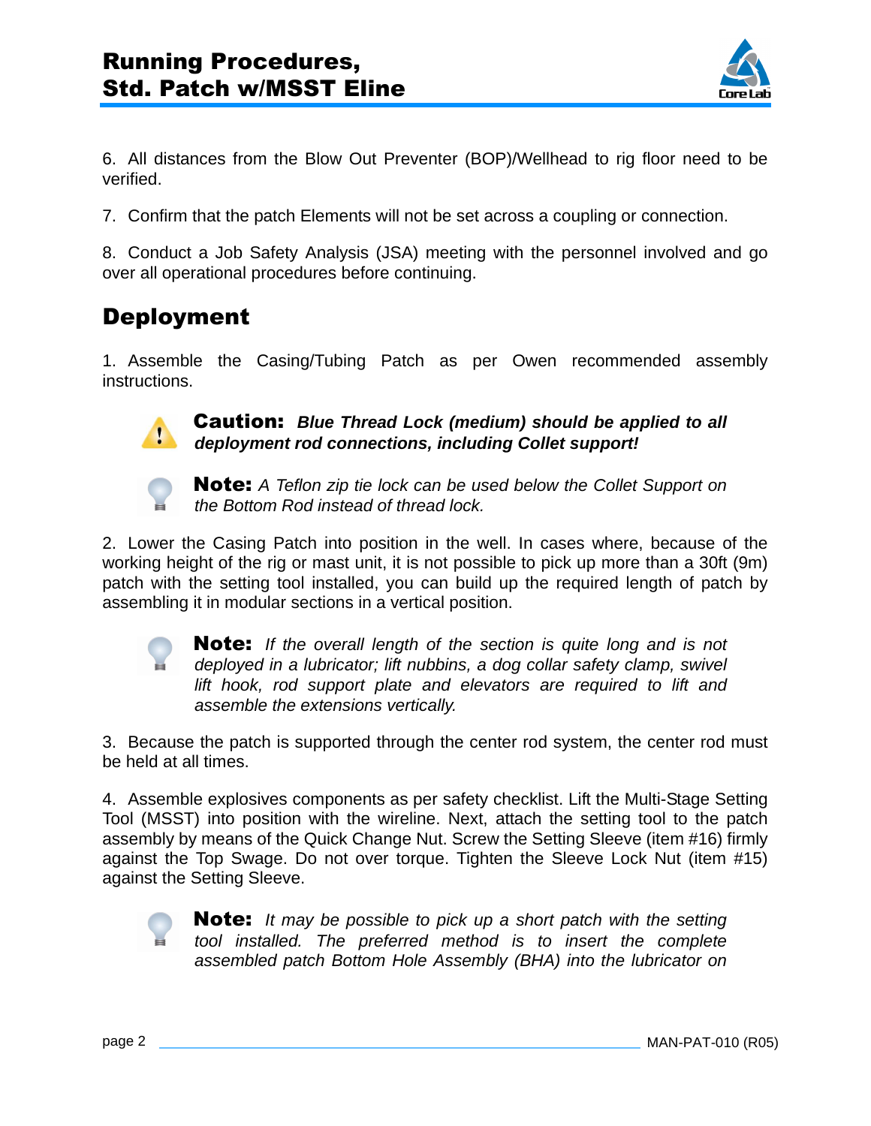

6. All distances from the Blow Out Preventer (BOP)/Wellhead to rig floor need to be verified.

7. Confirm that the patch Elements will not be set across a coupling or connection.

8. Conduct a Job Safety Analysis (JSA) meeting with the personnel involved and go over all operational procedures before continuing.

# Deployment

1. Assemble the Casing/Tubing Patch as per Owen recommended assembly instructions.



Caution: **Blue Thread Lock (medium) should be applied to all deployment rod connections, including Collet support!**



**Note:** A Teflon zip tie lock can be used below the Collet Support on the Bottom Rod instead of thread lock.

2. Lower the Casing Patch into position in the well. In cases where, because of the working height of the rig or mast unit, it is not possible to pick up more than a 30ft (9m) patch with the setting tool installed, you can build up the required length of patch by assembling it in modular sections in a vertical position.



**Note:** If the overall length of the section is quite long and is not deployed in a lubricator; lift nubbins, a dog collar safety clamp, swivel lift hook, rod support plate and elevators are required to lift and assemble the extensions vertically.

3. Because the patch is supported through the center rod system, the center rod must be held at all times.

4. Assemble explosives components as per safety checklist. Lift the Multi-Stage Setting Tool (MSST) into position with the wireline. Next, attach the setting tool to the patch assembly by means of the Quick Change Nut. Screw the Setting Sleeve (item #16) firmly against the Top Swage. Do not over torque. Tighten the Sleeve Lock Nut (item #15) against the Setting Sleeve.



**Note:** It may be possible to pick up a short patch with the setting tool installed. The preferred method is to insert the complete assembled patch Bottom Hole Assembly (BHA) into the lubricator on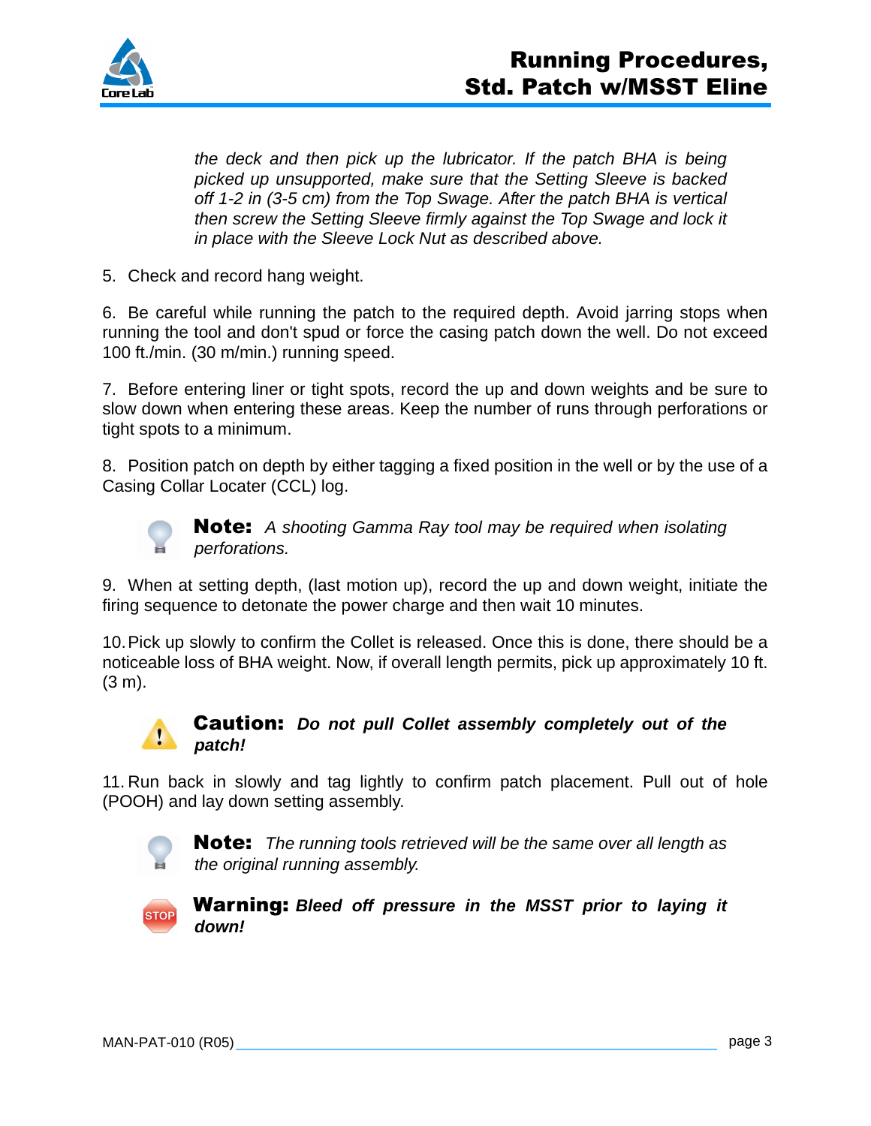

the deck and then pick up the lubricator. If the patch BHA is being picked up unsupported, make sure that the Setting Sleeve is backed off 1-2 in (3-5 cm) from the Top Swage. After the patch BHA is vertical then screw the Setting Sleeve firmly against the Top Swage and lock it in place with the Sleeve Lock Nut as described above.

5. Check and record hang weight.

6. Be careful while running the patch to the required depth. Avoid jarring stops when running the tool and don't spud or force the casing patch down the well. Do not exceed 100 ft./min. (30 m/min.) running speed.

7. Before entering liner or tight spots, record the up and down weights and be sure to slow down when entering these areas. Keep the number of runs through perforations or tight spots to a minimum.

8. Position patch on depth by either tagging a fixed position in the well or by the use of a Casing Collar Locater (CCL) log.



**Note:** A shooting Gamma Ray tool may be required when isolating perforations.

9. When at setting depth, (last motion up), record the up and down weight, initiate the firing sequence to detonate the power charge and then wait 10 minutes.

10.Pick up slowly to confirm the Collet is released. Once this is done, there should be a noticeable loss of BHA weight. Now, if overall length permits, pick up approximately 10 ft.  $(3 \, \text{m})$ .



### Caution: **Do not pull Collet assembly completely out of the patch!**

11. Run back in slowly and tag lightly to confirm patch placement. Pull out of hole (POOH) and lay down setting assembly.



**Note:** The running tools retrieved will be the same over all length as the original running assembly.



Warning: **Bleed off pressure in the MSST prior to laying it down!**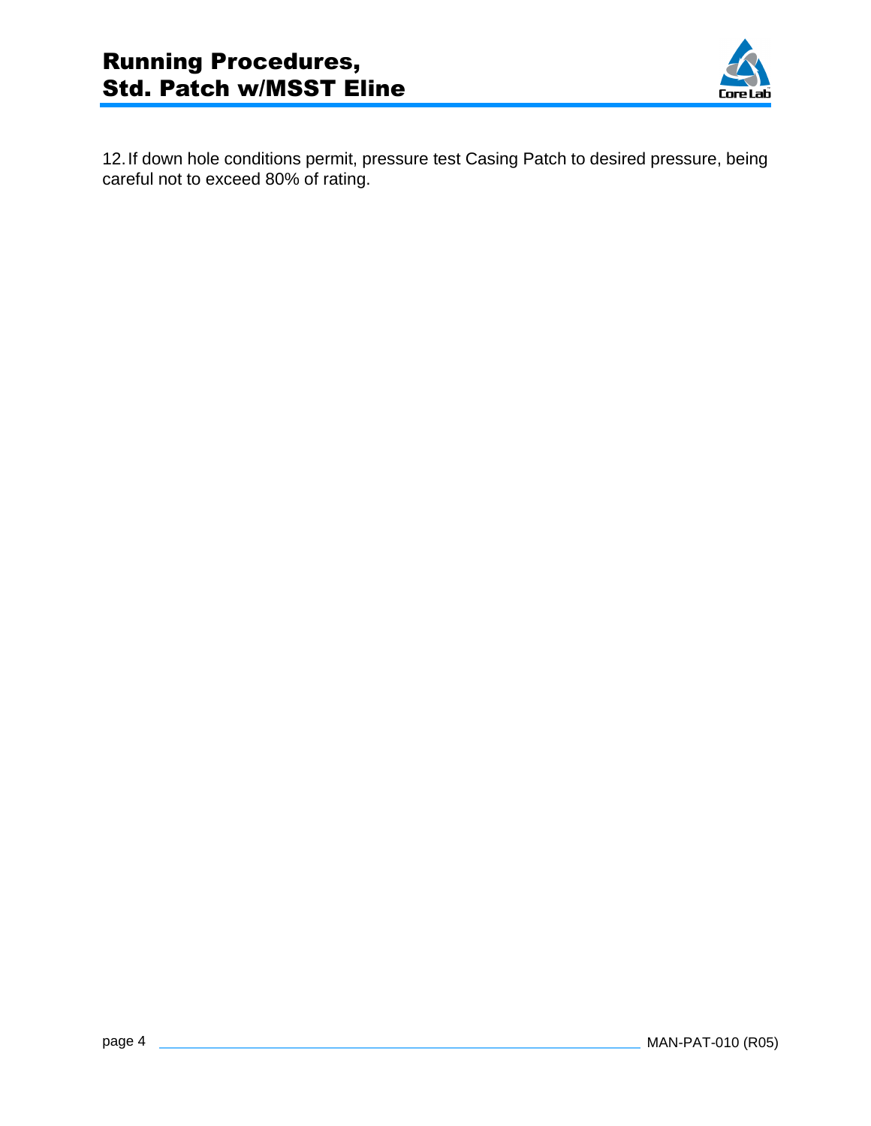

12.If down hole conditions permit, pressure test Casing Patch to desired pressure, being careful not to exceed 80% of rating.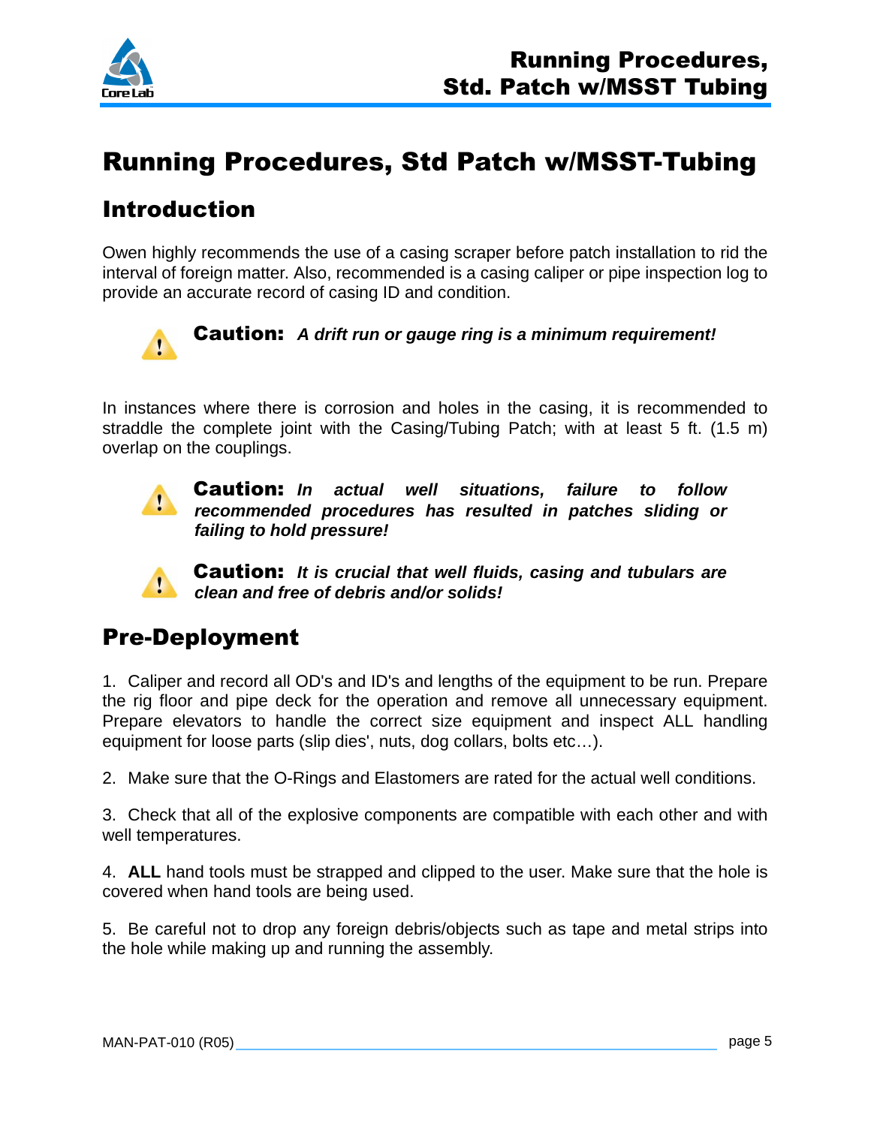

# Running Procedures, Std Patch w/MSST-Tubing

# Introduction

Owen highly recommends the use of a casing scraper before patch installation to rid the interval of foreign matter. Also, recommended is a casing caliper or pipe inspection log to provide an accurate record of casing ID and condition.



Caution: **A drift run or gauge ring is a minimum requirement!**

In instances where there is corrosion and holes in the casing, it is recommended to straddle the complete joint with the Casing/Tubing Patch; with at least 5 ft. (1.5 m) overlap on the couplings.



Caution: **In actual well situations, failure to follow recommended procedures has resulted in patches sliding or failing to hold pressure!**



Caution: **It is crucial that well fluids, casing and tubulars are clean and free of debris and/or solids!**

# Pre-Deployment

1. Caliper and record all OD's and ID's and lengths of the equipment to be run. Prepare the rig floor and pipe deck for the operation and remove all unnecessary equipment. Prepare elevators to handle the correct size equipment and inspect ALL handling equipment for loose parts (slip dies', nuts, dog collars, bolts etc…).

2. Make sure that the O-Rings and Elastomers are rated for the actual well conditions.

3. Check that all of the explosive components are compatible with each other and with well temperatures.

4. **ALL** hand tools must be strapped and clipped to the user. Make sure that the hole is covered when hand tools are being used.

5. Be careful not to drop any foreign debris/objects such as tape and metal strips into the hole while making up and running the assembly.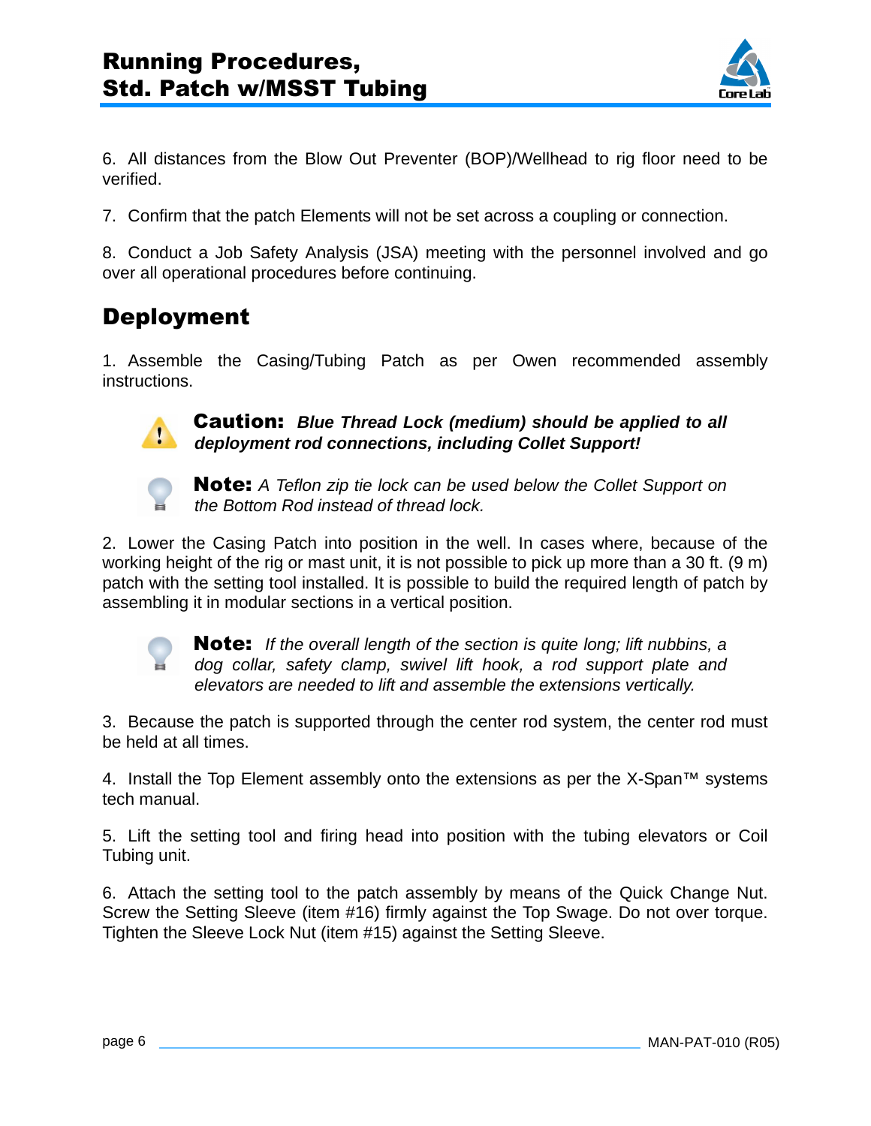

6. All distances from the Blow Out Preventer (BOP)/Wellhead to rig floor need to be verified.

7. Confirm that the patch Elements will not be set across a coupling or connection.

8. Conduct a Job Safety Analysis (JSA) meeting with the personnel involved and go over all operational procedures before continuing.

# Deployment

1. Assemble the Casing/Tubing Patch as per Owen recommended assembly instructions.



Caution: **Blue Thread Lock (medium) should be applied to all deployment rod connections, including Collet Support!**



**Note:** A Teflon zip tie lock can be used below the Collet Support on the Bottom Rod instead of thread lock.

2. Lower the Casing Patch into position in the well. In cases where, because of the working height of the rig or mast unit, it is not possible to pick up more than a 30 ft. (9 m) patch with the setting tool installed. It is possible to build the required length of patch by assembling it in modular sections in a vertical position.



**Note:** If the overall length of the section is quite long; lift nubbins, a dog collar, safety clamp, swivel lift hook, a rod support plate and elevators are needed to lift and assemble the extensions vertically.

3. Because the patch is supported through the center rod system, the center rod must be held at all times.

4. Install the Top Element assembly onto the extensions as per the X-Span™ systems tech manual.

5. Lift the setting tool and firing head into position with the tubing elevators or Coil Tubing unit.

6. Attach the setting tool to the patch assembly by means of the Quick Change Nut. Screw the Setting Sleeve (item #16) firmly against the Top Swage. Do not over torque. Tighten the Sleeve Lock Nut (item #15) against the Setting Sleeve.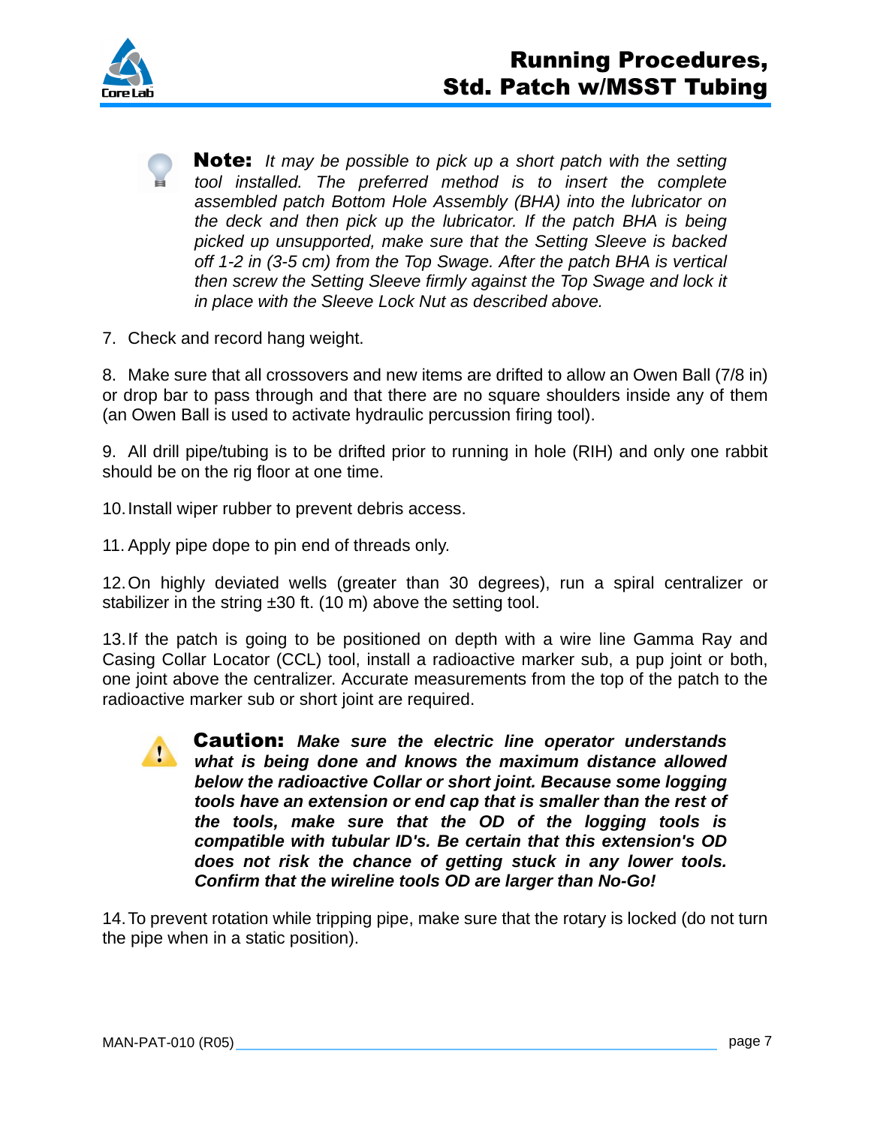

**Note:** It may be possible to pick up a short patch with the setting tool installed. The preferred method is to insert the complete assembled patch Bottom Hole Assembly (BHA) into the lubricator on the deck and then pick up the lubricator. If the patch BHA is being picked up unsupported, make sure that the Setting Sleeve is backed off 1-2 in (3-5 cm) from the Top Swage. After the patch BHA is vertical then screw the Setting Sleeve firmly against the Top Swage and lock it in place with the Sleeve Lock Nut as described above.

7. Check and record hang weight.

8. Make sure that all crossovers and new items are drifted to allow an Owen Ball (7/8 in) or drop bar to pass through and that there are no square shoulders inside any of them (an Owen Ball is used to activate hydraulic percussion firing tool).

9. All drill pipe/tubing is to be drifted prior to running in hole (RIH) and only one rabbit should be on the rig floor at one time.

10.Install wiper rubber to prevent debris access.

11. Apply pipe dope to pin end of threads only.

12.On highly deviated wells (greater than 30 degrees), run a spiral centralizer or stabilizer in the string  $\pm 30$  ft. (10 m) above the setting tool.

13.If the patch is going to be positioned on depth with a wire line Gamma Ray and Casing Collar Locator (CCL) tool, install a radioactive marker sub, a pup joint or both, one joint above the centralizer. Accurate measurements from the top of the patch to the radioactive marker sub or short joint are required.



Caution: **Make sure the electric line operator understands what is being done and knows the maximum distance allowed below the radioactive Collar or short joint. Because some logging tools have an extension or end cap that is smaller than the rest of the tools, make sure that the OD of the logging tools is compatible with tubular ID's. Be certain that this extension's OD does not risk the chance of getting stuck in any lower tools. Confirm that the wireline tools OD are larger than No-Go!**

14.To prevent rotation while tripping pipe, make sure that the rotary is locked (do not turn the pipe when in a static position).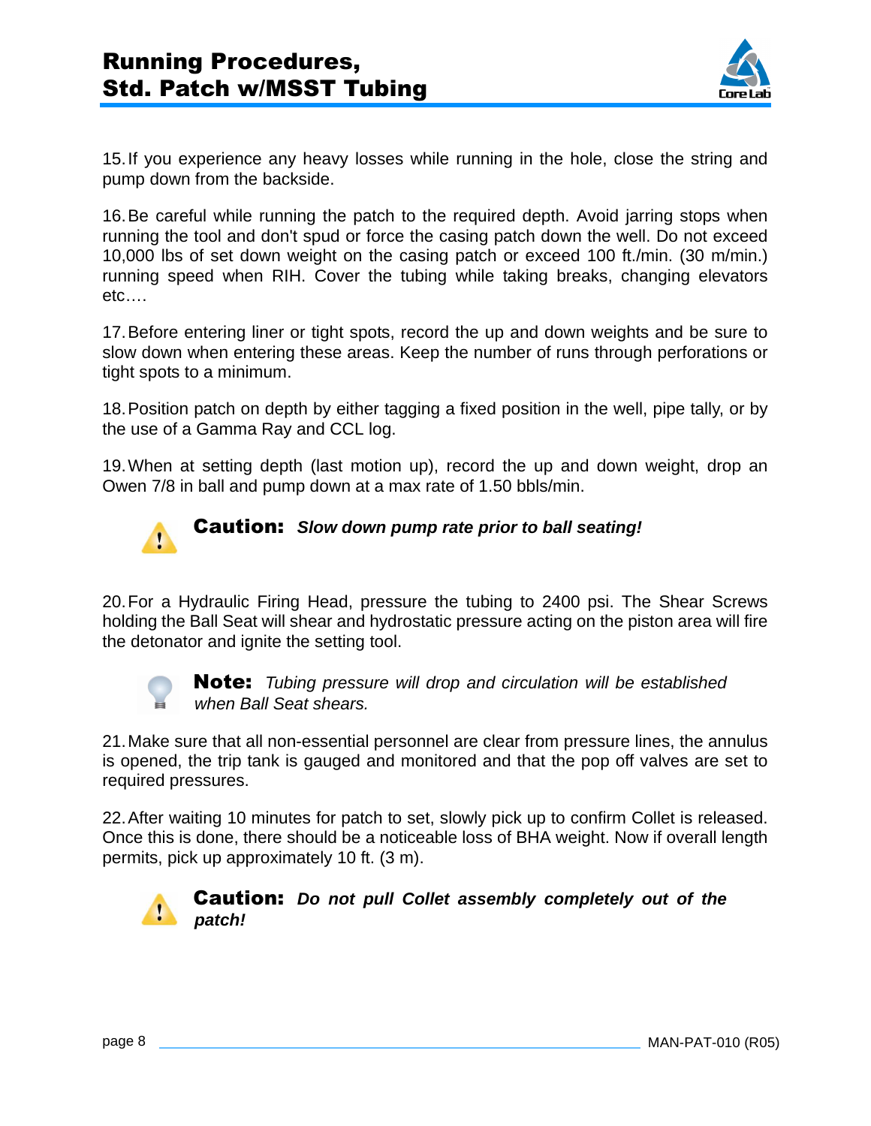

15.If you experience any heavy losses while running in the hole, close the string and pump down from the backside.

16.Be careful while running the patch to the required depth. Avoid jarring stops when running the tool and don't spud or force the casing patch down the well. Do not exceed 10,000 lbs of set down weight on the casing patch or exceed 100 ft./min. (30 m/min.) running speed when RIH. Cover the tubing while taking breaks, changing elevators etc….

17.Before entering liner or tight spots, record the up and down weights and be sure to slow down when entering these areas. Keep the number of runs through perforations or tight spots to a minimum.

18.Position patch on depth by either tagging a fixed position in the well, pipe tally, or by the use of a Gamma Ray and CCL log.

19.When at setting depth (last motion up), record the up and down weight, drop an Owen 7/8 in ball and pump down at a max rate of 1.50 bbls/min.



### Caution: **Slow down pump rate prior to ball seating!**

20.For a Hydraulic Firing Head, pressure the tubing to 2400 psi. The Shear Screws holding the Ball Seat will shear and hydrostatic pressure acting on the piston area will fire the detonator and ignite the setting tool.



**Note:** Tubing pressure will drop and circulation will be established when Ball Seat shears.

21.Make sure that all non-essential personnel are clear from pressure lines, the annulus is opened, the trip tank is gauged and monitored and that the pop off valves are set to required pressures.

22.After waiting 10 minutes for patch to set, slowly pick up to confirm Collet is released. Once this is done, there should be a noticeable loss of BHA weight. Now if overall length permits, pick up approximately 10 ft. (3 m).



Caution: **Do not pull Collet assembly completely out of the patch!**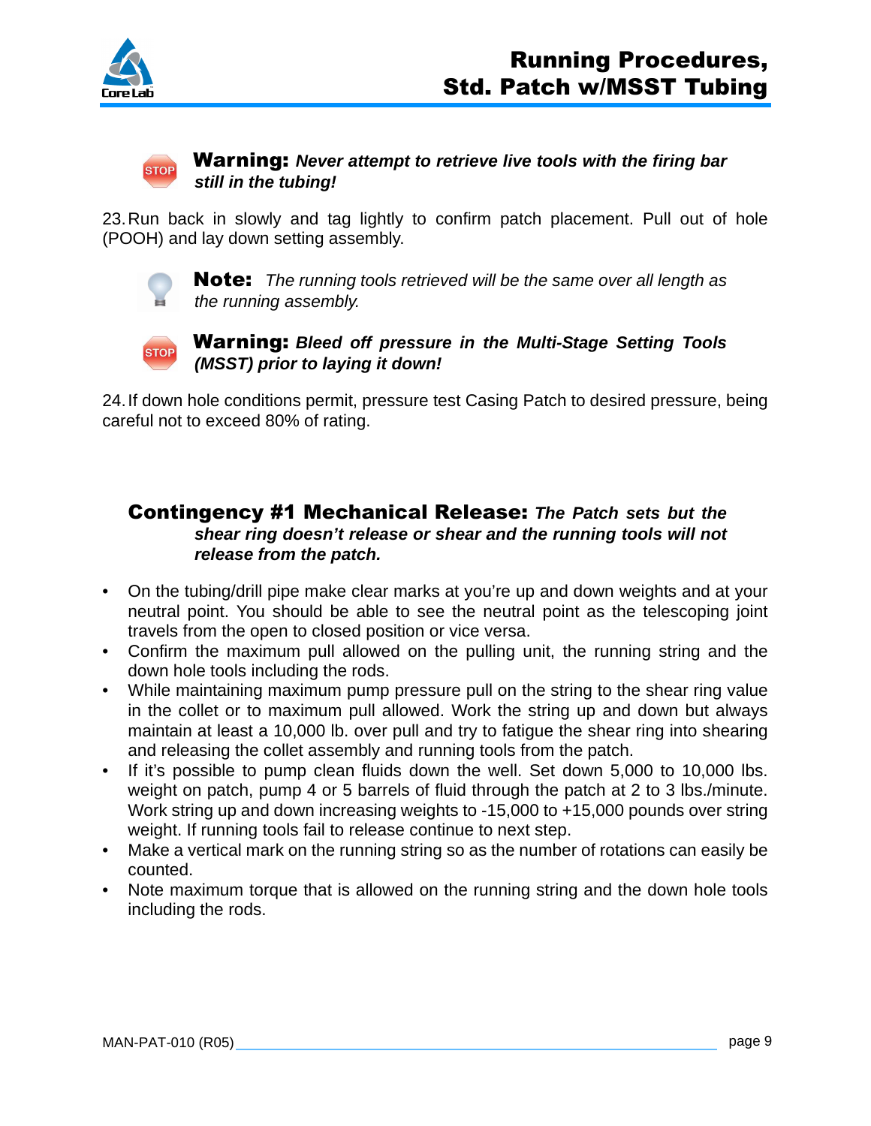



#### Warning: **Never attempt to retrieve live tools with the firing bar still in the tubing!**

23.Run back in slowly and tag lightly to confirm patch placement. Pull out of hole (POOH) and lay down setting assembly.



**Note:** The running tools retrieved will be the same over all length as the running assembly.



Warning: **Bleed off pressure in the Multi-Stage Setting Tools (MSST) prior to laying it down!**

24.If down hole conditions permit, pressure test Casing Patch to desired pressure, being careful not to exceed 80% of rating.

### Contingency #1 Mechanical Release: **The Patch sets but the shear ring doesn't release or shear and the running tools will not release from the patch.**

- On the tubing/drill pipe make clear marks at you're up and down weights and at your neutral point. You should be able to see the neutral point as the telescoping joint travels from the open to closed position or vice versa.
- Confirm the maximum pull allowed on the pulling unit, the running string and the down hole tools including the rods.
- While maintaining maximum pump pressure pull on the string to the shear ring value in the collet or to maximum pull allowed. Work the string up and down but always maintain at least a 10,000 lb. over pull and try to fatigue the shear ring into shearing and releasing the collet assembly and running tools from the patch.
- If it's possible to pump clean fluids down the well. Set down 5,000 to 10,000 lbs. weight on patch, pump 4 or 5 barrels of fluid through the patch at 2 to 3 lbs./minute. Work string up and down increasing weights to -15,000 to +15,000 pounds over string weight. If running tools fail to release continue to next step.
- Make a vertical mark on the running string so as the number of rotations can easily be counted.
- Note maximum torque that is allowed on the running string and the down hole tools including the rods.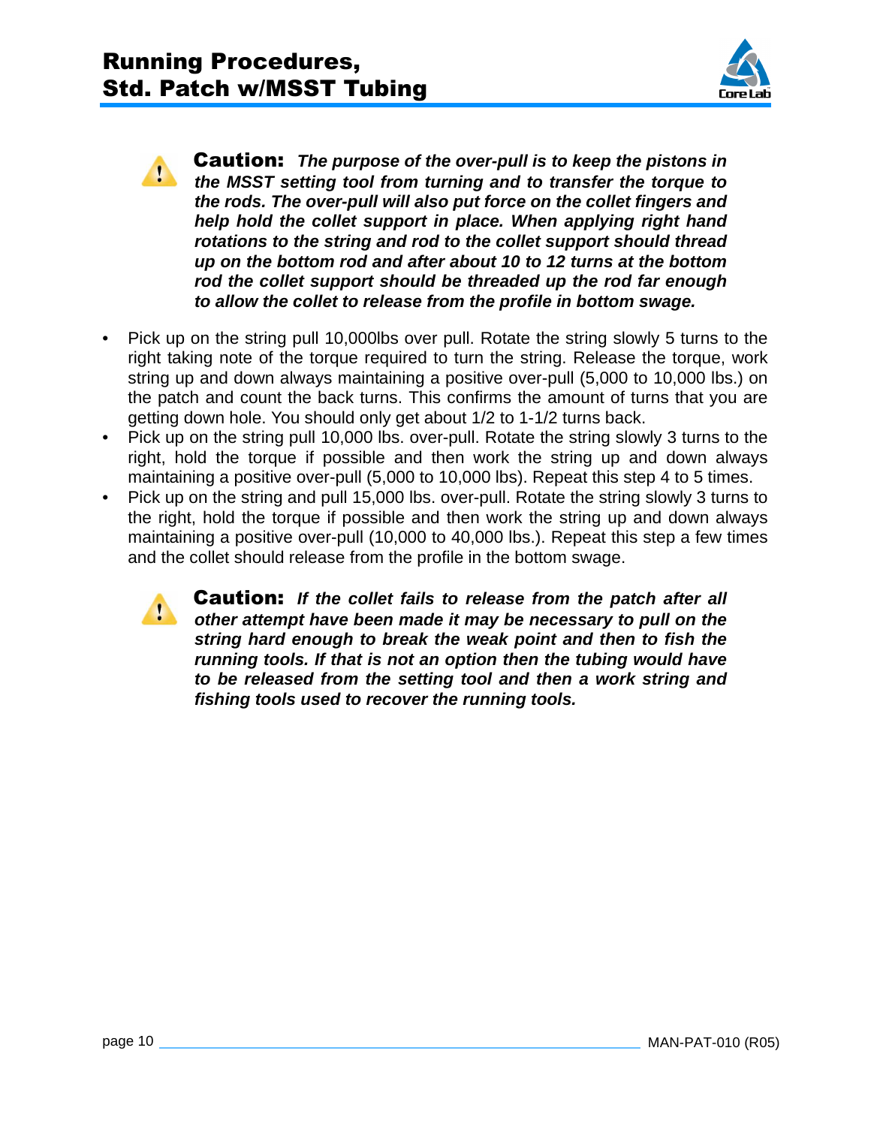



Caution: **The purpose of the over-pull is to keep the pistons in the MSST setting tool from turning and to transfer the torque to the rods. The over-pull will also put force on the collet fingers and help hold the collet support in place. When applying right hand rotations to the string and rod to the collet support should thread up on the bottom rod and after about 10 to 12 turns at the bottom rod the collet support should be threaded up the rod far enough to allow the collet to release from the profile in bottom swage.** 

- Pick up on the string pull 10,000lbs over pull. Rotate the string slowly 5 turns to the right taking note of the torque required to turn the string. Release the torque, work string up and down always maintaining a positive over-pull (5,000 to 10,000 lbs.) on the patch and count the back turns. This confirms the amount of turns that you are getting down hole. You should only get about 1/2 to 1-1/2 turns back.
- Pick up on the string pull 10,000 lbs. over-pull. Rotate the string slowly 3 turns to the right, hold the torque if possible and then work the string up and down always maintaining a positive over-pull (5,000 to 10,000 lbs). Repeat this step 4 to 5 times.
- Pick up on the string and pull 15,000 lbs. over-pull. Rotate the string slowly 3 turns to the right, hold the torque if possible and then work the string up and down always maintaining a positive over-pull (10,000 to 40,000 lbs.). Repeat this step a few times and the collet should release from the profile in the bottom swage.



Caution: **If the collet fails to release from the patch after all other attempt have been made it may be necessary to pull on the string hard enough to break the weak point and then to fish the running tools. If that is not an option then the tubing would have to be released from the setting tool and then a work string and fishing tools used to recover the running tools.**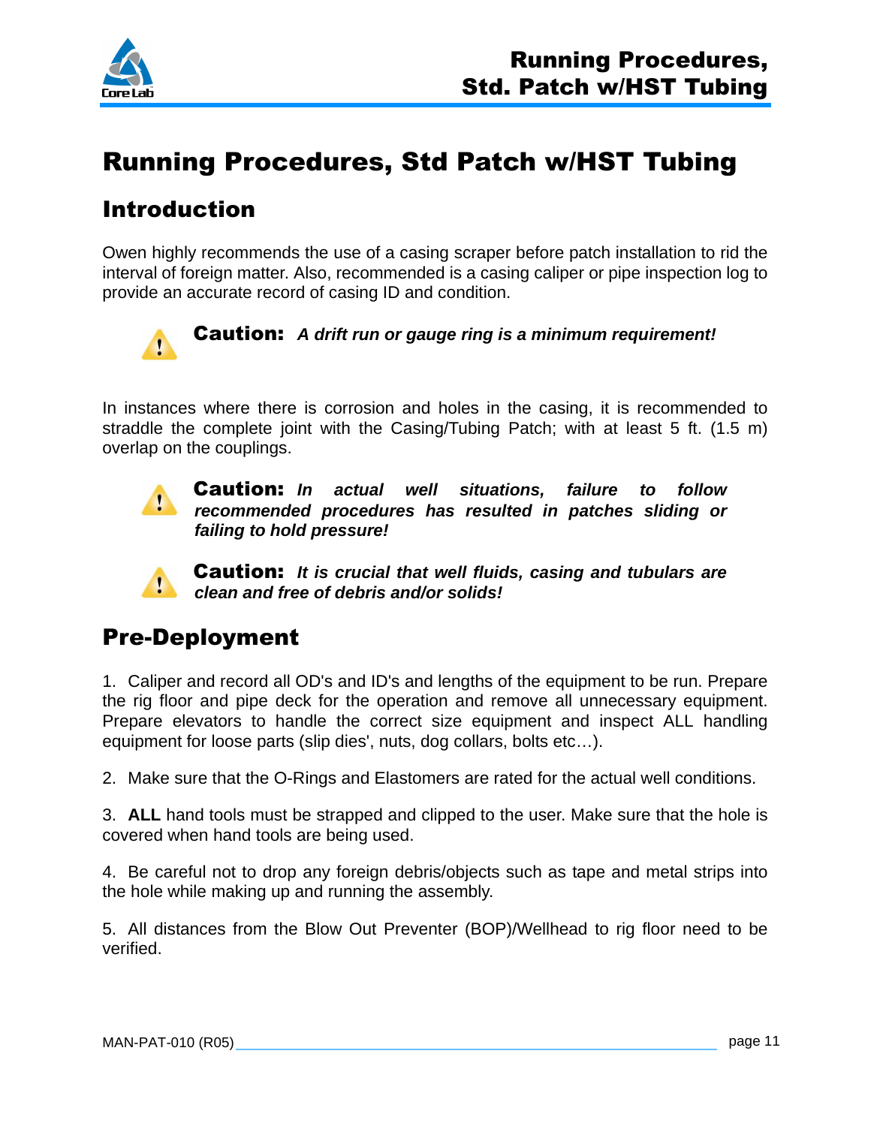

# Running Procedures, Std Patch w/HST Tubing

# Introduction

Owen highly recommends the use of a casing scraper before patch installation to rid the interval of foreign matter. Also, recommended is a casing caliper or pipe inspection log to provide an accurate record of casing ID and condition.



Caution: **A drift run or gauge ring is a minimum requirement!**

In instances where there is corrosion and holes in the casing, it is recommended to straddle the complete joint with the Casing/Tubing Patch; with at least 5 ft. (1.5 m) overlap on the couplings.



Caution: **In actual well situations, failure to follow recommended procedures has resulted in patches sliding or failing to hold pressure!**



Caution: **It is crucial that well fluids, casing and tubulars are clean and free of debris and/or solids!**

# Pre-Deployment

1. Caliper and record all OD's and ID's and lengths of the equipment to be run. Prepare the rig floor and pipe deck for the operation and remove all unnecessary equipment. Prepare elevators to handle the correct size equipment and inspect ALL handling equipment for loose parts (slip dies', nuts, dog collars, bolts etc…).

2. Make sure that the O-Rings and Elastomers are rated for the actual well conditions.

3. **ALL** hand tools must be strapped and clipped to the user. Make sure that the hole is covered when hand tools are being used.

4. Be careful not to drop any foreign debris/objects such as tape and metal strips into the hole while making up and running the assembly.

5. All distances from the Blow Out Preventer (BOP)/Wellhead to rig floor need to be verified.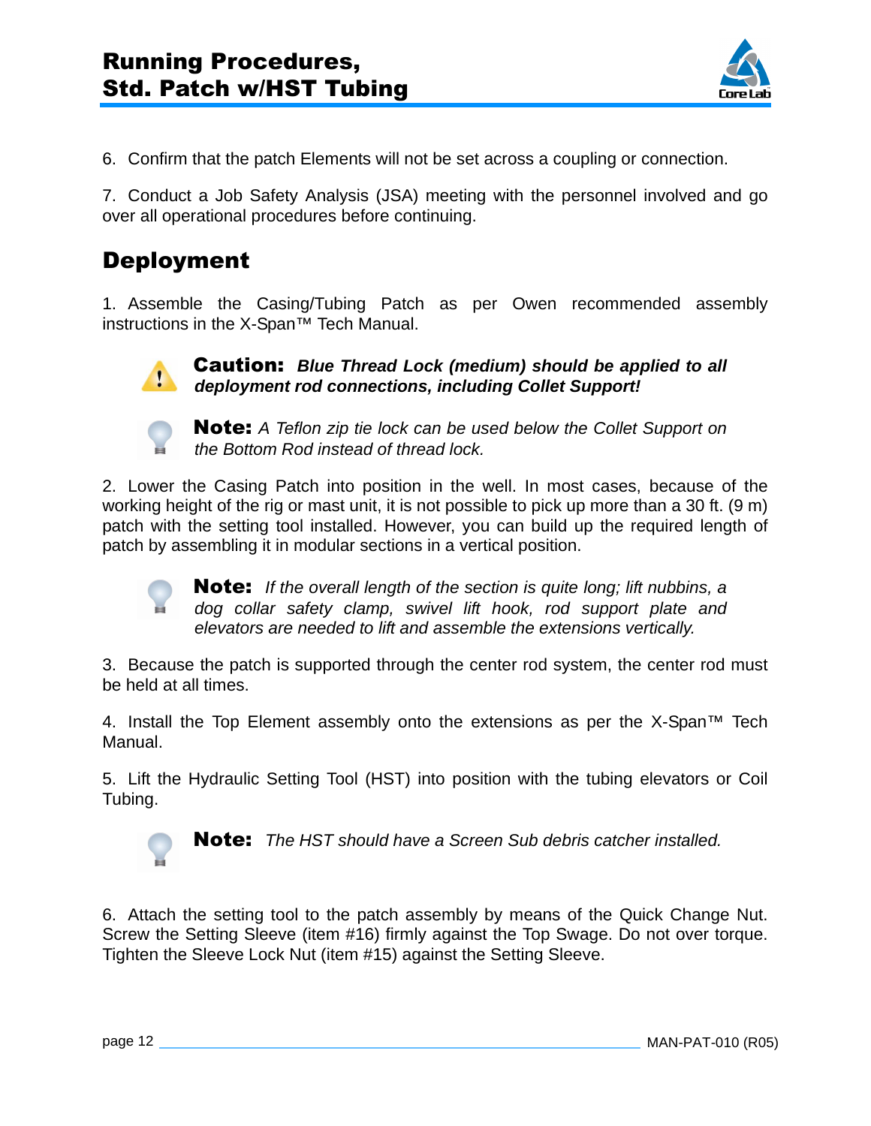

6. Confirm that the patch Elements will not be set across a coupling or connection.

7. Conduct a Job Safety Analysis (JSA) meeting with the personnel involved and go over all operational procedures before continuing.

### Deployment

1. Assemble the Casing/Tubing Patch as per Owen recommended assembly instructions in the X-Span™ Tech Manual.



Caution: **Blue Thread Lock (medium) should be applied to all deployment rod connections, including Collet Support!** 



**Note:** A Teflon zip tie lock can be used below the Collet Support on the Bottom Rod instead of thread lock.

2. Lower the Casing Patch into position in the well. In most cases, because of the working height of the rig or mast unit, it is not possible to pick up more than a 30 ft. (9 m) patch with the setting tool installed. However, you can build up the required length of patch by assembling it in modular sections in a vertical position.



**Note:** If the overall length of the section is quite long; lift nubbins, a dog collar safety clamp, swivel lift hook, rod support plate and elevators are needed to lift and assemble the extensions vertically.

3. Because the patch is supported through the center rod system, the center rod must be held at all times.

4. Install the Top Element assembly onto the extensions as per the X-Span™ Tech Manual.

5. Lift the Hydraulic Setting Tool (HST) into position with the tubing elevators or Coil Tubing.



Note: The HST should have a Screen Sub debris catcher installed.

6. Attach the setting tool to the patch assembly by means of the Quick Change Nut. Screw the Setting Sleeve (item #16) firmly against the Top Swage. Do not over torque. Tighten the Sleeve Lock Nut (item #15) against the Setting Sleeve.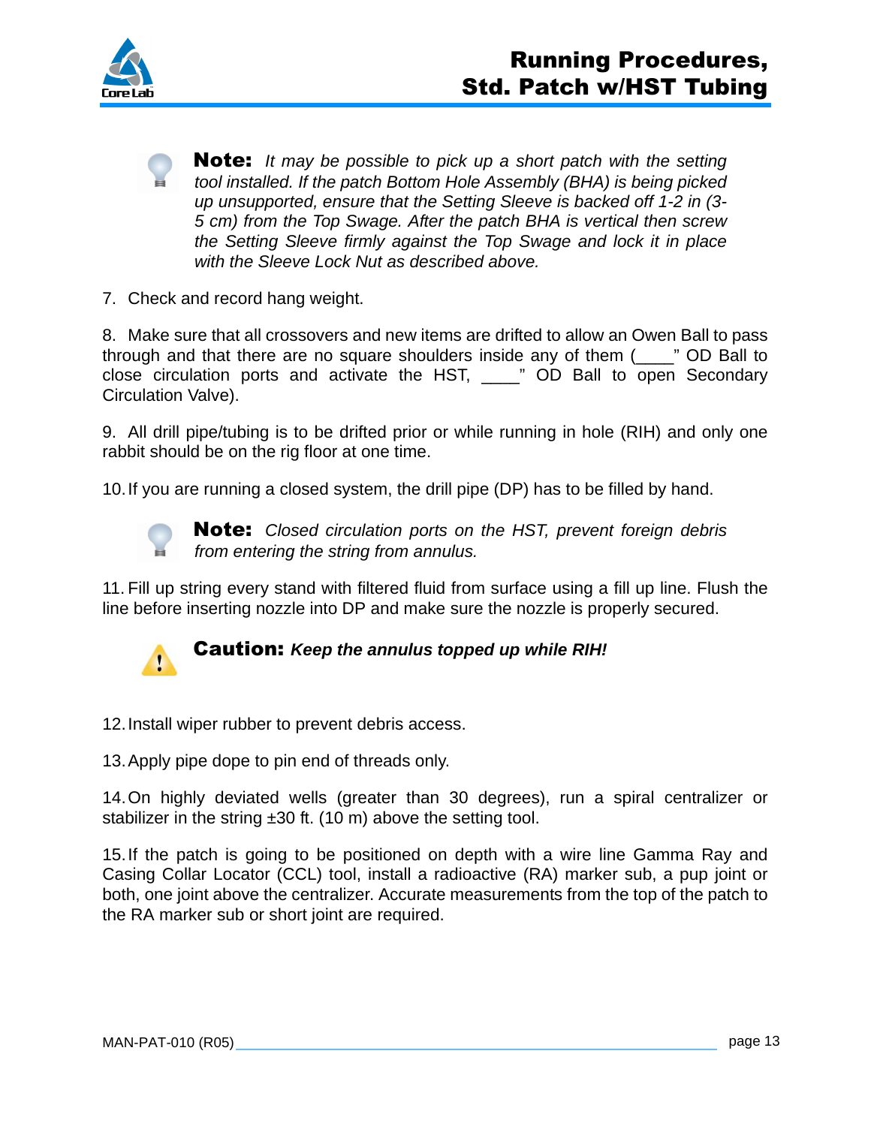

**Note:** It may be possible to pick up a short patch with the setting tool installed. If the patch Bottom Hole Assembly (BHA) is being picked up unsupported, ensure that the Setting Sleeve is backed off 1-2 in (3- 5 cm) from the Top Swage. After the patch BHA is vertical then screw the Setting Sleeve firmly against the Top Swage and lock it in place with the Sleeve Lock Nut as described above.

7. Check and record hang weight.

8. Make sure that all crossovers and new items are drifted to allow an Owen Ball to pass through and that there are no square shoulders inside any of them (\_\_\_\_" OD Ball to close circulation ports and activate the HST, \_\_\_\_" OD Ball to open Secondary Circulation Valve).

9. All drill pipe/tubing is to be drifted prior or while running in hole (RIH) and only one rabbit should be on the rig floor at one time.

10.If you are running a closed system, the drill pipe (DP) has to be filled by hand.



**Note:** Closed circulation ports on the HST, prevent foreign debris from entering the string from annulus.

11. Fill up string every stand with filtered fluid from surface using a fill up line. Flush the line before inserting nozzle into DP and make sure the nozzle is properly secured.



Caution: **Keep the annulus topped up while RIH!**

12.Install wiper rubber to prevent debris access.

13.Apply pipe dope to pin end of threads only.

14.On highly deviated wells (greater than 30 degrees), run a spiral centralizer or stabilizer in the string ±30 ft. (10 m) above the setting tool.

15.If the patch is going to be positioned on depth with a wire line Gamma Ray and Casing Collar Locator (CCL) tool, install a radioactive (RA) marker sub, a pup joint or both, one joint above the centralizer. Accurate measurements from the top of the patch to the RA marker sub or short joint are required.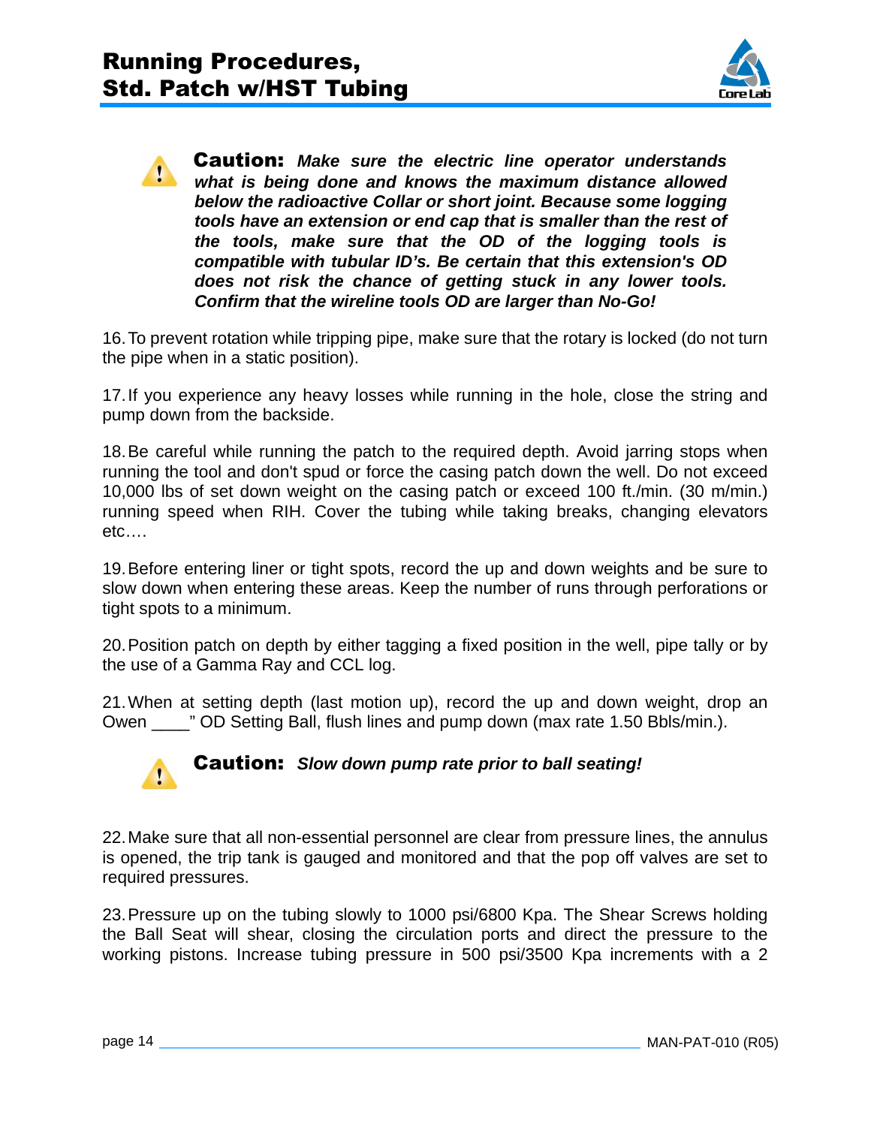

Caution: **Make sure the electric line operator understands**  $\blacksquare$ **what is being done and knows the maximum distance allowed below the radioactive Collar or short joint. Because some logging tools have an extension or end cap that is smaller than the rest of the tools, make sure that the OD of the logging tools is compatible with tubular ID's. Be certain that this extension's OD does not risk the chance of getting stuck in any lower tools. Confirm that the wireline tools OD are larger than No-Go!**

16.To prevent rotation while tripping pipe, make sure that the rotary is locked (do not turn the pipe when in a static position).

17.If you experience any heavy losses while running in the hole, close the string and pump down from the backside.

18.Be careful while running the patch to the required depth. Avoid jarring stops when running the tool and don't spud or force the casing patch down the well. Do not exceed 10,000 lbs of set down weight on the casing patch or exceed 100 ft./min. (30 m/min.) running speed when RIH. Cover the tubing while taking breaks, changing elevators etc….

19.Before entering liner or tight spots, record the up and down weights and be sure to slow down when entering these areas. Keep the number of runs through perforations or tight spots to a minimum.

20.Position patch on depth by either tagging a fixed position in the well, pipe tally or by the use of a Gamma Ray and CCL log.

21.When at setting depth (last motion up), record the up and down weight, drop an Owen \_\_\_\_" OD Setting Ball, flush lines and pump down (max rate 1.50 Bbls/min.).



### Caution: **Slow down pump rate prior to ball seating!**

22.Make sure that all non-essential personnel are clear from pressure lines, the annulus is opened, the trip tank is gauged and monitored and that the pop off valves are set to required pressures.

23.Pressure up on the tubing slowly to 1000 psi/6800 Kpa. The Shear Screws holding the Ball Seat will shear, closing the circulation ports and direct the pressure to the working pistons. Increase tubing pressure in 500 psi/3500 Kpa increments with a 2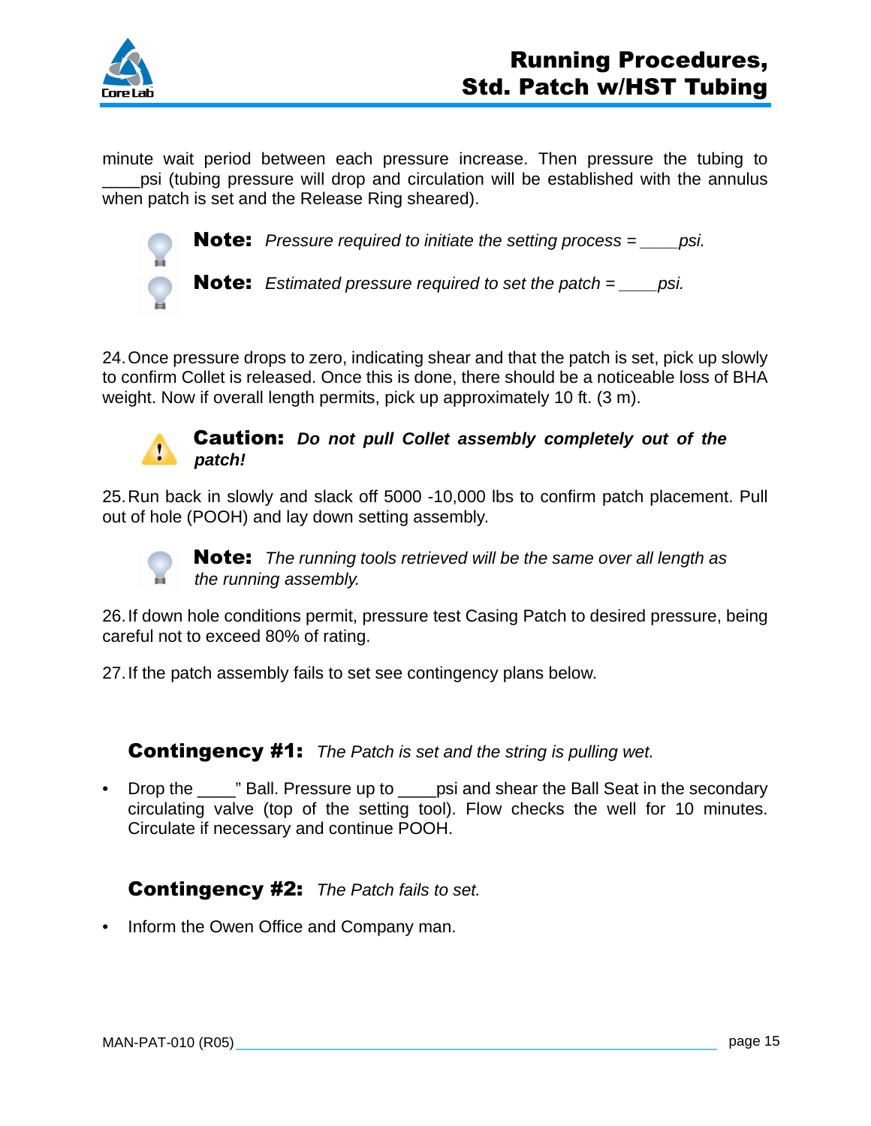

minute wait period between each pressure increase. Then pressure the tubing to psi (tubing pressure will drop and circulation will be established with the annulus when patch is set and the Release Ring sheared).



24.Once pressure drops to zero, indicating shear and that the patch is set, pick up slowly to confirm Collet is released. Once this is done, there should be a noticeable loss of BHA weight. Now if overall length permits, pick up approximately 10 ft. (3 m).



### Caution: **Do not pull Collet assembly completely out of the patch!**

25.Run back in slowly and slack off 5000 -10,000 lbs to confirm patch placement. Pull out of hole (POOH) and lay down setting assembly.



**Note:** The running tools retrieved will be the same over all length as the running assembly.

26.If down hole conditions permit, pressure test Casing Patch to desired pressure, being careful not to exceed 80% of rating.

27.If the patch assembly fails to set see contingency plans below.

#### **Contingency #1:** The Patch is set and the string is pulling wet.

• Drop the \_\_\_\_" Ball. Pressure up to \_\_\_\_psi and shear the Ball Seat in the secondary circulating valve (top of the setting tool). Flow checks the well for 10 minutes. Circulate if necessary and continue POOH.

### Contingency #2: The Patch fails to set.

• Inform the Owen Office and Company man.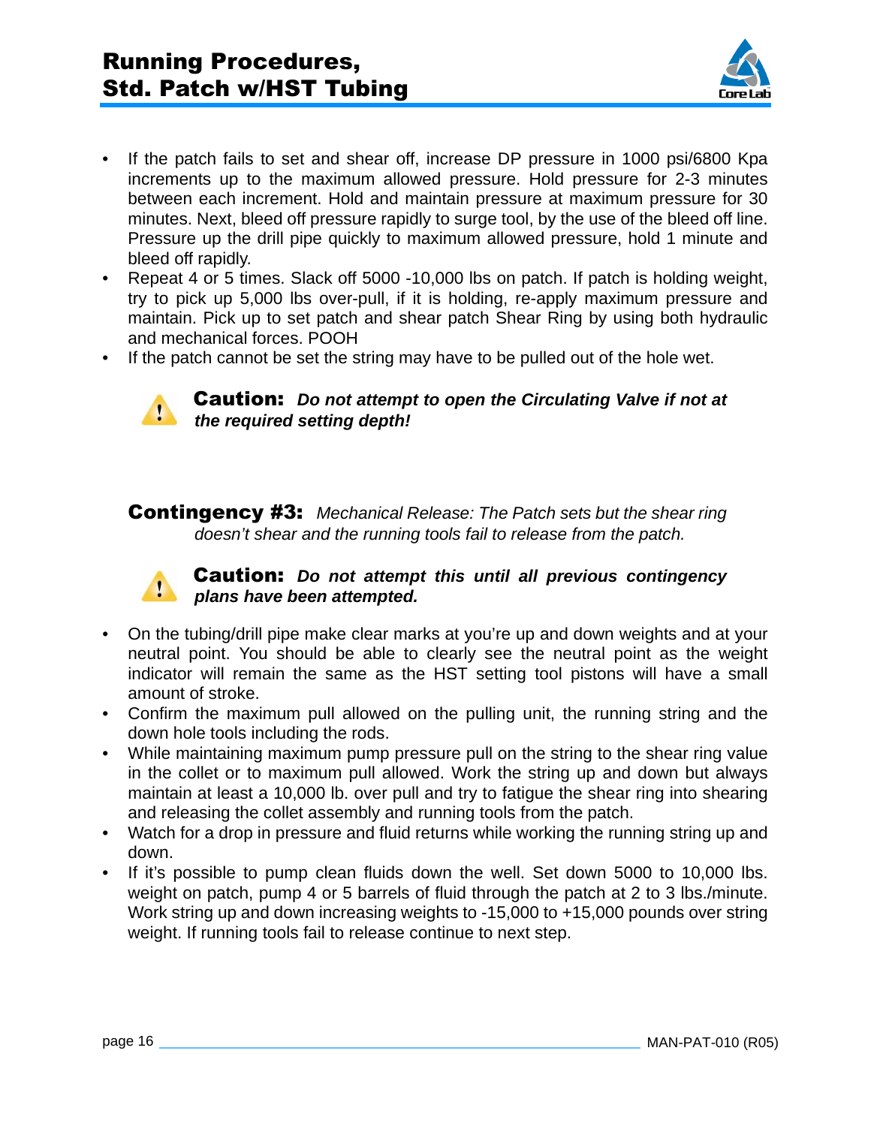

- If the patch fails to set and shear off, increase DP pressure in 1000 psi/6800 Kpa increments up to the maximum allowed pressure. Hold pressure for 2-3 minutes between each increment. Hold and maintain pressure at maximum pressure for 30 minutes. Next, bleed off pressure rapidly to surge tool, by the use of the bleed off line. Pressure up the drill pipe quickly to maximum allowed pressure, hold 1 minute and bleed off rapidly.
- Repeat 4 or 5 times. Slack off 5000 -10,000 lbs on patch. If patch is holding weight, try to pick up 5,000 lbs over-pull, if it is holding, re-apply maximum pressure and maintain. Pick up to set patch and shear patch Shear Ring by using both hydraulic and mechanical forces. POOH
- If the patch cannot be set the string may have to be pulled out of the hole wet.



### Caution: **Do not attempt to open the Circulating Valve if not at the required setting depth!**

**Contingency #3:** Mechanical Release: The Patch sets but the shear ring doesn't shear and the running tools fail to release from the patch.



### Caution: **Do not attempt this until all previous contingency plans have been attempted.**

- On the tubing/drill pipe make clear marks at you're up and down weights and at your neutral point. You should be able to clearly see the neutral point as the weight indicator will remain the same as the HST setting tool pistons will have a small amount of stroke.
- Confirm the maximum pull allowed on the pulling unit, the running string and the down hole tools including the rods.
- While maintaining maximum pump pressure pull on the string to the shear ring value in the collet or to maximum pull allowed. Work the string up and down but always maintain at least a 10,000 lb. over pull and try to fatigue the shear ring into shearing and releasing the collet assembly and running tools from the patch.
- Watch for a drop in pressure and fluid returns while working the running string up and down.
- If it's possible to pump clean fluids down the well. Set down 5000 to 10,000 lbs. weight on patch, pump 4 or 5 barrels of fluid through the patch at 2 to 3 lbs./minute. Work string up and down increasing weights to -15,000 to +15,000 pounds over string weight. If running tools fail to release continue to next step.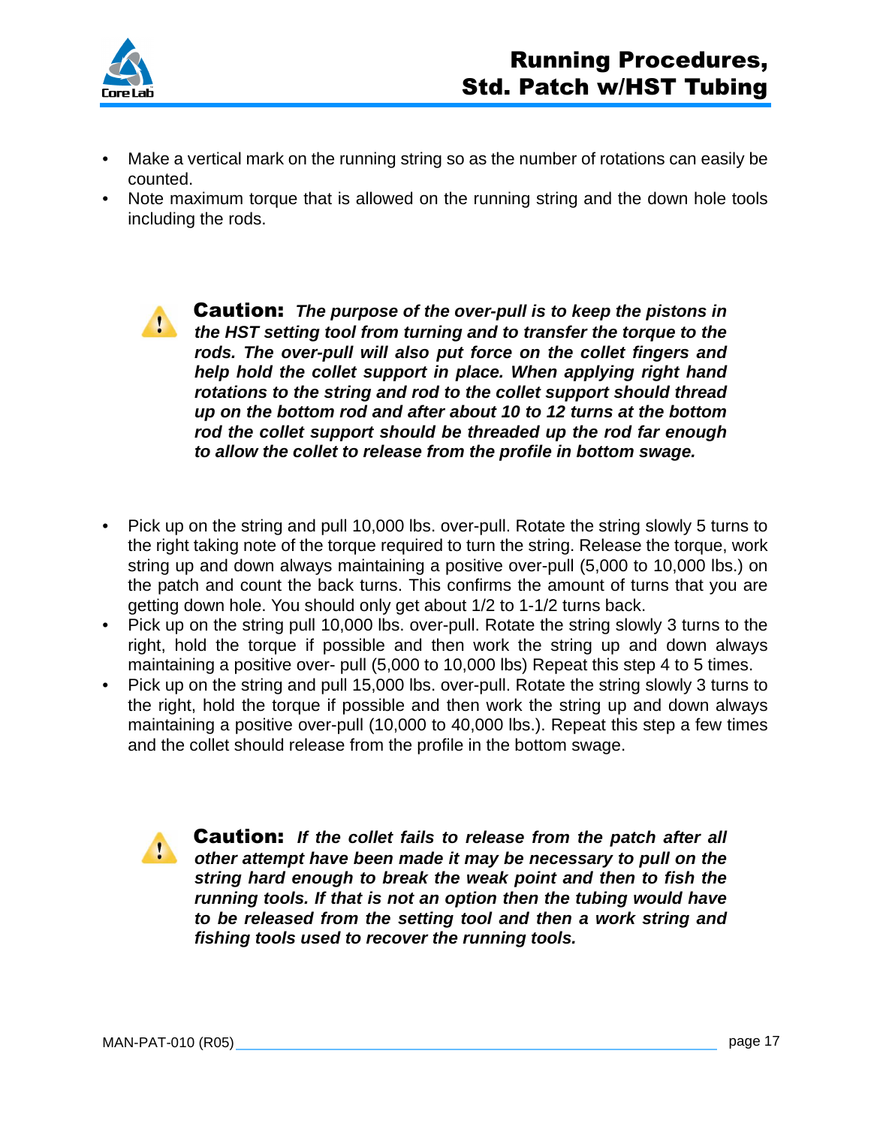

- Make a vertical mark on the running string so as the number of rotations can easily be counted.
- Note maximum torque that is allowed on the running string and the down hole tools including the rods.



Caution: **The purpose of the over-pull is to keep the pistons in the HST setting tool from turning and to transfer the torque to the rods. The over-pull will also put force on the collet fingers and help hold the collet support in place. When applying right hand rotations to the string and rod to the collet support should thread up on the bottom rod and after about 10 to 12 turns at the bottom rod the collet support should be threaded up the rod far enough to allow the collet to release from the profile in bottom swage.**

- Pick up on the string and pull 10,000 lbs. over-pull. Rotate the string slowly 5 turns to the right taking note of the torque required to turn the string. Release the torque, work string up and down always maintaining a positive over-pull (5,000 to 10,000 lbs.) on the patch and count the back turns. This confirms the amount of turns that you are getting down hole. You should only get about 1/2 to 1-1/2 turns back.
- Pick up on the string pull 10,000 lbs. over-pull. Rotate the string slowly 3 turns to the right, hold the torque if possible and then work the string up and down always maintaining a positive over- pull (5,000 to 10,000 lbs) Repeat this step 4 to 5 times.
- Pick up on the string and pull 15,000 lbs. over-pull. Rotate the string slowly 3 turns to the right, hold the torque if possible and then work the string up and down always maintaining a positive over-pull (10,000 to 40,000 lbs.). Repeat this step a few times and the collet should release from the profile in the bottom swage.



Caution: **If the collet fails to release from the patch after all other attempt have been made it may be necessary to pull on the string hard enough to break the weak point and then to fish the running tools. If that is not an option then the tubing would have to be released from the setting tool and then a work string and fishing tools used to recover the running tools.**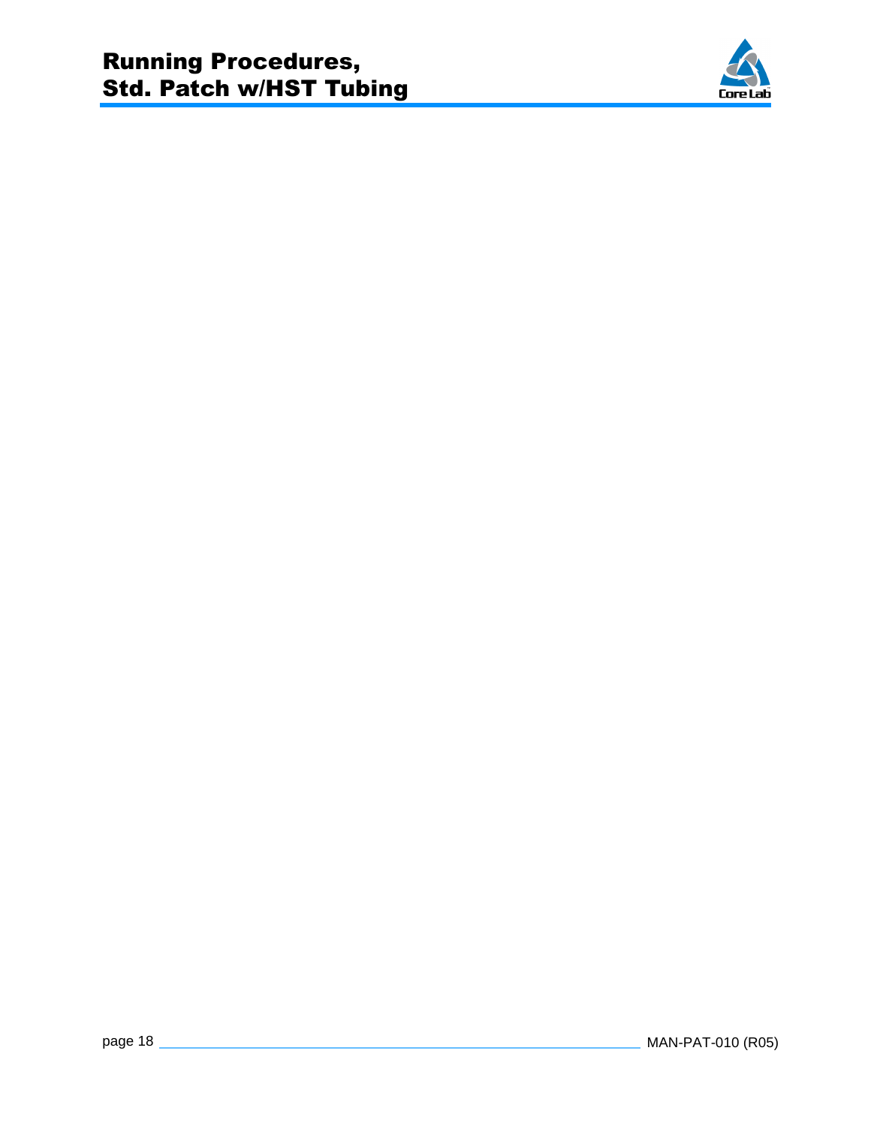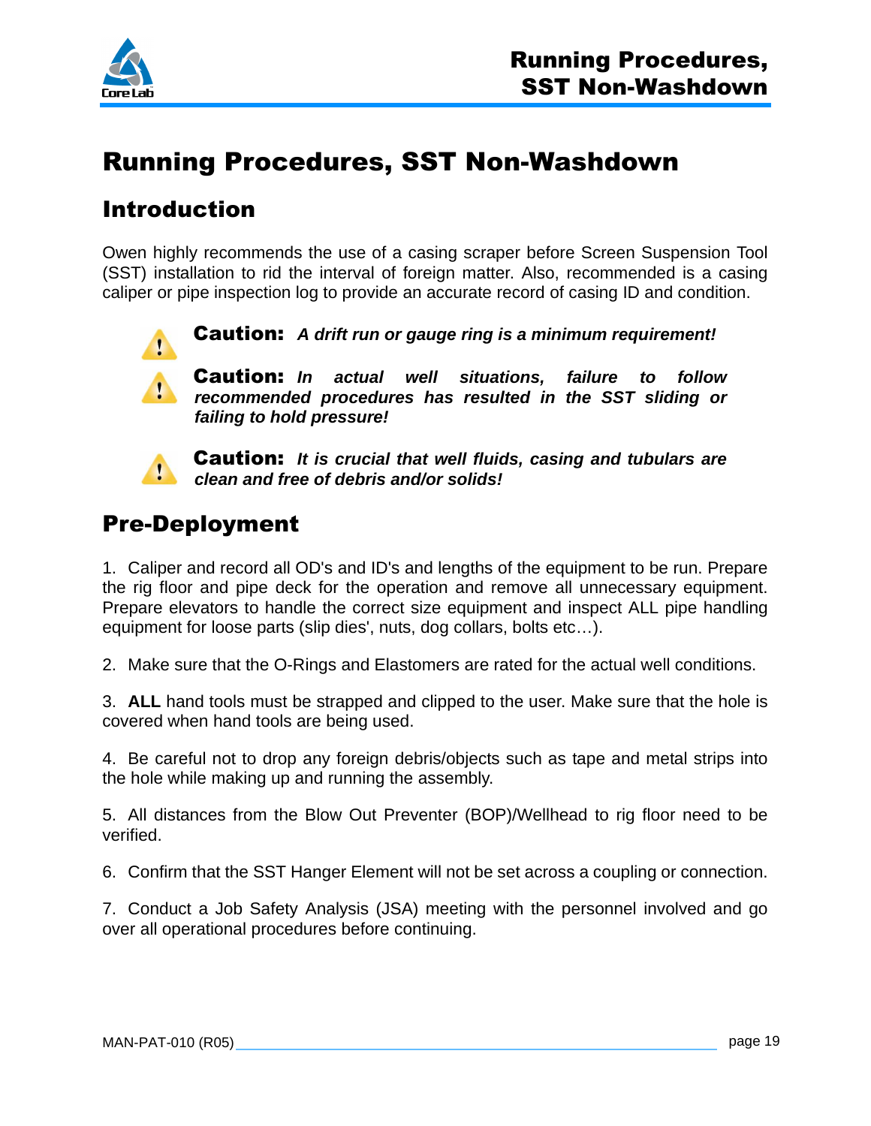

# Running Procedures, SST Non-Washdown

# Introduction

Owen highly recommends the use of a casing scraper before Screen Suspension Tool (SST) installation to rid the interval of foreign matter. Also, recommended is a casing caliper or pipe inspection log to provide an accurate record of casing ID and condition.



Caution: **A drift run or gauge ring is a minimum requirement!**



Caution: **In actual well situations, failure to follow recommended procedures has resulted in the SST sliding or failing to hold pressure!**



Caution: **It is crucial that well fluids, casing and tubulars are clean and free of debris and/or solids!**

# Pre-Deployment

1. Caliper and record all OD's and ID's and lengths of the equipment to be run. Prepare the rig floor and pipe deck for the operation and remove all unnecessary equipment. Prepare elevators to handle the correct size equipment and inspect ALL pipe handling equipment for loose parts (slip dies', nuts, dog collars, bolts etc…).

2. Make sure that the O-Rings and Elastomers are rated for the actual well conditions.

3. **ALL** hand tools must be strapped and clipped to the user. Make sure that the hole is covered when hand tools are being used.

4. Be careful not to drop any foreign debris/objects such as tape and metal strips into the hole while making up and running the assembly.

5. All distances from the Blow Out Preventer (BOP)/Wellhead to rig floor need to be verified.

6. Confirm that the SST Hanger Element will not be set across a coupling or connection.

7. Conduct a Job Safety Analysis (JSA) meeting with the personnel involved and go over all operational procedures before continuing.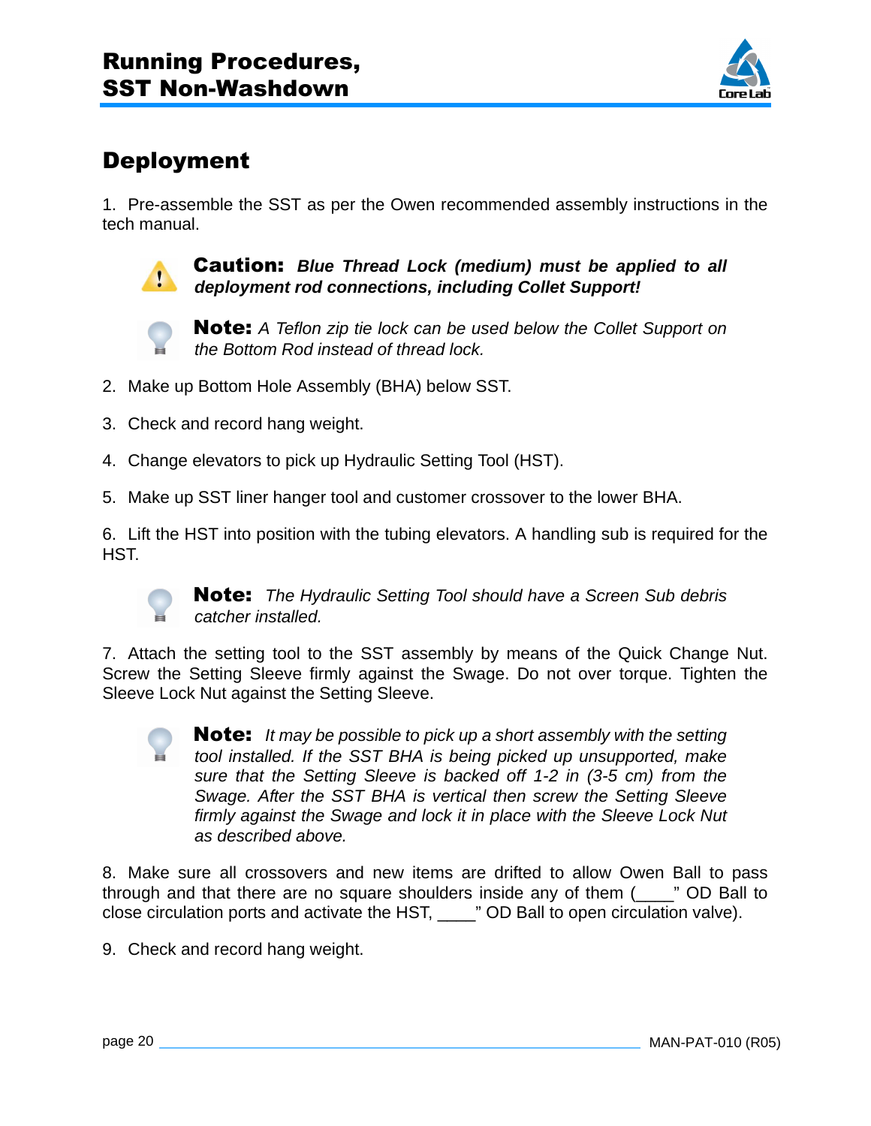

# Deployment

1. Pre-assemble the SST as per the Owen recommended assembly instructions in the tech manual.



Caution: **Blue Thread Lock (medium) must be applied to all deployment rod connections, including Collet Support!**



Note: A Teflon zip tie lock can be used below the Collet Support on the Bottom Rod instead of thread lock.

- 2. Make up Bottom Hole Assembly (BHA) below SST.
- 3. Check and record hang weight.
- 4. Change elevators to pick up Hydraulic Setting Tool (HST).
- 5. Make up SST liner hanger tool and customer crossover to the lower BHA.

6. Lift the HST into position with the tubing elevators. A handling sub is required for the HST.



Note: The Hydraulic Setting Tool should have a Screen Sub debris catcher installed.

7. Attach the setting tool to the SST assembly by means of the Quick Change Nut. Screw the Setting Sleeve firmly against the Swage. Do not over torque. Tighten the Sleeve Lock Nut against the Setting Sleeve.



**Note:** It may be possible to pick up a short assembly with the setting tool installed. If the SST BHA is being picked up unsupported, make sure that the Setting Sleeve is backed off 1-2 in (3-5 cm) from the Swage. After the SST BHA is vertical then screw the Setting Sleeve firmly against the Swage and lock it in place with the Sleeve Lock Nut as described above.

8. Make sure all crossovers and new items are drifted to allow Owen Ball to pass through and that there are no square shoulders inside any of them (\_\_\_\_" OD Ball to close circulation ports and activate the HST, \_\_\_\_" OD Ball to open circulation valve).

9. Check and record hang weight.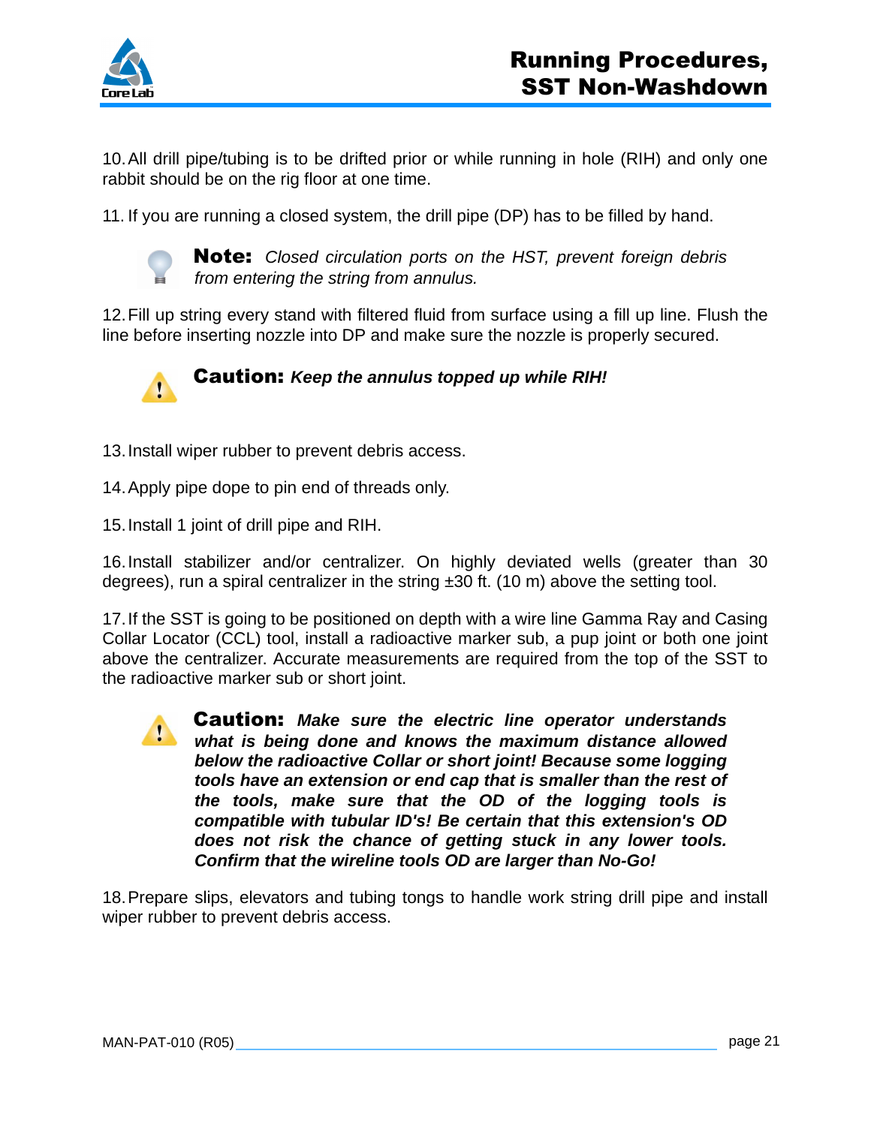

10.All drill pipe/tubing is to be drifted prior or while running in hole (RIH) and only one rabbit should be on the rig floor at one time.

11. If you are running a closed system, the drill pipe (DP) has to be filled by hand.



**Note:** Closed circulation ports on the HST, prevent foreign debris from entering the string from annulus.

12.Fill up string every stand with filtered fluid from surface using a fill up line. Flush the line before inserting nozzle into DP and make sure the nozzle is properly secured.



Caution: **Keep the annulus topped up while RIH!**

13.Install wiper rubber to prevent debris access.

14.Apply pipe dope to pin end of threads only.

15.Install 1 joint of drill pipe and RIH.

16.Install stabilizer and/or centralizer. On highly deviated wells (greater than 30 degrees), run a spiral centralizer in the string ±30 ft. (10 m) above the setting tool.

17.If the SST is going to be positioned on depth with a wire line Gamma Ray and Casing Collar Locator (CCL) tool, install a radioactive marker sub, a pup joint or both one joint above the centralizer. Accurate measurements are required from the top of the SST to the radioactive marker sub or short joint.



Caution: **Make sure the electric line operator understands what is being done and knows the maximum distance allowed below the radioactive Collar or short joint! Because some logging tools have an extension or end cap that is smaller than the rest of the tools, make sure that the OD of the logging tools is compatible with tubular ID's! Be certain that this extension's OD does not risk the chance of getting stuck in any lower tools. Confirm that the wireline tools OD are larger than No-Go!**

18.Prepare slips, elevators and tubing tongs to handle work string drill pipe and install wiper rubber to prevent debris access.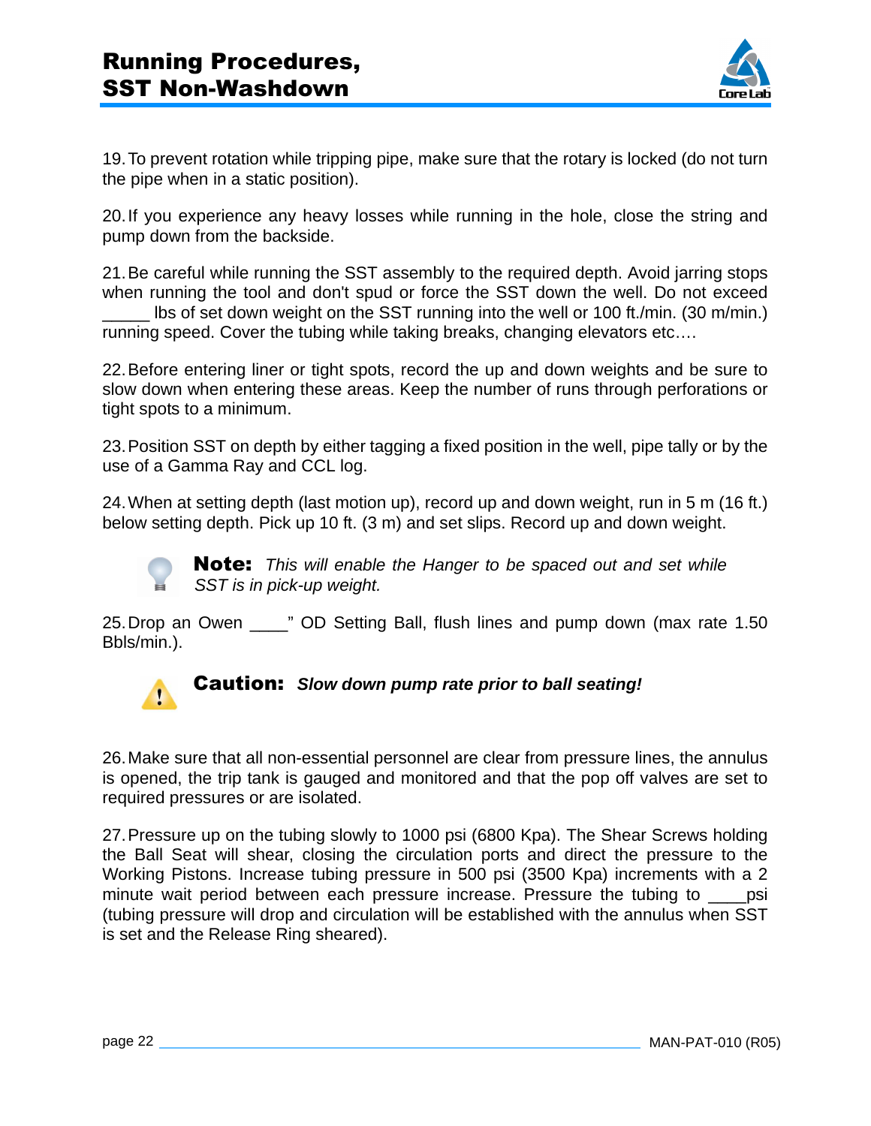

19.To prevent rotation while tripping pipe, make sure that the rotary is locked (do not turn the pipe when in a static position).

20.If you experience any heavy losses while running in the hole, close the string and pump down from the backside.

21.Be careful while running the SST assembly to the required depth. Avoid jarring stops when running the tool and don't spud or force the SST down the well. Do not exceed lbs of set down weight on the SST running into the well or 100 ft./min. (30 m/min.) running speed. Cover the tubing while taking breaks, changing elevators etc….

22.Before entering liner or tight spots, record the up and down weights and be sure to slow down when entering these areas. Keep the number of runs through perforations or tight spots to a minimum.

23.Position SST on depth by either tagging a fixed position in the well, pipe tally or by the use of a Gamma Ray and CCL log.

24.When at setting depth (last motion up), record up and down weight, run in 5 m (16 ft.) below setting depth. Pick up 10 ft. (3 m) and set slips. Record up and down weight.



**Note:** This will enable the Hanger to be spaced out and set while SST is in pick-up weight.

25. Drop an Owen <sup>7</sup> OD Setting Ball, flush lines and pump down (max rate 1.50 Bbls/min.).



### Caution: **Slow down pump rate prior to ball seating!**

26.Make sure that all non-essential personnel are clear from pressure lines, the annulus is opened, the trip tank is gauged and monitored and that the pop off valves are set to required pressures or are isolated.

27.Pressure up on the tubing slowly to 1000 psi (6800 Kpa). The Shear Screws holding the Ball Seat will shear, closing the circulation ports and direct the pressure to the Working Pistons. Increase tubing pressure in 500 psi (3500 Kpa) increments with a 2 minute wait period between each pressure increase. Pressure the tubing to sample is (tubing pressure will drop and circulation will be established with the annulus when SST is set and the Release Ring sheared).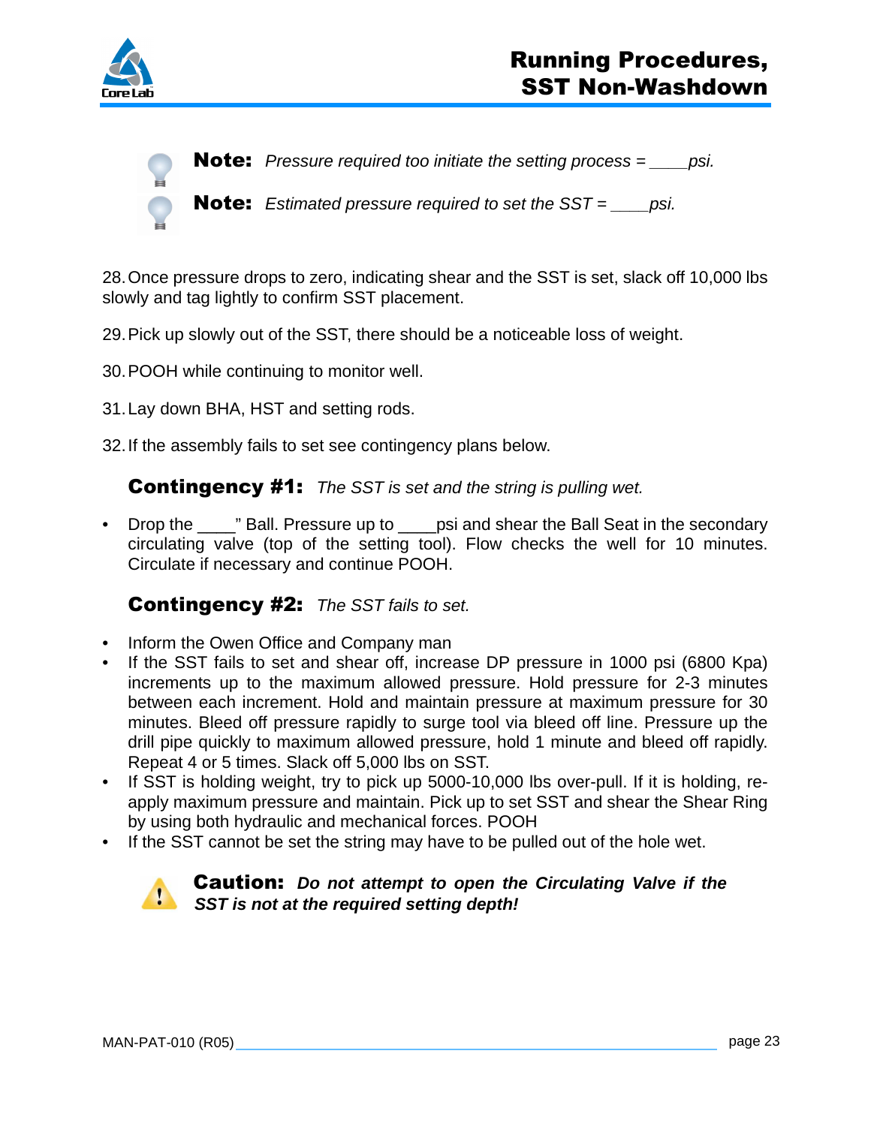

**Note:** Pressure required too initiate the setting process  $=$  psi. **Note:** Estimated pressure required to set the  $SST =$  psi.

28.Once pressure drops to zero, indicating shear and the SST is set, slack off 10,000 lbs slowly and tag lightly to confirm SST placement.

29.Pick up slowly out of the SST, there should be a noticeable loss of weight.

30.POOH while continuing to monitor well.

31.Lay down BHA, HST and setting rods.

32.If the assembly fails to set see contingency plans below.

**Contingency #1:** The SST is set and the string is pulling wet.

• Drop the "Ball. Pressure up to psi and shear the Ball Seat in the secondary circulating valve (top of the setting tool). Flow checks the well for 10 minutes. Circulate if necessary and continue POOH.

### **Contingency #2:** The SST fails to set.

- Inform the Owen Office and Company man
- If the SST fails to set and shear off, increase DP pressure in 1000 psi (6800 Kpa) increments up to the maximum allowed pressure. Hold pressure for 2-3 minutes between each increment. Hold and maintain pressure at maximum pressure for 30 minutes. Bleed off pressure rapidly to surge tool via bleed off line. Pressure up the drill pipe quickly to maximum allowed pressure, hold 1 minute and bleed off rapidly. Repeat 4 or 5 times. Slack off 5,000 lbs on SST.
- If SST is holding weight, try to pick up 5000-10,000 lbs over-pull. If it is holding, reapply maximum pressure and maintain. Pick up to set SST and shear the Shear Ring by using both hydraulic and mechanical forces. POOH
- If the SST cannot be set the string may have to be pulled out of the hole wet.



### Caution: **Do not attempt to open the Circulating Valve if the SST** is not at the required setting depth!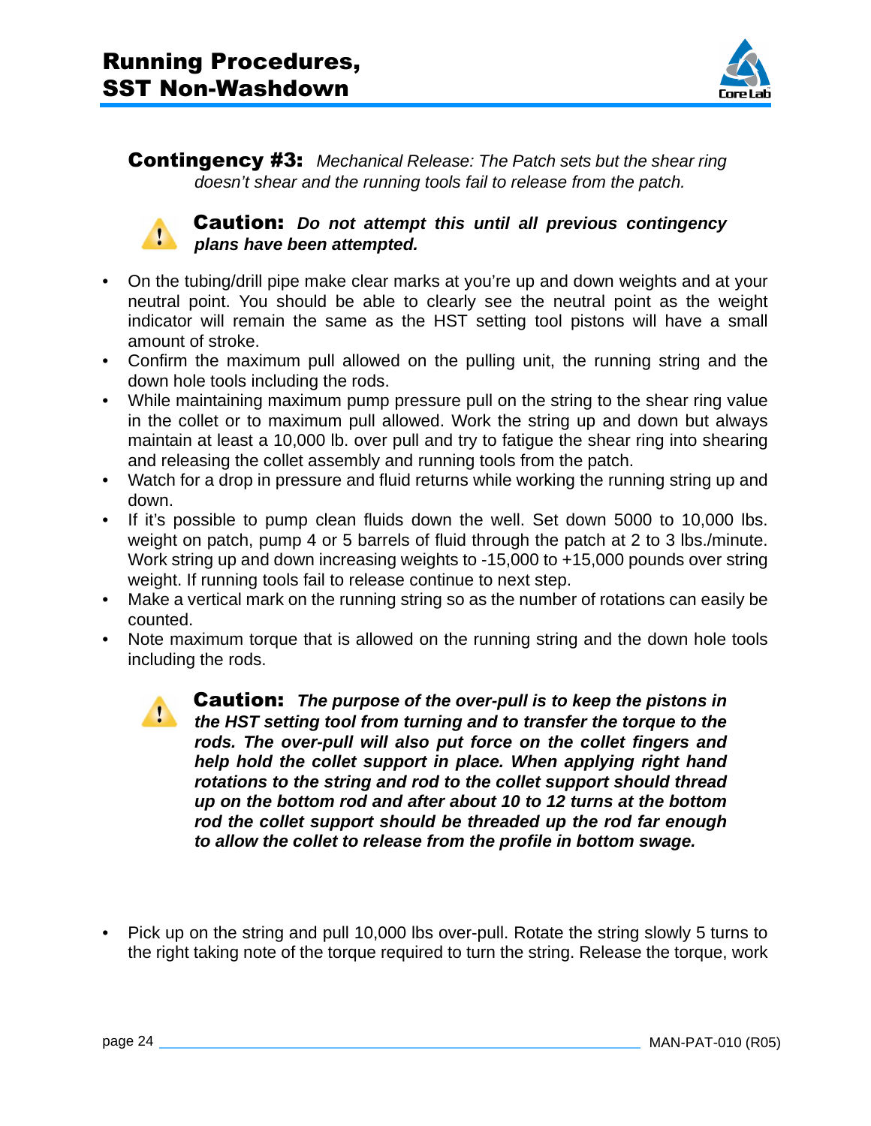

**Contingency #3:** Mechanical Release: The Patch sets but the shear ring doesn't shear and the running tools fail to release from the patch.



#### Caution: **Do not attempt this until all previous contingency plans have been attempted.**

- On the tubing/drill pipe make clear marks at you're up and down weights and at your neutral point. You should be able to clearly see the neutral point as the weight indicator will remain the same as the HST setting tool pistons will have a small amount of stroke.
- Confirm the maximum pull allowed on the pulling unit, the running string and the down hole tools including the rods.
- While maintaining maximum pump pressure pull on the string to the shear ring value in the collet or to maximum pull allowed. Work the string up and down but always maintain at least a 10,000 lb. over pull and try to fatigue the shear ring into shearing and releasing the collet assembly and running tools from the patch.
- Watch for a drop in pressure and fluid returns while working the running string up and down.
- If it's possible to pump clean fluids down the well. Set down 5000 to 10,000 lbs. weight on patch, pump 4 or 5 barrels of fluid through the patch at 2 to 3 lbs./minute. Work string up and down increasing weights to -15,000 to +15,000 pounds over string weight. If running tools fail to release continue to next step.
- Make a vertical mark on the running string so as the number of rotations can easily be counted.
- Note maximum torque that is allowed on the running string and the down hole tools including the rods.



Caution: **The purpose of the over-pull is to keep the pistons in the HST setting tool from turning and to transfer the torque to the rods. The over-pull will also put force on the collet fingers and help hold the collet support in place. When applying right hand rotations to the string and rod to the collet support should thread up on the bottom rod and after about 10 to 12 turns at the bottom rod the collet support should be threaded up the rod far enough to allow the collet to release from the profile in bottom swage.**

• Pick up on the string and pull 10,000 lbs over-pull. Rotate the string slowly 5 turns to the right taking note of the torque required to turn the string. Release the torque, work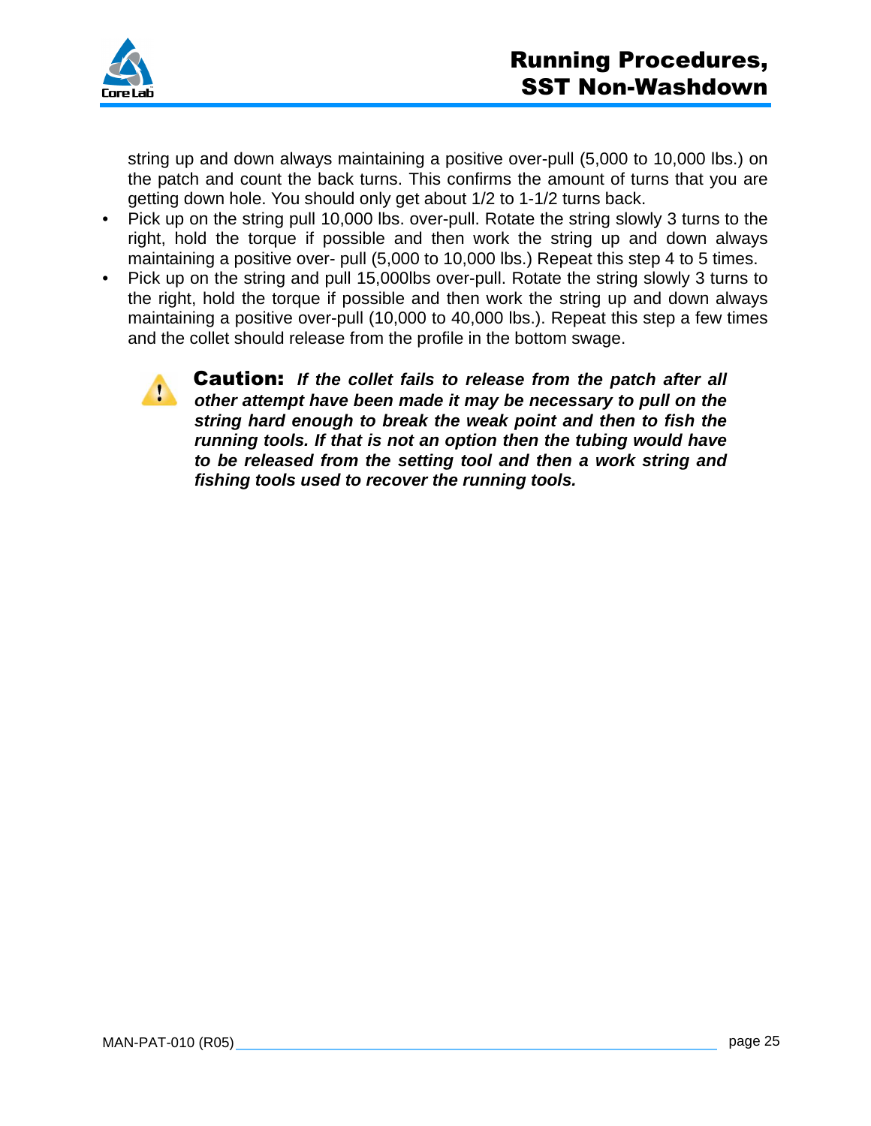

string up and down always maintaining a positive over-pull (5,000 to 10,000 lbs.) on the patch and count the back turns. This confirms the amount of turns that you are getting down hole. You should only get about 1/2 to 1-1/2 turns back.

- Pick up on the string pull 10,000 lbs. over-pull. Rotate the string slowly 3 turns to the right, hold the torque if possible and then work the string up and down always maintaining a positive over- pull (5,000 to 10,000 lbs.) Repeat this step 4 to 5 times.
- Pick up on the string and pull 15,000lbs over-pull. Rotate the string slowly 3 turns to the right, hold the torque if possible and then work the string up and down always maintaining a positive over-pull (10,000 to 40,000 lbs.). Repeat this step a few times and the collet should release from the profile in the bottom swage.



Caution: **If the collet fails to release from the patch after all other attempt have been made it may be necessary to pull on the string hard enough to break the weak point and then to fish the running tools. If that is not an option then the tubing would have to be released from the setting tool and then a work string and fishing tools used to recover the running tools.**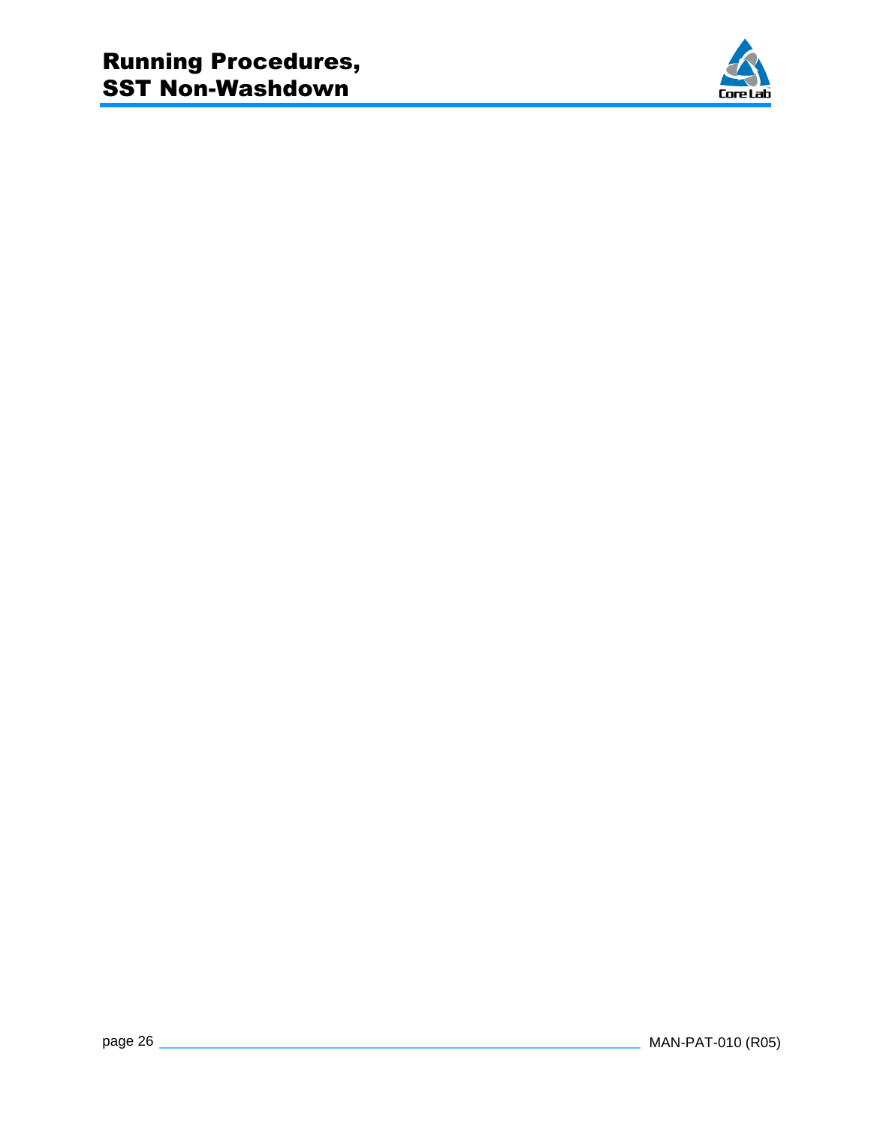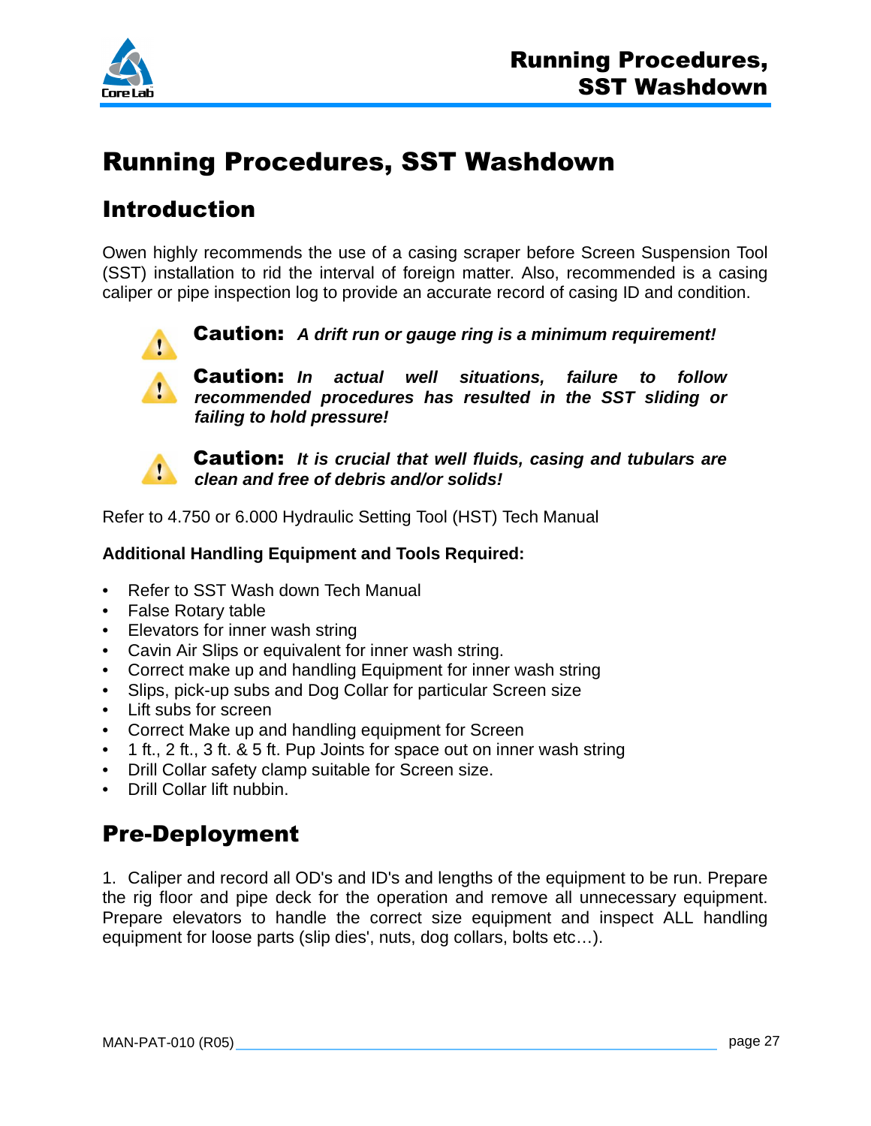

# Running Procedures, SST Washdown

# Introduction

Owen highly recommends the use of a casing scraper before Screen Suspension Tool (SST) installation to rid the interval of foreign matter. Also, recommended is a casing caliper or pipe inspection log to provide an accurate record of casing ID and condition.



Caution: **A drift run or gauge ring is a minimum requirement!**



Caution: **In actual well situations, failure to follow recommended procedures has resulted in the SST sliding or failing to hold pressure!**



Caution: **It is crucial that well fluids, casing and tubulars are clean and free of debris and/or solids!**

Refer to 4.750 or 6.000 Hydraulic Setting Tool (HST) Tech Manual

#### **Additional Handling Equipment and Tools Required:**

- Refer to SST Wash down Tech Manual
- False Rotary table
- Elevators for inner wash string
- Cavin Air Slips or equivalent for inner wash string.
- Correct make up and handling Equipment for inner wash string
- Slips, pick-up subs and Dog Collar for particular Screen size
- Lift subs for screen
- Correct Make up and handling equipment for Screen
- 1 ft., 2 ft., 3 ft. & 5 ft. Pup Joints for space out on inner wash string
- Drill Collar safety clamp suitable for Screen size.
- Drill Collar lift nubbin.

# Pre-Deployment

1. Caliper and record all OD's and ID's and lengths of the equipment to be run. Prepare the rig floor and pipe deck for the operation and remove all unnecessary equipment. Prepare elevators to handle the correct size equipment and inspect ALL handling equipment for loose parts (slip dies', nuts, dog collars, bolts etc…).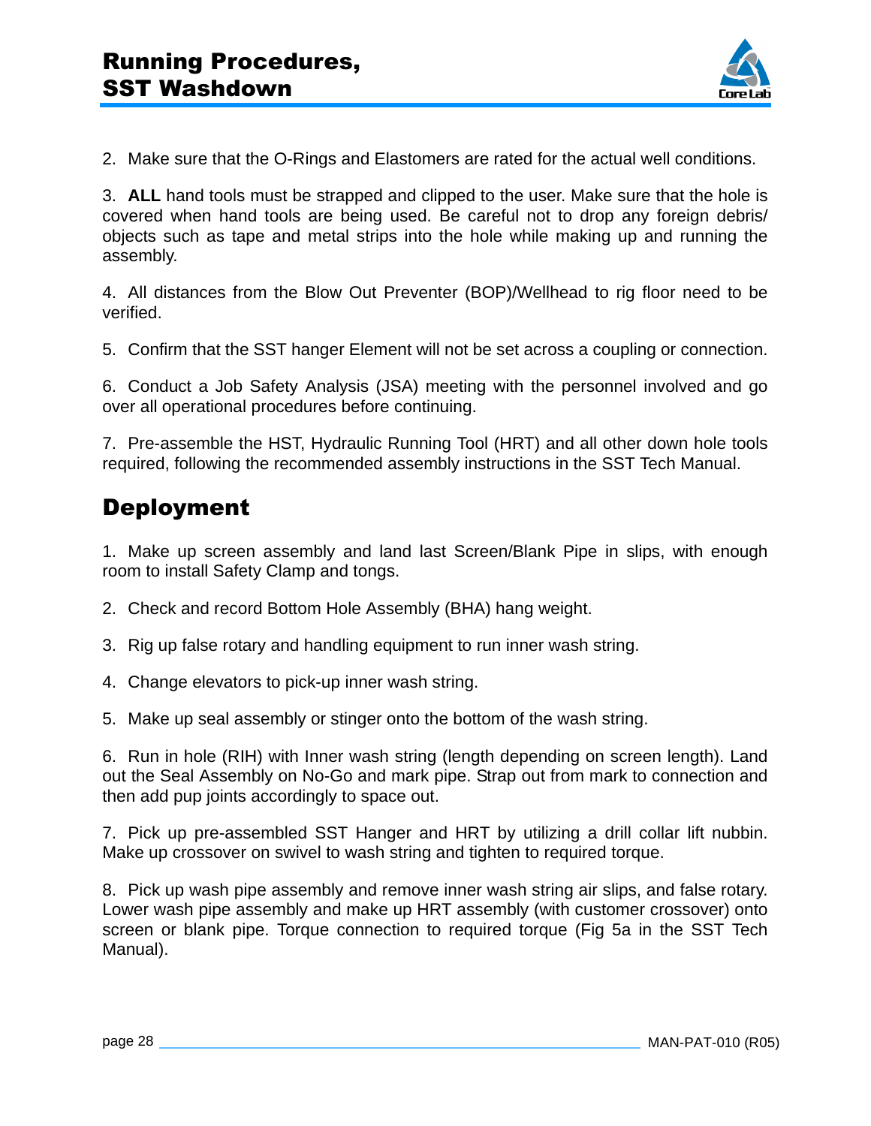

2. Make sure that the O-Rings and Elastomers are rated for the actual well conditions.

3. **ALL** hand tools must be strapped and clipped to the user. Make sure that the hole is covered when hand tools are being used. Be careful not to drop any foreign debris/ objects such as tape and metal strips into the hole while making up and running the assembly.

4. All distances from the Blow Out Preventer (BOP)/Wellhead to rig floor need to be verified.

5. Confirm that the SST hanger Element will not be set across a coupling or connection.

6. Conduct a Job Safety Analysis (JSA) meeting with the personnel involved and go over all operational procedures before continuing.

7. Pre-assemble the HST, Hydraulic Running Tool (HRT) and all other down hole tools required, following the recommended assembly instructions in the SST Tech Manual.

# Deployment

1. Make up screen assembly and land last Screen/Blank Pipe in slips, with enough room to install Safety Clamp and tongs.

2. Check and record Bottom Hole Assembly (BHA) hang weight.

- 3. Rig up false rotary and handling equipment to run inner wash string.
- 4. Change elevators to pick-up inner wash string.

5. Make up seal assembly or stinger onto the bottom of the wash string.

6. Run in hole (RIH) with Inner wash string (length depending on screen length). Land out the Seal Assembly on No-Go and mark pipe. Strap out from mark to connection and then add pup joints accordingly to space out.

7. Pick up pre-assembled SST Hanger and HRT by utilizing a drill collar lift nubbin. Make up crossover on swivel to wash string and tighten to required torque.

8. Pick up wash pipe assembly and remove inner wash string air slips, and false rotary. Lower wash pipe assembly and make up HRT assembly (with customer crossover) onto screen or blank pipe. Torque connection to required torque (Fig 5a in the SST Tech Manual).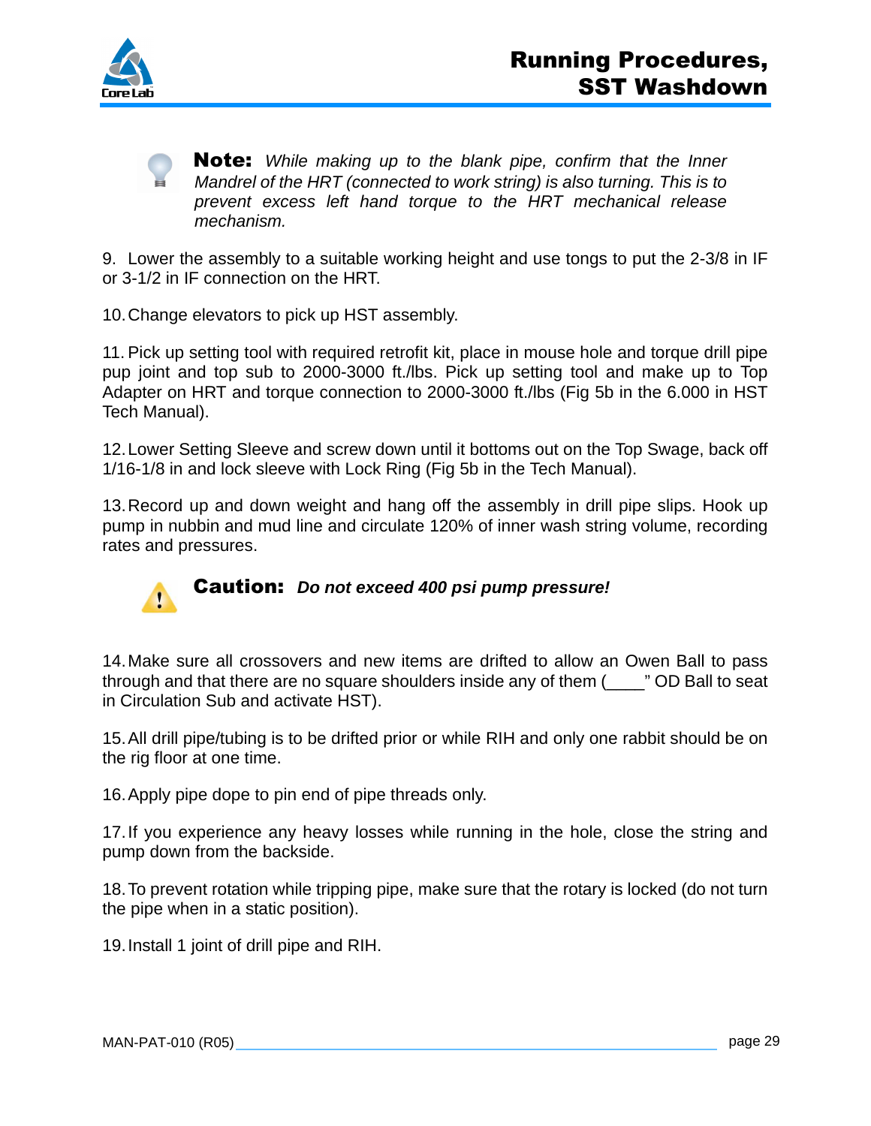

**Note:** While making up to the blank pipe, confirm that the Inner Mandrel of the HRT (connected to work string) is also turning. This is to prevent excess left hand torque to the HRT mechanical release mechanism.

9. Lower the assembly to a suitable working height and use tongs to put the 2-3/8 in IF or 3-1/2 in IF connection on the HRT.

10.Change elevators to pick up HST assembly.

11. Pick up setting tool with required retrofit kit, place in mouse hole and torque drill pipe pup joint and top sub to 2000-3000 ft./lbs. Pick up setting tool and make up to Top Adapter on HRT and torque connection to 2000-3000 ft./lbs (Fig 5b in the 6.000 in HST Tech Manual).

12.Lower Setting Sleeve and screw down until it bottoms out on the Top Swage, back off 1/16-1/8 in and lock sleeve with Lock Ring (Fig 5b in the Tech Manual).

13.Record up and down weight and hang off the assembly in drill pipe slips. Hook up pump in nubbin and mud line and circulate 120% of inner wash string volume, recording rates and pressures.



#### Caution: **Do not exceed 400 psi pump pressure!**

14.Make sure all crossovers and new items are drifted to allow an Owen Ball to pass through and that there are no square shoulders inside any of them (\_\_\_\_" OD Ball to seat in Circulation Sub and activate HST).

15.All drill pipe/tubing is to be drifted prior or while RIH and only one rabbit should be on the rig floor at one time.

16.Apply pipe dope to pin end of pipe threads only.

17.If you experience any heavy losses while running in the hole, close the string and pump down from the backside.

18.To prevent rotation while tripping pipe, make sure that the rotary is locked (do not turn the pipe when in a static position).

19.Install 1 joint of drill pipe and RIH.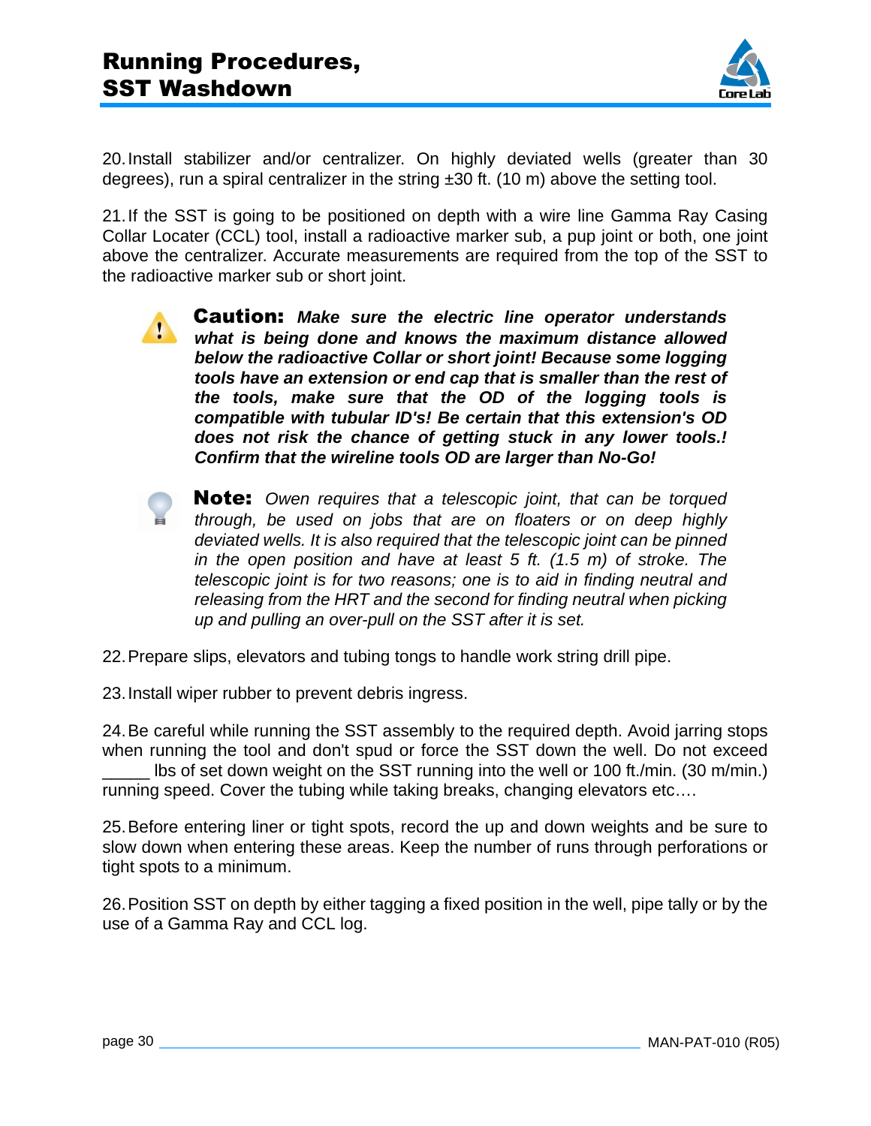

20.Install stabilizer and/or centralizer. On highly deviated wells (greater than 30 degrees), run a spiral centralizer in the string ±30 ft. (10 m) above the setting tool.

21.If the SST is going to be positioned on depth with a wire line Gamma Ray Casing Collar Locater (CCL) tool, install a radioactive marker sub, a pup joint or both, one joint above the centralizer. Accurate measurements are required from the top of the SST to the radioactive marker sub or short joint.



Caution: **Make sure the electric line operator understands what is being done and knows the maximum distance allowed below the radioactive Collar or short joint! Because some logging tools have an extension or end cap that is smaller than the rest of the tools, make sure that the OD of the logging tools is compatible with tubular ID's! Be certain that this extension's OD does not risk the chance of getting stuck in any lower tools.! Confirm that the wireline tools OD are larger than No-Go!**

- **Note:** Owen requires that a telescopic joint, that can be torqued through, be used on jobs that are on floaters or on deep highly deviated wells. It is also required that the telescopic joint can be pinned in the open position and have at least 5 ft. (1.5 m) of stroke. The telescopic joint is for two reasons; one is to aid in finding neutral and releasing from the HRT and the second for finding neutral when picking up and pulling an over-pull on the SST after it is set.
- 22.Prepare slips, elevators and tubing tongs to handle work string drill pipe.
- 23.Install wiper rubber to prevent debris ingress.

24.Be careful while running the SST assembly to the required depth. Avoid jarring stops when running the tool and don't spud or force the SST down the well. Do not exceed lbs of set down weight on the SST running into the well or 100 ft./min. (30 m/min.) running speed. Cover the tubing while taking breaks, changing elevators etc….

25.Before entering liner or tight spots, record the up and down weights and be sure to slow down when entering these areas. Keep the number of runs through perforations or tight spots to a minimum.

26.Position SST on depth by either tagging a fixed position in the well, pipe tally or by the use of a Gamma Ray and CCL log.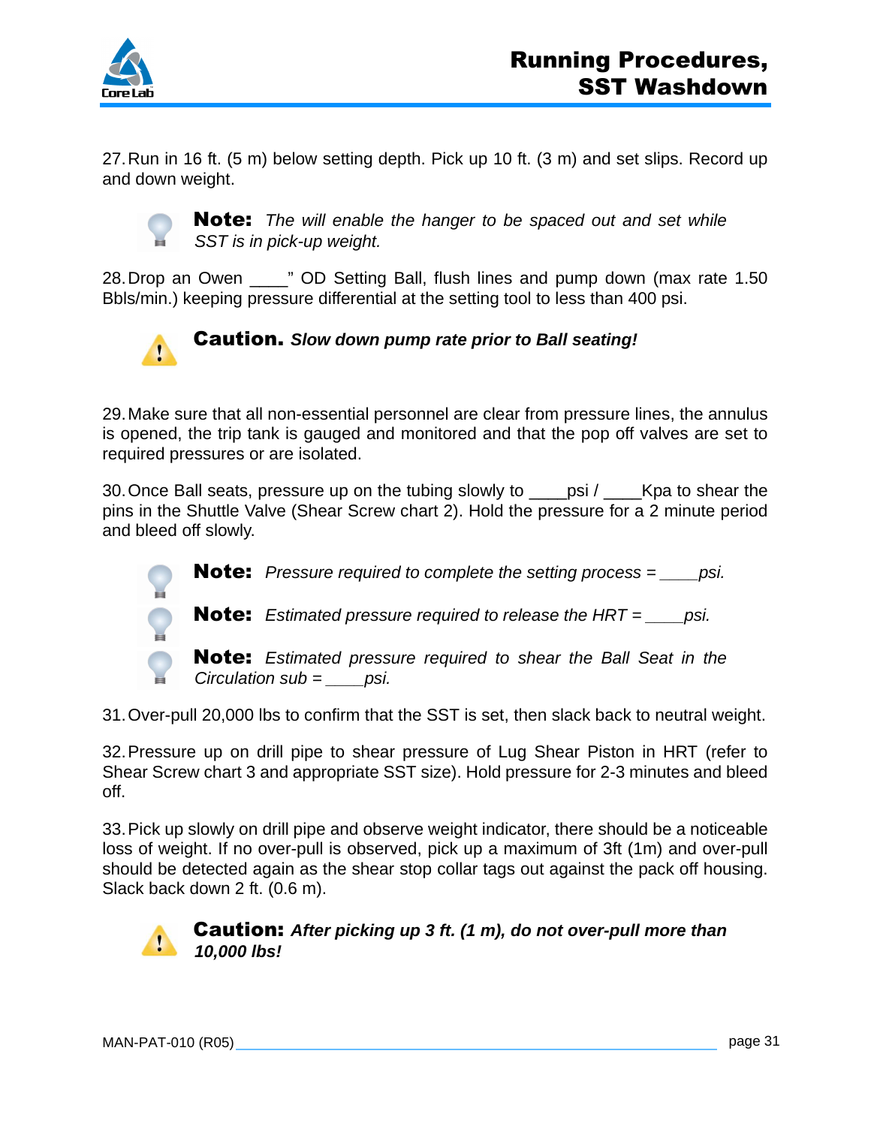

27.Run in 16 ft. (5 m) below setting depth. Pick up 10 ft. (3 m) and set slips. Record up and down weight.



Note: The will enable the hanger to be spaced out and set while SST is in pick-up weight.

28.Drop an Owen \_\_\_\_" OD Setting Ball, flush lines and pump down (max rate 1.50 Bbls/min.) keeping pressure differential at the setting tool to less than 400 psi.



# Caution. **Slow down pump rate prior to Ball seating!**

29.Make sure that all non-essential personnel are clear from pressure lines, the annulus is opened, the trip tank is gauged and monitored and that the pop off valves are set to required pressures or are isolated.

30. Once Ball seats, pressure up on the tubing slowly to \_\_\_\_psi / \_\_\_\_\_Kpa to shear the pins in the Shuttle Valve (Shear Screw chart 2). Hold the pressure for a 2 minute period and bleed off slowly.

**Note:** Pressure required to complete the setting process  $=$  psi.

**Note:** Estimated pressure required to release the  $HRT = \_\_psi$ psi.



Note: Estimated pressure required to shear the Ball Seat in the Circulation  $sub = \_\_\_\_psi$ 

31.Over-pull 20,000 lbs to confirm that the SST is set, then slack back to neutral weight.

32.Pressure up on drill pipe to shear pressure of Lug Shear Piston in HRT (refer to Shear Screw chart 3 and appropriate SST size). Hold pressure for 2-3 minutes and bleed off.

33.Pick up slowly on drill pipe and observe weight indicator, there should be a noticeable loss of weight. If no over-pull is observed, pick up a maximum of 3ft (1m) and over-pull should be detected again as the shear stop collar tags out against the pack off housing. Slack back down 2 ft. (0.6 m).



Caution: **After picking up 3 ft. (1 m), do not over-pull more than 10,000 lbs!**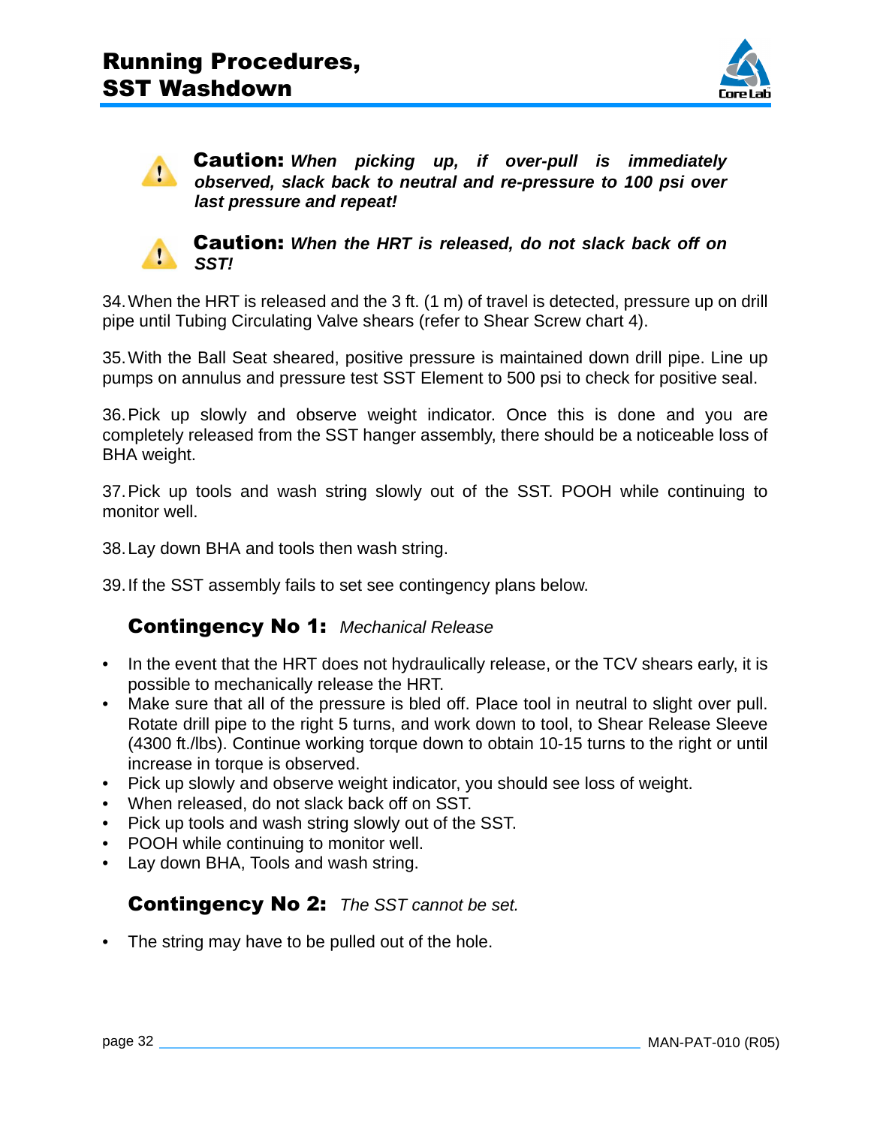

**Caution:** When picking up, if over-pull is immediately<br>cheering slack hack to neutral and re-pressure to 100 psi over **observed, slack back to neutral and re-pressure to 100 psi over last pressure and repeat!**



Caution: **When the HRT is released, do not slack back off on SST!** 

34.When the HRT is released and the 3 ft. (1 m) of travel is detected, pressure up on drill pipe until Tubing Circulating Valve shears (refer to Shear Screw chart 4).

35.With the Ball Seat sheared, positive pressure is maintained down drill pipe. Line up pumps on annulus and pressure test SST Element to 500 psi to check for positive seal.

36.Pick up slowly and observe weight indicator. Once this is done and you are completely released from the SST hanger assembly, there should be a noticeable loss of BHA weight.

37.Pick up tools and wash string slowly out of the SST. POOH while continuing to monitor well.

38.Lay down BHA and tools then wash string.

39.If the SST assembly fails to set see contingency plans below.

### **Contingency No 1:** Mechanical Release

- In the event that the HRT does not hydraulically release, or the TCV shears early, it is possible to mechanically release the HRT.
- Make sure that all of the pressure is bled off. Place tool in neutral to slight over pull. Rotate drill pipe to the right 5 turns, and work down to tool, to Shear Release Sleeve (4300 ft./lbs). Continue working torque down to obtain 10-15 turns to the right or until increase in torque is observed.
- Pick up slowly and observe weight indicator, you should see loss of weight.
- When released, do not slack back off on SST.
- Pick up tools and wash string slowly out of the SST.
- POOH while continuing to monitor well.
- Lay down BHA, Tools and wash string.

### **Contingency No 2:** The SST cannot be set.

• The string may have to be pulled out of the hole.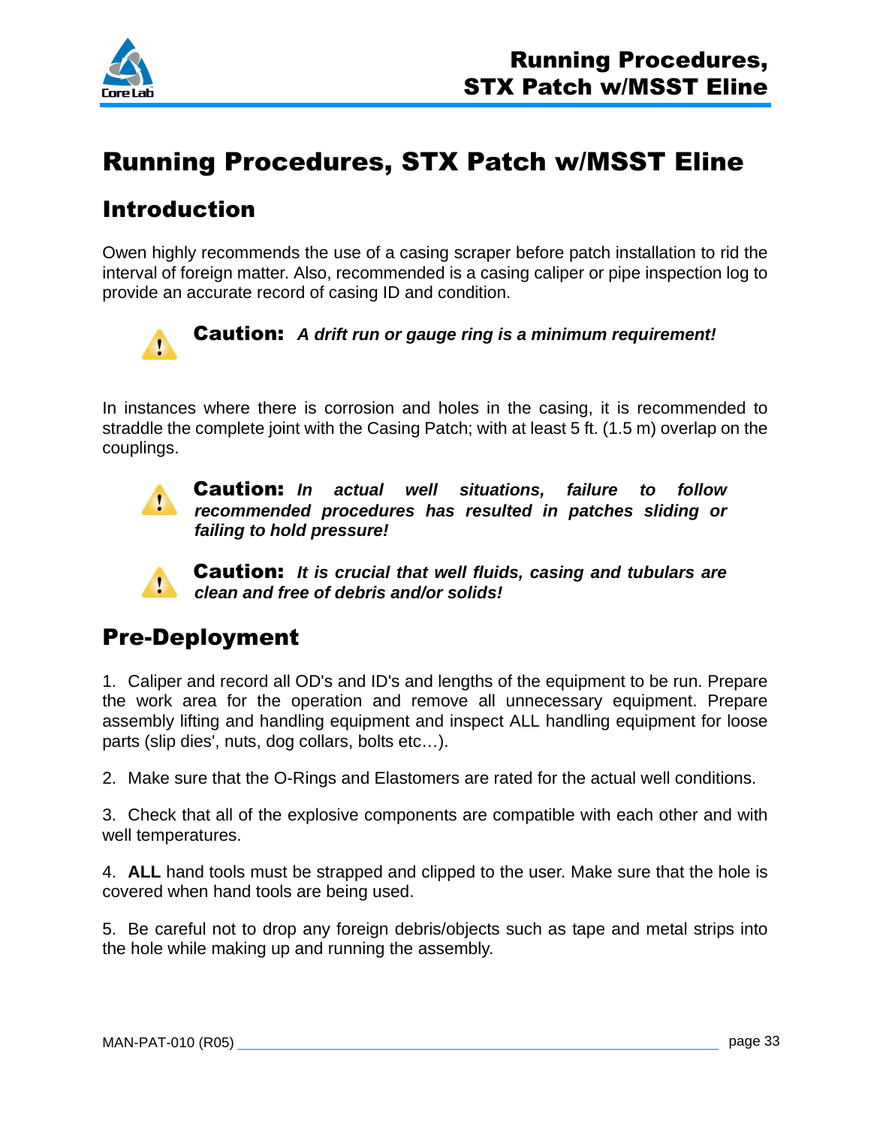

# Running Procedures, STX Patch w/MSST Eline

# Introduction

Owen highly recommends the use of a casing scraper before patch installation to rid the interval of foreign matter. Also, recommended is a casing caliper or pipe inspection log to provide an accurate record of casing ID and condition.



Caution: **A drift run or gauge ring is a minimum requirement!**

In instances where there is corrosion and holes in the casing, it is recommended to straddle the complete joint with the Casing Patch; with at least 5 ft. (1.5 m) overlap on the couplings.



**Caution:** *In actual well situations, failure to follow*<br> **Procommanded procedures has resulted in patches sliding or recommended procedures has resulted in patches sliding or failing to hold pressure!**



Caution: **It is crucial that well fluids, casing and tubulars are clean and free of debris and/or solids!**

# Pre-Deployment

1. Caliper and record all OD's and ID's and lengths of the equipment to be run. Prepare the work area for the operation and remove all unnecessary equipment. Prepare assembly lifting and handling equipment and inspect ALL handling equipment for loose parts (slip dies', nuts, dog collars, bolts etc…).

2. Make sure that the O-Rings and Elastomers are rated for the actual well conditions.

3. Check that all of the explosive components are compatible with each other and with well temperatures.

4. **ALL** hand tools must be strapped and clipped to the user. Make sure that the hole is covered when hand tools are being used.

5. Be careful not to drop any foreign debris/objects such as tape and metal strips into the hole while making up and running the assembly.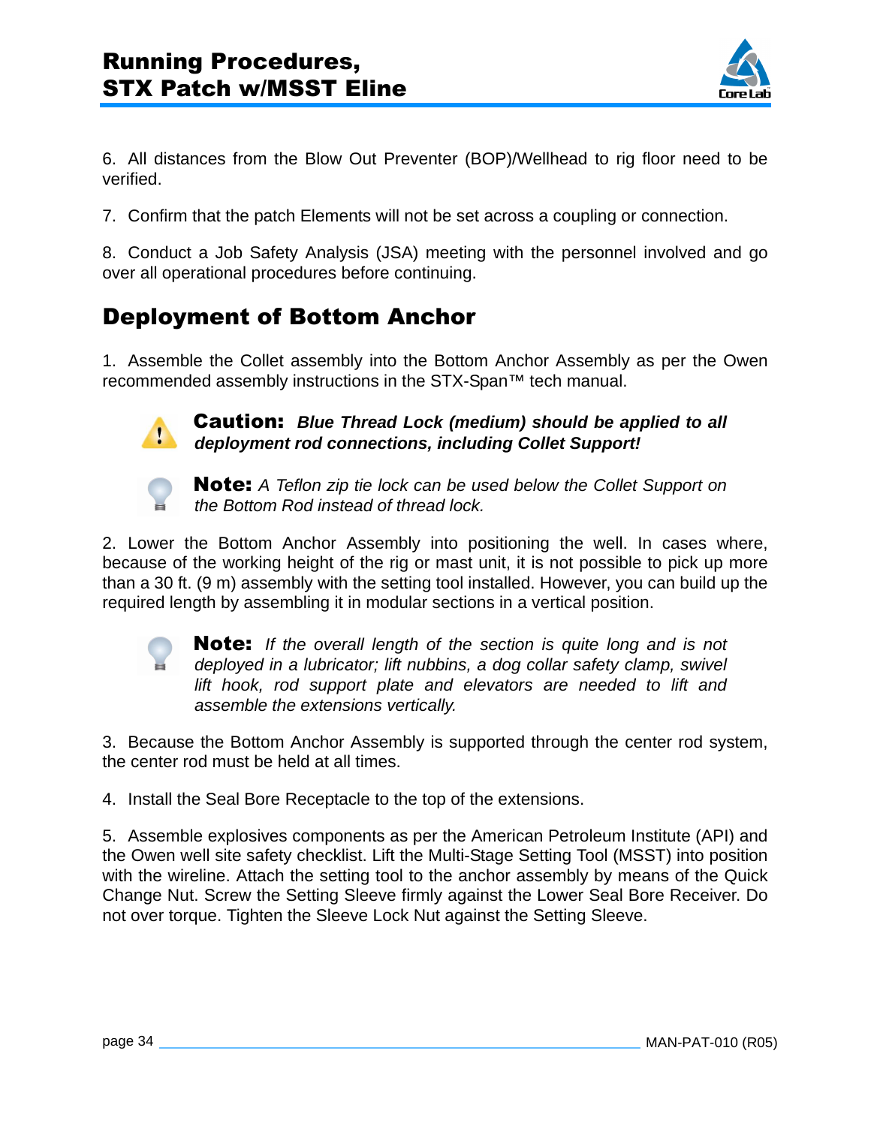

6. All distances from the Blow Out Preventer (BOP)/Wellhead to rig floor need to be verified.

7. Confirm that the patch Elements will not be set across a coupling or connection.

8. Conduct a Job Safety Analysis (JSA) meeting with the personnel involved and go over all operational procedures before continuing.

### Deployment of Bottom Anchor

1. Assemble the Collet assembly into the Bottom Anchor Assembly as per the Owen recommended assembly instructions in the STX-Span™ tech manual.



Caution: **Blue Thread Lock (medium) should be applied to all deployment rod connections, including Collet Support!**



**Note:** A Teflon zip tie lock can be used below the Collet Support on the Bottom Rod instead of thread lock.

2. Lower the Bottom Anchor Assembly into positioning the well. In cases where, because of the working height of the rig or mast unit, it is not possible to pick up more than a 30 ft. (9 m) assembly with the setting tool installed. However, you can build up the required length by assembling it in modular sections in a vertical position.



**Note:** If the overall length of the section is quite long and is not deployed in a lubricator; lift nubbins, a dog collar safety clamp, swivel lift hook, rod support plate and elevators are needed to lift and assemble the extensions vertically.

3. Because the Bottom Anchor Assembly is supported through the center rod system, the center rod must be held at all times.

4. Install the Seal Bore Receptacle to the top of the extensions.

5. Assemble explosives components as per the American Petroleum Institute (API) and the Owen well site safety checklist. Lift the Multi-Stage Setting Tool (MSST) into position with the wireline. Attach the setting tool to the anchor assembly by means of the Quick Change Nut. Screw the Setting Sleeve firmly against the Lower Seal Bore Receiver. Do not over torque. Tighten the Sleeve Lock Nut against the Setting Sleeve.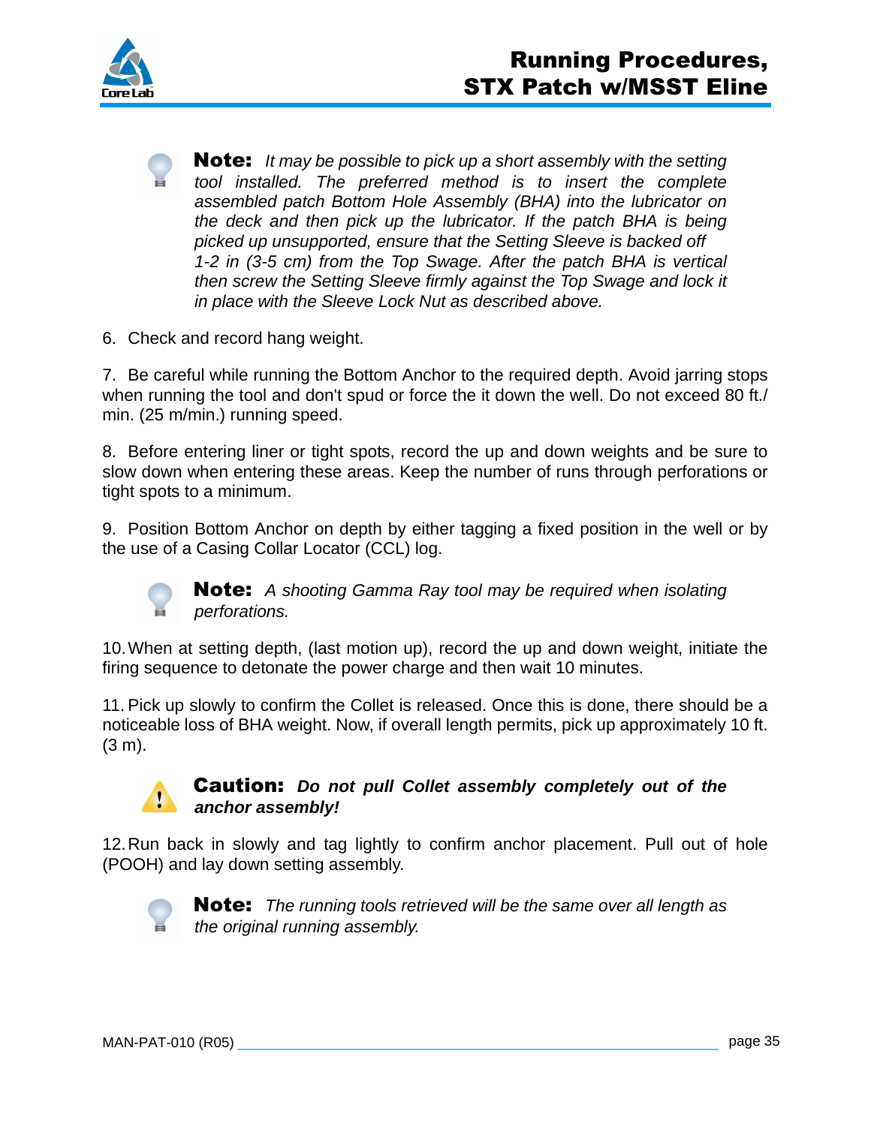

**Note:** It may be possible to pick up a short assembly with the setting tool installed. The preferred method is to insert the complete assembled patch Bottom Hole Assembly (BHA) into the lubricator on the deck and then pick up the lubricator. If the patch BHA is being picked up unsupported, ensure that the Setting Sleeve is backed off 1-2 in (3-5 cm) from the Top Swage. After the patch BHA is vertical then screw the Setting Sleeve firmly against the Top Swage and lock it in place with the Sleeve Lock Nut as described above.

6. Check and record hang weight.

7. Be careful while running the Bottom Anchor to the required depth. Avoid jarring stops when running the tool and don't spud or force the it down the well. Do not exceed 80 ft./ min. (25 m/min.) running speed.

8. Before entering liner or tight spots, record the up and down weights and be sure to slow down when entering these areas. Keep the number of runs through perforations or tight spots to a minimum.

9. Position Bottom Anchor on depth by either tagging a fixed position in the well or by the use of a Casing Collar Locator (CCL) log.



Note: A shooting Gamma Ray tool may be required when isolating perforations.

10.When at setting depth, (last motion up), record the up and down weight, initiate the firing sequence to detonate the power charge and then wait 10 minutes.

11. Pick up slowly to confirm the Collet is released. Once this is done, there should be a noticeable loss of BHA weight. Now, if overall length permits, pick up approximately 10 ft.  $(3 \, \text{m})$ .



### Caution: **Do not pull Collet assembly completely out of the anchor assembly!**

12.Run back in slowly and tag lightly to confirm anchor placement. Pull out of hole (POOH) and lay down setting assembly.



**Note:** The running tools retrieved will be the same over all length as the original running assembly.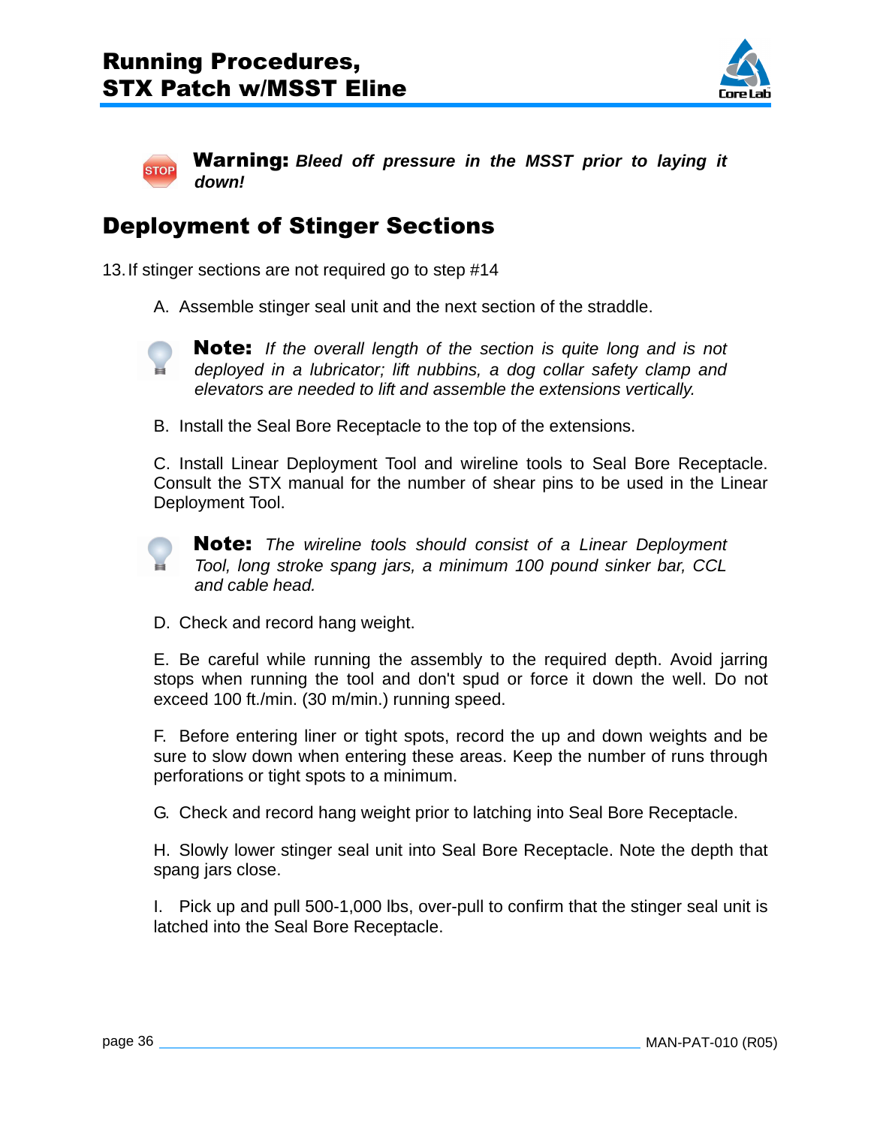



Warning: **Bleed off pressure in the MSST prior to laying it down!**

# Deployment of Stinger Sections

13.If stinger sections are not required go to step #14

A. Assemble stinger seal unit and the next section of the straddle.



**Note:** If the overall length of the section is quite long and is not deployed in a lubricator; lift nubbins, a dog collar safety clamp and elevators are needed to lift and assemble the extensions vertically.

B. Install the Seal Bore Receptacle to the top of the extensions.

C. Install Linear Deployment Tool and wireline tools to Seal Bore Receptacle. Consult the STX manual for the number of shear pins to be used in the Linear Deployment Tool.

**Note:** The wireline tools should consist of a Linear Deployment Tool, long stroke spang jars, a minimum 100 pound sinker bar, CCL and cable head.

D. Check and record hang weight.

E. Be careful while running the assembly to the required depth. Avoid jarring stops when running the tool and don't spud or force it down the well. Do not exceed 100 ft./min. (30 m/min.) running speed.

F. Before entering liner or tight spots, record the up and down weights and be sure to slow down when entering these areas. Keep the number of runs through perforations or tight spots to a minimum.

G. Check and record hang weight prior to latching into Seal Bore Receptacle.

H. Slowly lower stinger seal unit into Seal Bore Receptacle. Note the depth that spang jars close.

I. Pick up and pull 500-1,000 lbs, over-pull to confirm that the stinger seal unit is latched into the Seal Bore Receptacle.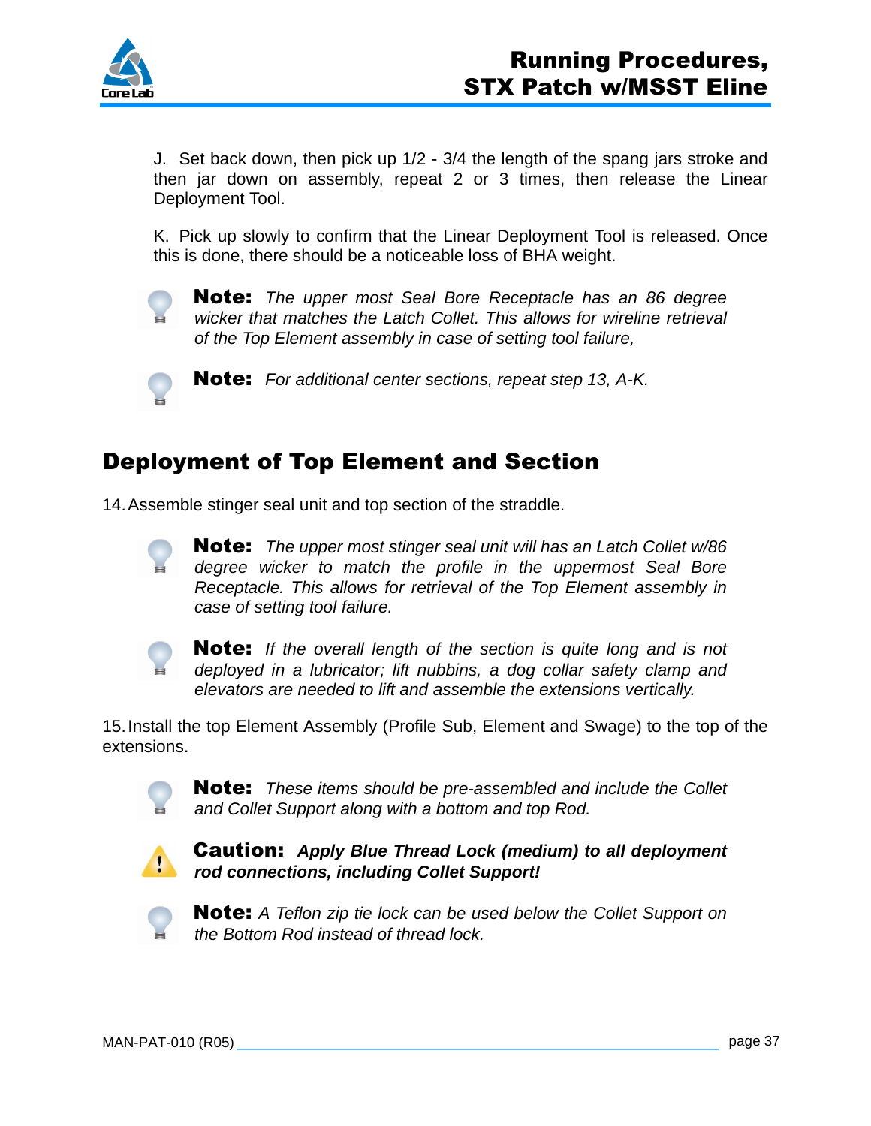

J. Set back down, then pick up 1/2 - 3/4 the length of the spang jars stroke and then jar down on assembly, repeat 2 or 3 times, then release the Linear Deployment Tool.

K. Pick up slowly to confirm that the Linear Deployment Tool is released. Once this is done, there should be a noticeable loss of BHA weight.



**Note:** The upper most Seal Bore Receptacle has an 86 degree wicker that matches the Latch Collet. This allows for wireline retrieval of the Top Element assembly in case of setting tool failure,



Note: For additional center sections, repeat step 13, A-K.

### Deployment of Top Element and Section

14.Assemble stinger seal unit and top section of the straddle.



**Note:** The upper most stinger seal unit will has an Latch Collet w/86 degree wicker to match the profile in the uppermost Seal Bore Receptacle. This allows for retrieval of the Top Element assembly in case of setting tool failure.



**Note:** If the overall length of the section is quite long and is not deployed in a lubricator; lift nubbins, a dog collar safety clamp and elevators are needed to lift and assemble the extensions vertically.

15.Install the top Element Assembly (Profile Sub, Element and Swage) to the top of the extensions.



**Note:** These items should be pre-assembled and include the Collet and Collet Support along with a bottom and top Rod.



Caution: **Apply Blue Thread Lock (medium) to all deployment rod connections, including Collet Support!**



**Note:** A Teflon zip tie lock can be used below the Collet Support on the Bottom Rod instead of thread lock.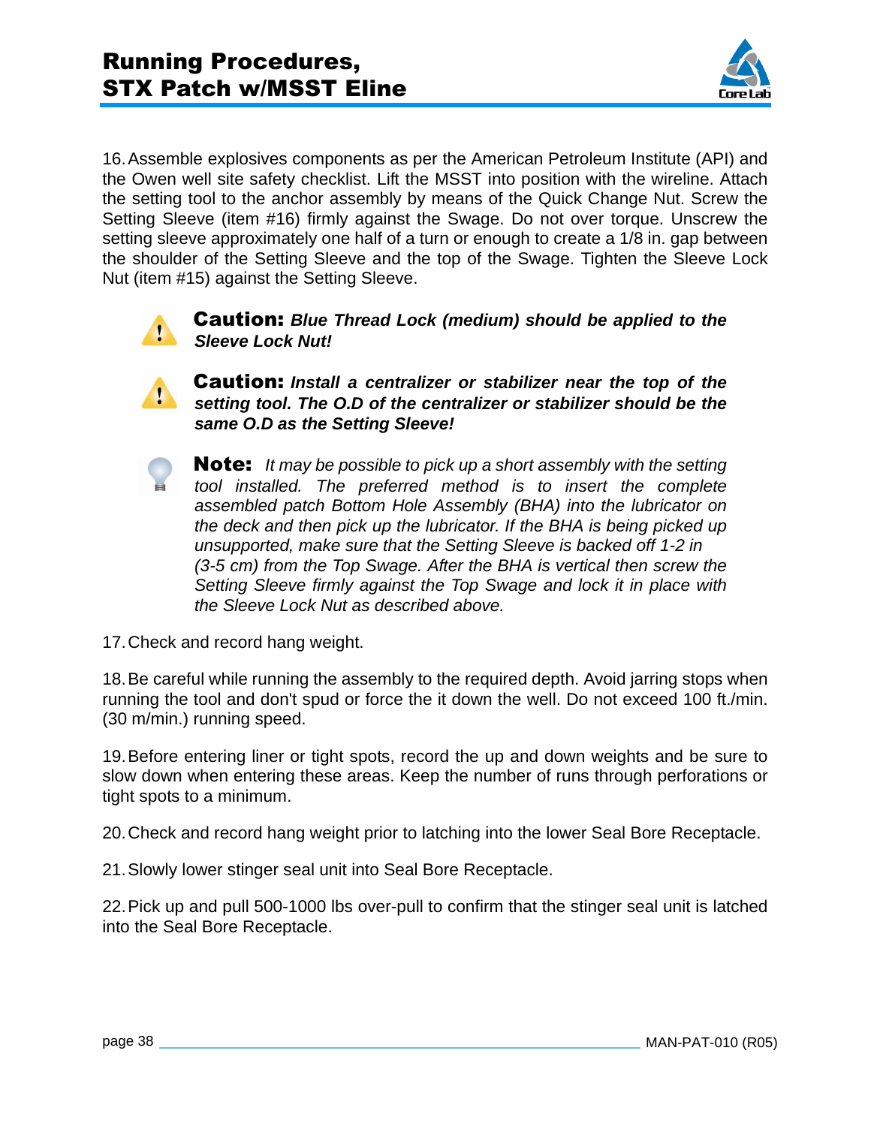

16.Assemble explosives components as per the American Petroleum Institute (API) and the Owen well site safety checklist. Lift the MSST into position with the wireline. Attach the setting tool to the anchor assembly by means of the Quick Change Nut. Screw the Setting Sleeve (item #16) firmly against the Swage. Do not over torque. Unscrew the setting sleeve approximately one half of a turn or enough to create a 1/8 in. gap between the shoulder of the Setting Sleeve and the top of the Swage. Tighten the Sleeve Lock Nut (item #15) against the Setting Sleeve.



#### Caution: **Blue Thread Lock (medium) should be applied to the Sleeve Lock Nut!**



Caution: **Install a centralizer or stabilizer near the top of the setting tool. The O.D of the centralizer or stabilizer should be the same O.D as the Setting Sleeve!**

- **Note:** It may be possible to pick up a short assembly with the setting tool installed. The preferred method is to insert the complete assembled patch Bottom Hole Assembly (BHA) into the lubricator on the deck and then pick up the lubricator. If the BHA is being picked up unsupported, make sure that the Setting Sleeve is backed off 1-2 in (3-5 cm) from the Top Swage. After the BHA is vertical then screw the Setting Sleeve firmly against the Top Swage and lock it in place with the Sleeve Lock Nut as described above.
- 17.Check and record hang weight.

18.Be careful while running the assembly to the required depth. Avoid jarring stops when running the tool and don't spud or force the it down the well. Do not exceed 100 ft./min. (30 m/min.) running speed.

19.Before entering liner or tight spots, record the up and down weights and be sure to slow down when entering these areas. Keep the number of runs through perforations or tight spots to a minimum.

20.Check and record hang weight prior to latching into the lower Seal Bore Receptacle.

21.Slowly lower stinger seal unit into Seal Bore Receptacle.

22.Pick up and pull 500-1000 lbs over-pull to confirm that the stinger seal unit is latched into the Seal Bore Receptacle.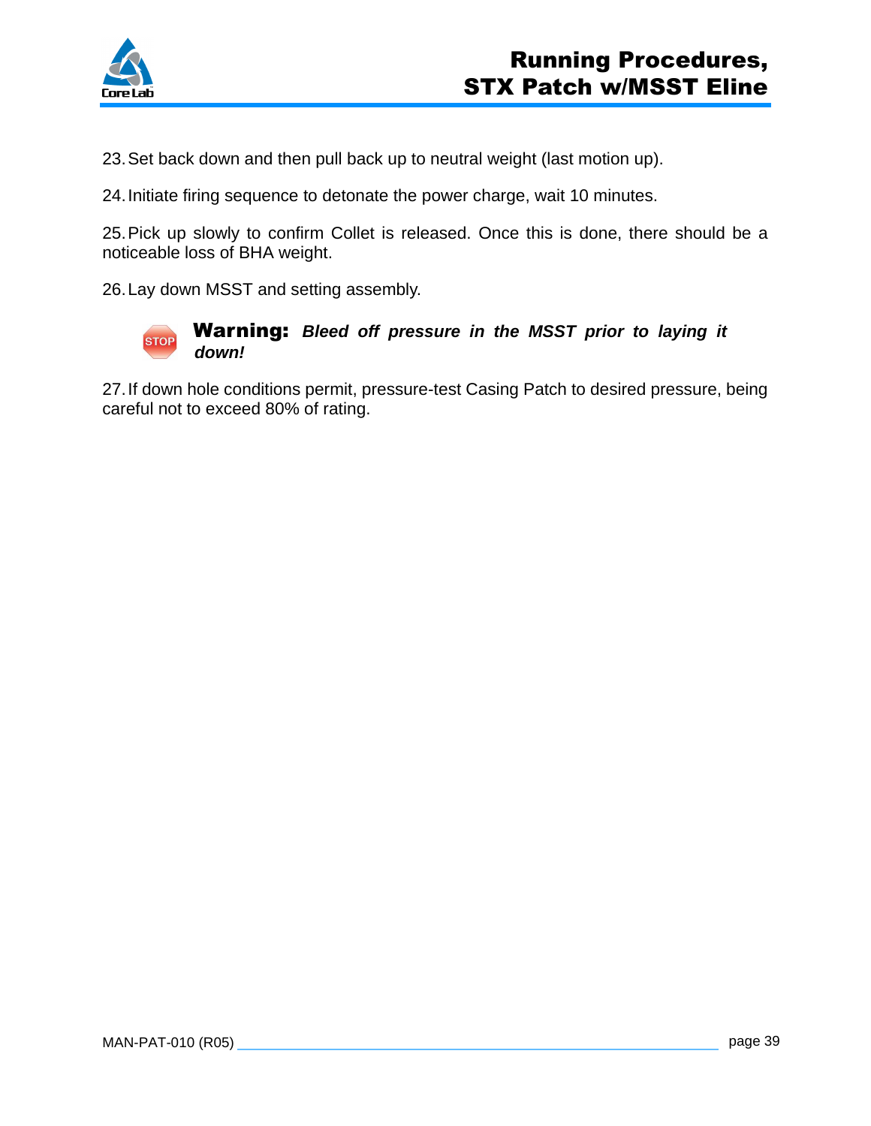

23.Set back down and then pull back up to neutral weight (last motion up).

24.Initiate firing sequence to detonate the power charge, wait 10 minutes.

25.Pick up slowly to confirm Collet is released. Once this is done, there should be a noticeable loss of BHA weight.

26.Lay down MSST and setting assembly.



Warning: **Bleed off pressure in the MSST prior to laying it down!**

27.If down hole conditions permit, pressure-test Casing Patch to desired pressure, being careful not to exceed 80% of rating.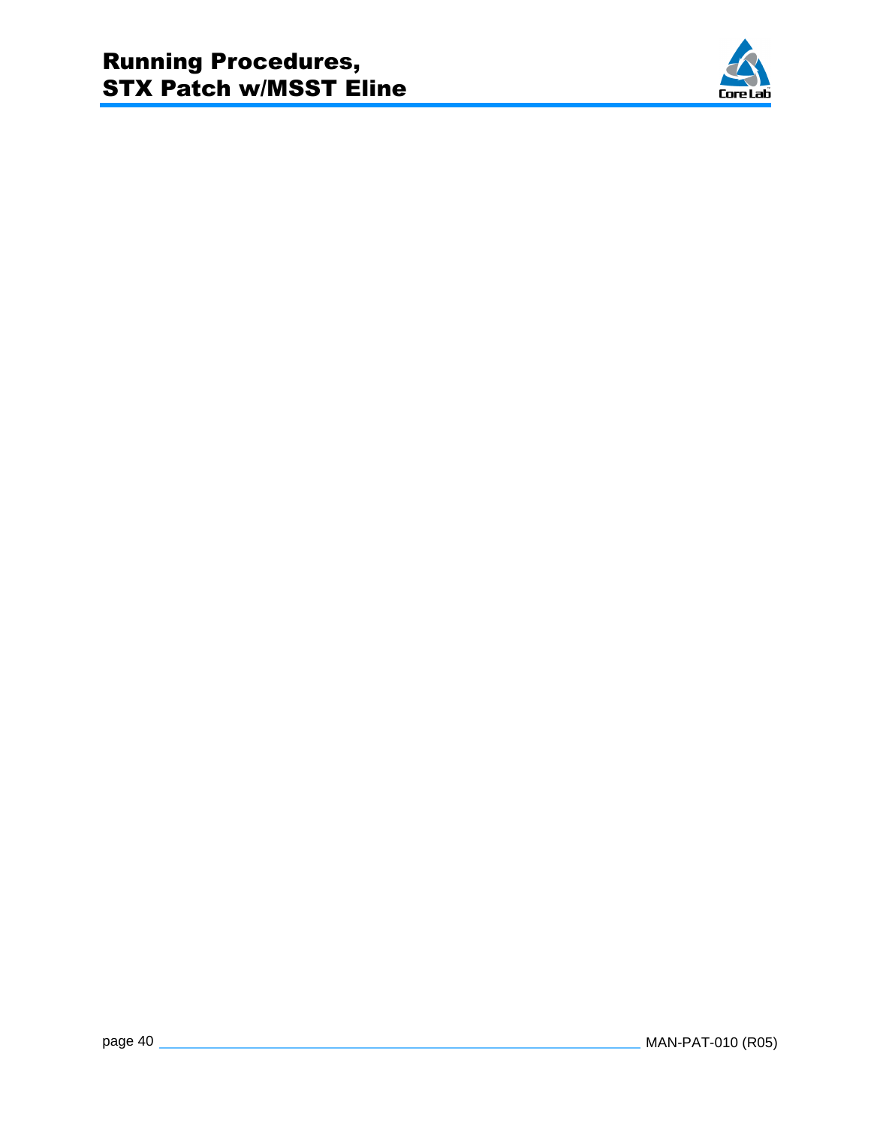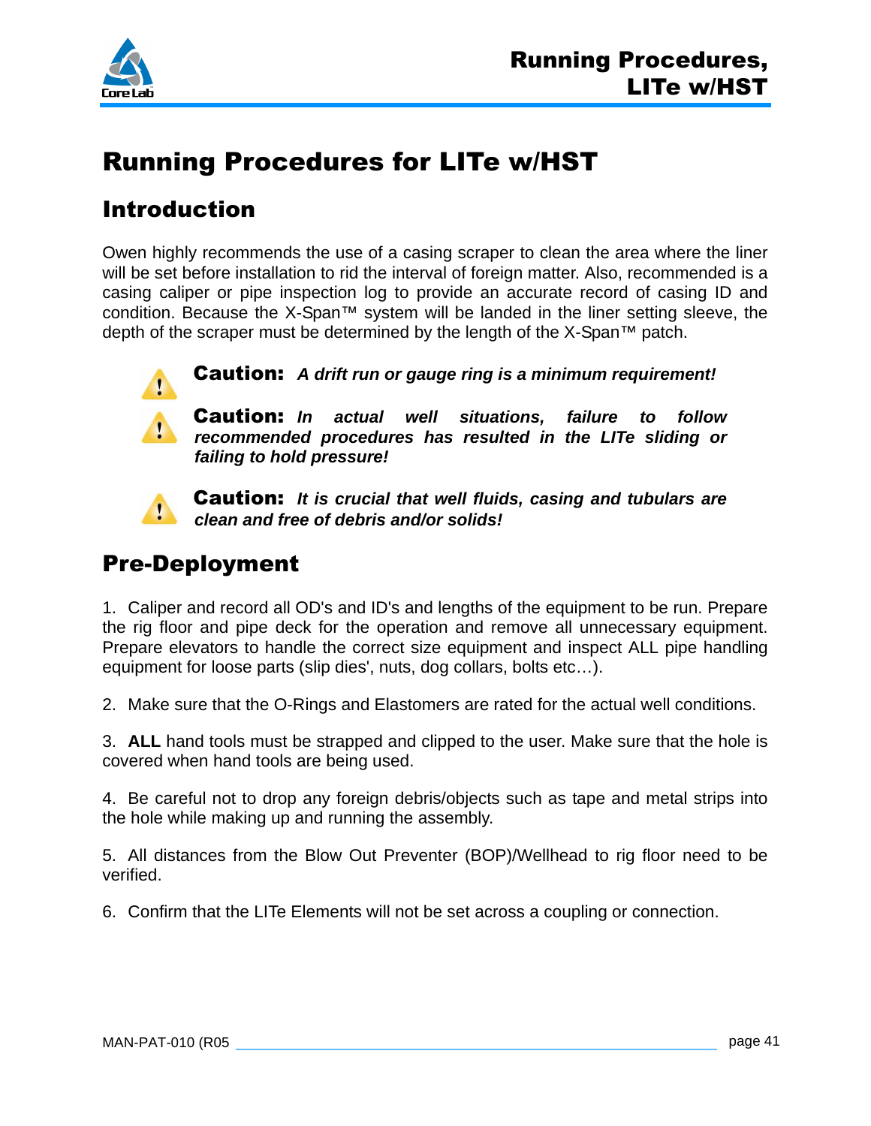

# Running Procedures for LITe w/HST

# Introduction

Owen highly recommends the use of a casing scraper to clean the area where the liner will be set before installation to rid the interval of foreign matter. Also, recommended is a casing caliper or pipe inspection log to provide an accurate record of casing ID and condition. Because the X-Span™ system will be landed in the liner setting sleeve, the depth of the scraper must be determined by the length of the X-Span™ patch.



Caution: **A drift run or gauge ring is a minimum requirement!**

Caution: **In actual well situations, failure to follow recommended procedures has resulted in the LITe sliding or failing to hold pressure!**



Caution: **It is crucial that well fluids, casing and tubulars are clean and free of debris and/or solids!**

# Pre-Deployment

1. Caliper and record all OD's and ID's and lengths of the equipment to be run. Prepare the rig floor and pipe deck for the operation and remove all unnecessary equipment. Prepare elevators to handle the correct size equipment and inspect ALL pipe handling equipment for loose parts (slip dies', nuts, dog collars, bolts etc…).

2. Make sure that the O-Rings and Elastomers are rated for the actual well conditions.

3. **ALL** hand tools must be strapped and clipped to the user. Make sure that the hole is covered when hand tools are being used.

4. Be careful not to drop any foreign debris/objects such as tape and metal strips into the hole while making up and running the assembly.

5. All distances from the Blow Out Preventer (BOP)/Wellhead to rig floor need to be verified.

6. Confirm that the LITe Elements will not be set across a coupling or connection.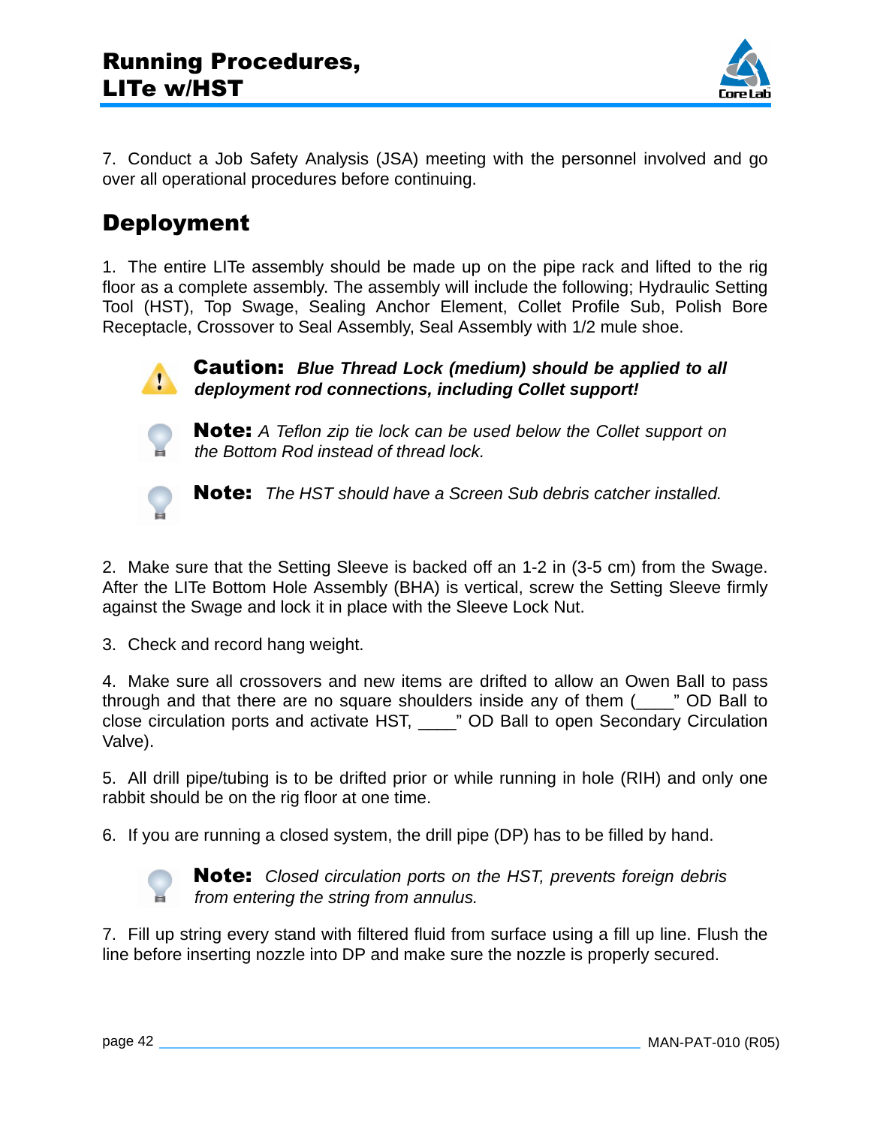

7. Conduct a Job Safety Analysis (JSA) meeting with the personnel involved and go over all operational procedures before continuing.

# Deployment

1. The entire LITe assembly should be made up on the pipe rack and lifted to the rig floor as a complete assembly. The assembly will include the following; Hydraulic Setting Tool (HST), Top Swage, Sealing Anchor Element, Collet Profile Sub, Polish Bore Receptacle, Crossover to Seal Assembly, Seal Assembly with 1/2 mule shoe.



Caution: **Blue Thread Lock (medium) should be applied to all deployment rod connections, including Collet support!**



**Note:** A Teflon zip tie lock can be used below the Collet support on the Bottom Rod instead of thread lock.



**Note:** The HST should have a Screen Sub debris catcher installed.

2. Make sure that the Setting Sleeve is backed off an 1-2 in (3-5 cm) from the Swage. After the LITe Bottom Hole Assembly (BHA) is vertical, screw the Setting Sleeve firmly against the Swage and lock it in place with the Sleeve Lock Nut.

3. Check and record hang weight.

4. Make sure all crossovers and new items are drifted to allow an Owen Ball to pass through and that there are no square shoulders inside any of them (\_\_\_\_" OD Ball to close circulation ports and activate HST, \_\_\_\_" OD Ball to open Secondary Circulation Valve).

5. All drill pipe/tubing is to be drifted prior or while running in hole (RIH) and only one rabbit should be on the rig floor at one time.

6. If you are running a closed system, the drill pipe (DP) has to be filled by hand.



**Note:** Closed circulation ports on the HST, prevents foreign debris from entering the string from annulus.

7. Fill up string every stand with filtered fluid from surface using a fill up line. Flush the line before inserting nozzle into DP and make sure the nozzle is properly secured.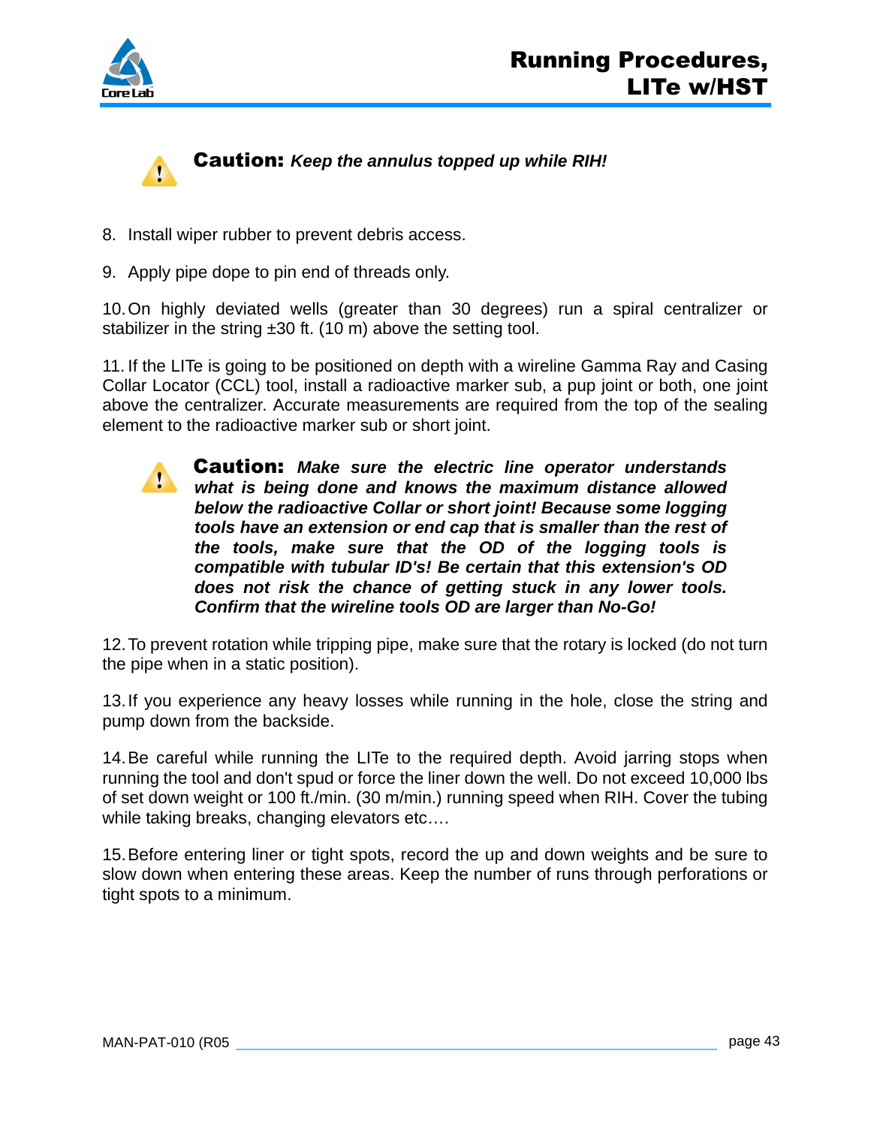



- 8. Install wiper rubber to prevent debris access.
- 9. Apply pipe dope to pin end of threads only.

10.On highly deviated wells (greater than 30 degrees) run a spiral centralizer or stabilizer in the string ±30 ft. (10 m) above the setting tool.

11. If the LITe is going to be positioned on depth with a wireline Gamma Ray and Casing Collar Locator (CCL) tool, install a radioactive marker sub, a pup joint or both, one joint above the centralizer. Accurate measurements are required from the top of the sealing element to the radioactive marker sub or short joint.

Caution: **Make sure the electric line operator understands** ! **what is being done and knows the maximum distance allowed below the radioactive Collar or short joint! Because some logging tools have an extension or end cap that is smaller than the rest of the tools, make sure that the OD of the logging tools is compatible with tubular ID's! Be certain that this extension's OD does not risk the chance of getting stuck in any lower tools. Confirm that the wireline tools OD are larger than No-Go!**

12.To prevent rotation while tripping pipe, make sure that the rotary is locked (do not turn the pipe when in a static position).

13.If you experience any heavy losses while running in the hole, close the string and pump down from the backside.

14.Be careful while running the LITe to the required depth. Avoid jarring stops when running the tool and don't spud or force the liner down the well. Do not exceed 10,000 lbs of set down weight or 100 ft./min. (30 m/min.) running speed when RIH. Cover the tubing while taking breaks, changing elevators etc….

15.Before entering liner or tight spots, record the up and down weights and be sure to slow down when entering these areas. Keep the number of runs through perforations or tight spots to a minimum.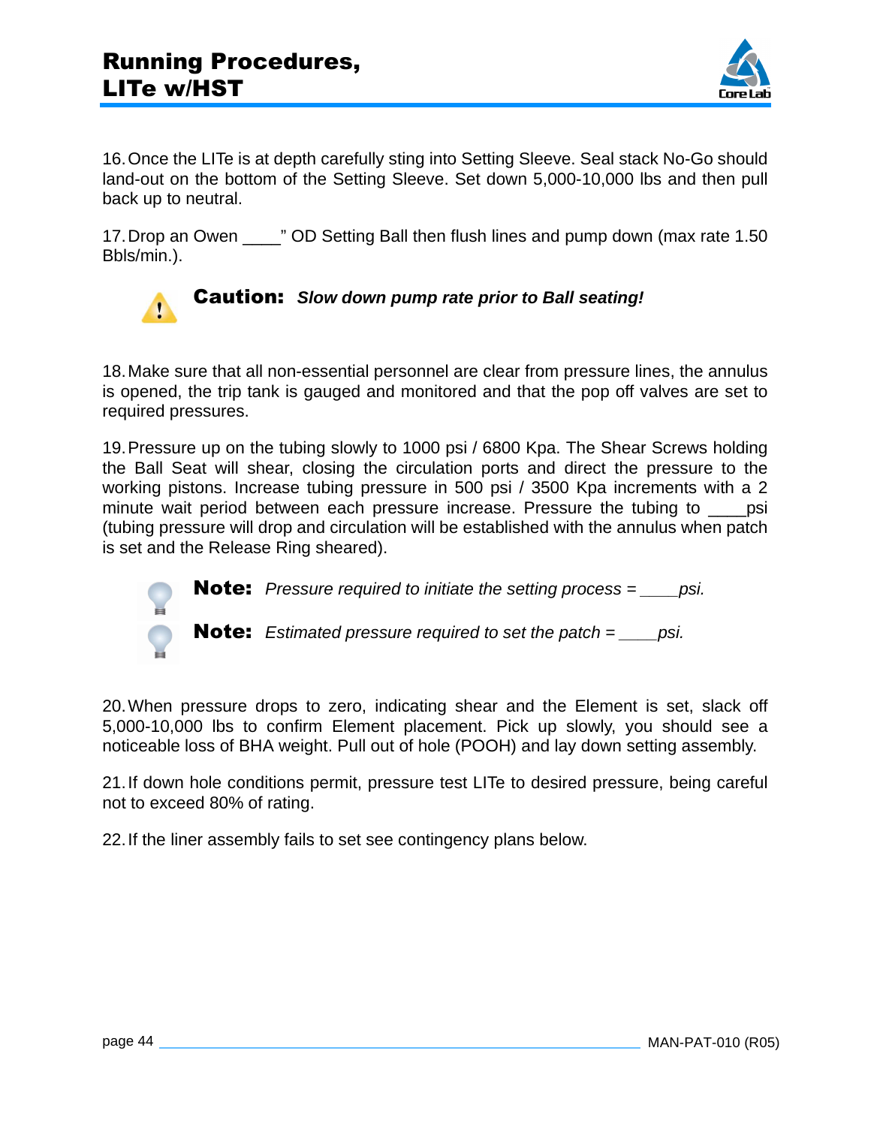

16.Once the LITe is at depth carefully sting into Setting Sleeve. Seal stack No-Go should land-out on the bottom of the Setting Sleeve. Set down 5,000-10,000 lbs and then pull back up to neutral.

17.Drop an Owen \_\_\_\_" OD Setting Ball then flush lines and pump down (max rate 1.50 Bbls/min.).



18.Make sure that all non-essential personnel are clear from pressure lines, the annulus is opened, the trip tank is gauged and monitored and that the pop off valves are set to required pressures.

19.Pressure up on the tubing slowly to 1000 psi / 6800 Kpa. The Shear Screws holding the Ball Seat will shear, closing the circulation ports and direct the pressure to the working pistons. Increase tubing pressure in 500 psi / 3500 Kpa increments with a 2 minute wait period between each pressure increase. Pressure the tubing to psi (tubing pressure will drop and circulation will be established with the annulus when patch is set and the Release Ring sheared).



20.When pressure drops to zero, indicating shear and the Element is set, slack off 5,000-10,000 lbs to confirm Element placement. Pick up slowly, you should see a noticeable loss of BHA weight. Pull out of hole (POOH) and lay down setting assembly.

21.If down hole conditions permit, pressure test LITe to desired pressure, being careful not to exceed 80% of rating.

22.If the liner assembly fails to set see contingency plans below.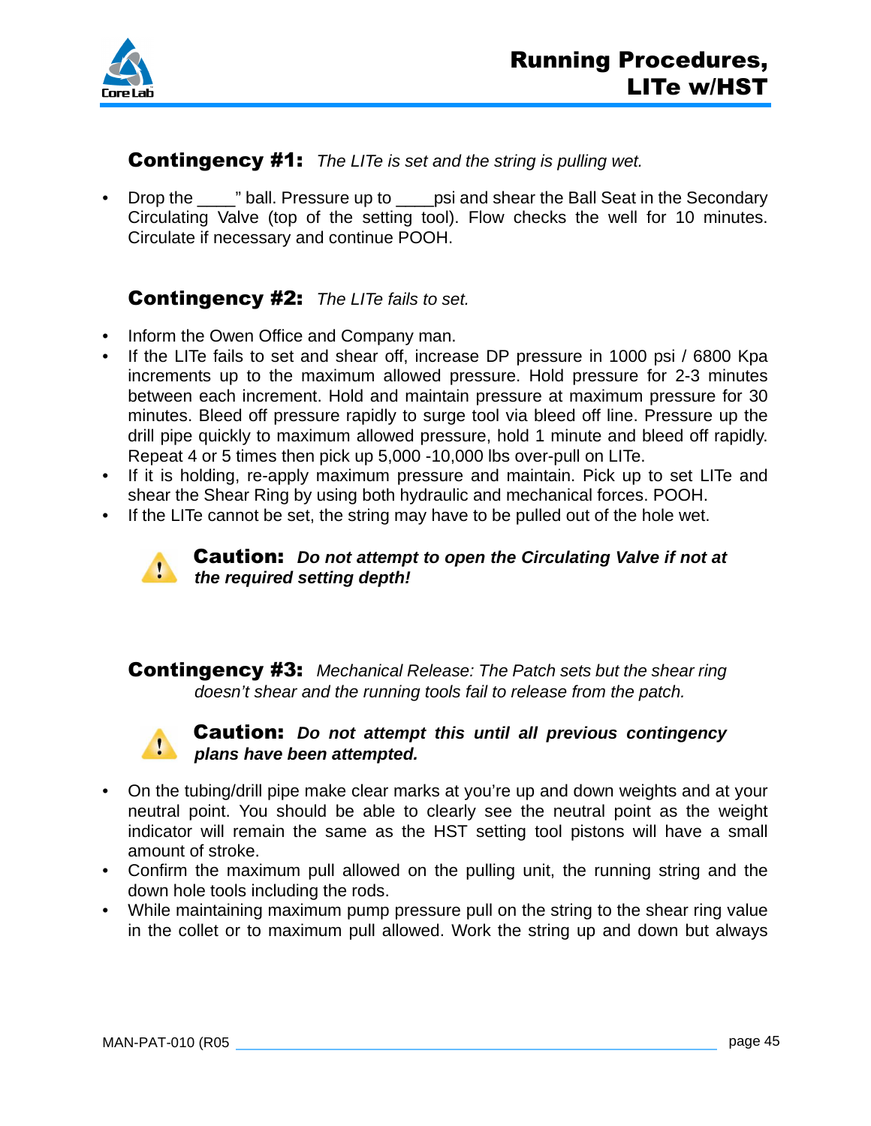

### **Contingency #1:** The LITe is set and the string is pulling wet.

• Drop the "ball. Pressure up to psi and shear the Ball Seat in the Secondary Circulating Valve (top of the setting tool). Flow checks the well for 10 minutes. Circulate if necessary and continue POOH.

### **Contingency #2:** The LITe fails to set.

- Inform the Owen Office and Company man.
- If the LITe fails to set and shear off, increase DP pressure in 1000 psi / 6800 Kpa increments up to the maximum allowed pressure. Hold pressure for 2-3 minutes between each increment. Hold and maintain pressure at maximum pressure for 30 minutes. Bleed off pressure rapidly to surge tool via bleed off line. Pressure up the drill pipe quickly to maximum allowed pressure, hold 1 minute and bleed off rapidly. Repeat 4 or 5 times then pick up 5,000 -10,000 lbs over-pull on LITe.
- If it is holding, re-apply maximum pressure and maintain. Pick up to set LITe and shear the Shear Ring by using both hydraulic and mechanical forces. POOH.
- If the LITe cannot be set, the string may have to be pulled out of the hole wet.



#### Caution: **Do not attempt to open the Circulating Valve if not at the required setting depth!**

**Contingency #3:** Mechanical Release: The Patch sets but the shear ring doesn't shear and the running tools fail to release from the patch.



### Caution: **Do not attempt this until all previous contingency plans have been attempted.**

- On the tubing/drill pipe make clear marks at you're up and down weights and at your neutral point. You should be able to clearly see the neutral point as the weight indicator will remain the same as the HST setting tool pistons will have a small amount of stroke.
- Confirm the maximum pull allowed on the pulling unit, the running string and the down hole tools including the rods.
- While maintaining maximum pump pressure pull on the string to the shear ring value in the collet or to maximum pull allowed. Work the string up and down but always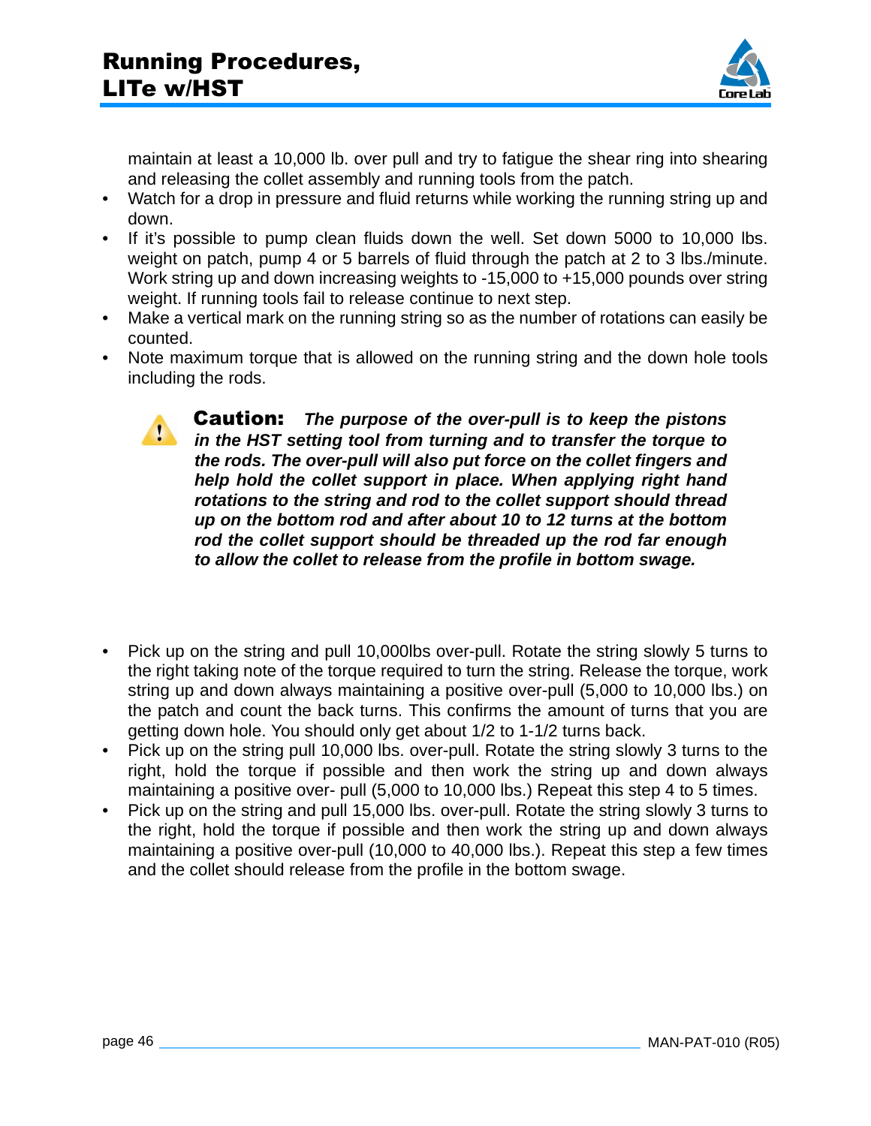$\mathbf{L}$ 



maintain at least a 10,000 lb. over pull and try to fatigue the shear ring into shearing and releasing the collet assembly and running tools from the patch.

- Watch for a drop in pressure and fluid returns while working the running string up and down.
- If it's possible to pump clean fluids down the well. Set down 5000 to 10,000 lbs. weight on patch, pump 4 or 5 barrels of fluid through the patch at 2 to 3 lbs./minute. Work string up and down increasing weights to -15,000 to +15,000 pounds over string weight. If running tools fail to release continue to next step.
- Make a vertical mark on the running string so as the number of rotations can easily be counted.
- Note maximum torque that is allowed on the running string and the down hole tools including the rods.

Caution: **The purpose of the over-pull is to keep the pistons in the HST setting tool from turning and to transfer the torque to the rods. The over-pull will also put force on the collet fingers and help hold the collet support in place. When applying right hand rotations to the string and rod to the collet support should thread up on the bottom rod and after about 10 to 12 turns at the bottom rod the collet support should be threaded up the rod far enough to allow the collet to release from the profile in bottom swage.**

- Pick up on the string and pull 10,000lbs over-pull. Rotate the string slowly 5 turns to the right taking note of the torque required to turn the string. Release the torque, work string up and down always maintaining a positive over-pull (5,000 to 10,000 lbs.) on the patch and count the back turns. This confirms the amount of turns that you are getting down hole. You should only get about 1/2 to 1-1/2 turns back.
- Pick up on the string pull 10,000 lbs. over-pull. Rotate the string slowly 3 turns to the right, hold the torque if possible and then work the string up and down always maintaining a positive over- pull (5,000 to 10,000 lbs.) Repeat this step 4 to 5 times.
- Pick up on the string and pull 15,000 lbs. over-pull. Rotate the string slowly 3 turns to the right, hold the torque if possible and then work the string up and down always maintaining a positive over-pull (10,000 to 40,000 lbs.). Repeat this step a few times and the collet should release from the profile in the bottom swage.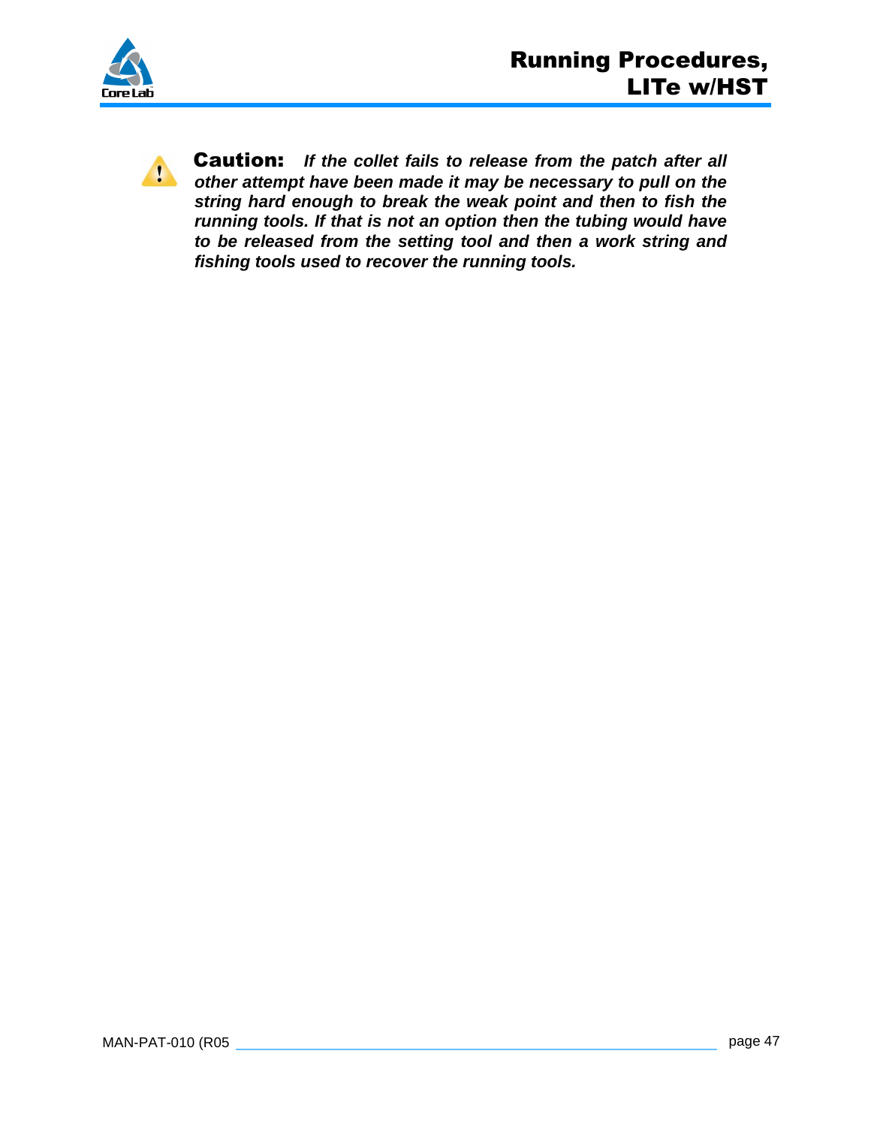



Caution: **If the collet fails to release from the patch after all oution our constructs our constructs other attempt have been made it may be necessary to pull on the string hard enough to break the weak point and then to fish the running tools. If that is not an option then the tubing would have to be released from the setting tool and then a work string and fishing tools used to recover the running tools.**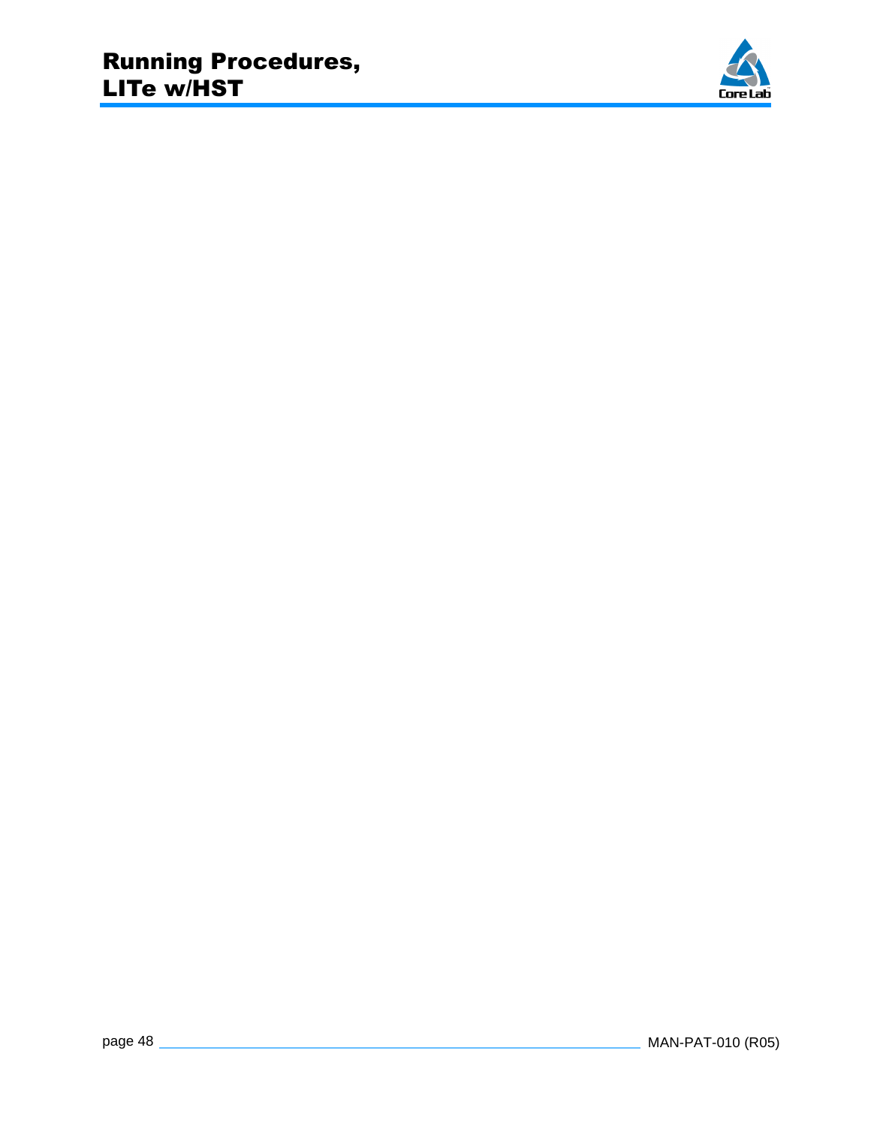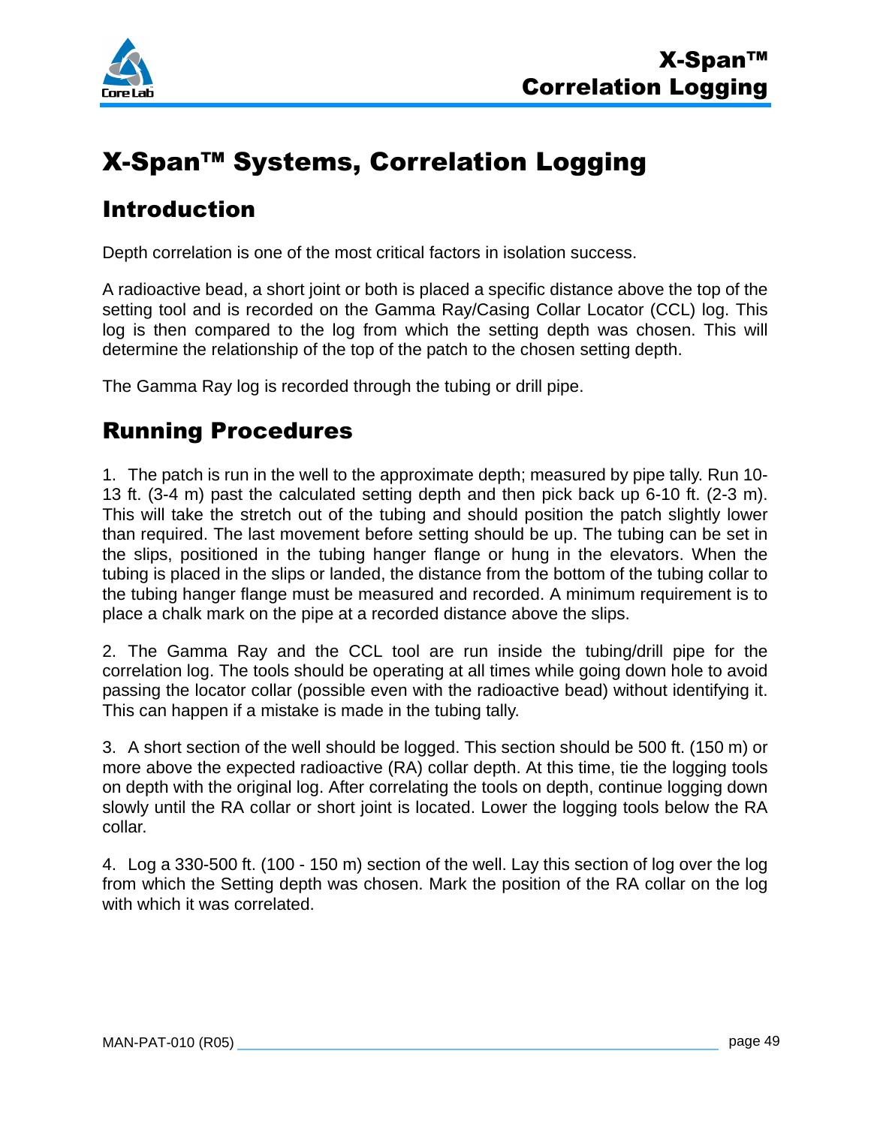

# X-Span™ Systems, Correlation Logging

# Introduction

Depth correlation is one of the most critical factors in isolation success.

A radioactive bead, a short joint or both is placed a specific distance above the top of the setting tool and is recorded on the Gamma Ray/Casing Collar Locator (CCL) log. This log is then compared to the log from which the setting depth was chosen. This will determine the relationship of the top of the patch to the chosen setting depth.

The Gamma Ray log is recorded through the tubing or drill pipe.

### Running Procedures

1. The patch is run in the well to the approximate depth; measured by pipe tally. Run 10- 13 ft. (3-4 m) past the calculated setting depth and then pick back up 6-10 ft. (2-3 m). This will take the stretch out of the tubing and should position the patch slightly lower than required. The last movement before setting should be up. The tubing can be set in the slips, positioned in the tubing hanger flange or hung in the elevators. When the tubing is placed in the slips or landed, the distance from the bottom of the tubing collar to the tubing hanger flange must be measured and recorded. A minimum requirement is to place a chalk mark on the pipe at a recorded distance above the slips.

2. The Gamma Ray and the CCL tool are run inside the tubing/drill pipe for the correlation log. The tools should be operating at all times while going down hole to avoid passing the locator collar (possible even with the radioactive bead) without identifying it. This can happen if a mistake is made in the tubing tally.

3. A short section of the well should be logged. This section should be 500 ft. (150 m) or more above the expected radioactive (RA) collar depth. At this time, tie the logging tools on depth with the original log. After correlating the tools on depth, continue logging down slowly until the RA collar or short joint is located. Lower the logging tools below the RA collar.

4. Log a 330-500 ft. (100 - 150 m) section of the well. Lay this section of log over the log from which the Setting depth was chosen. Mark the position of the RA collar on the log with which it was correlated.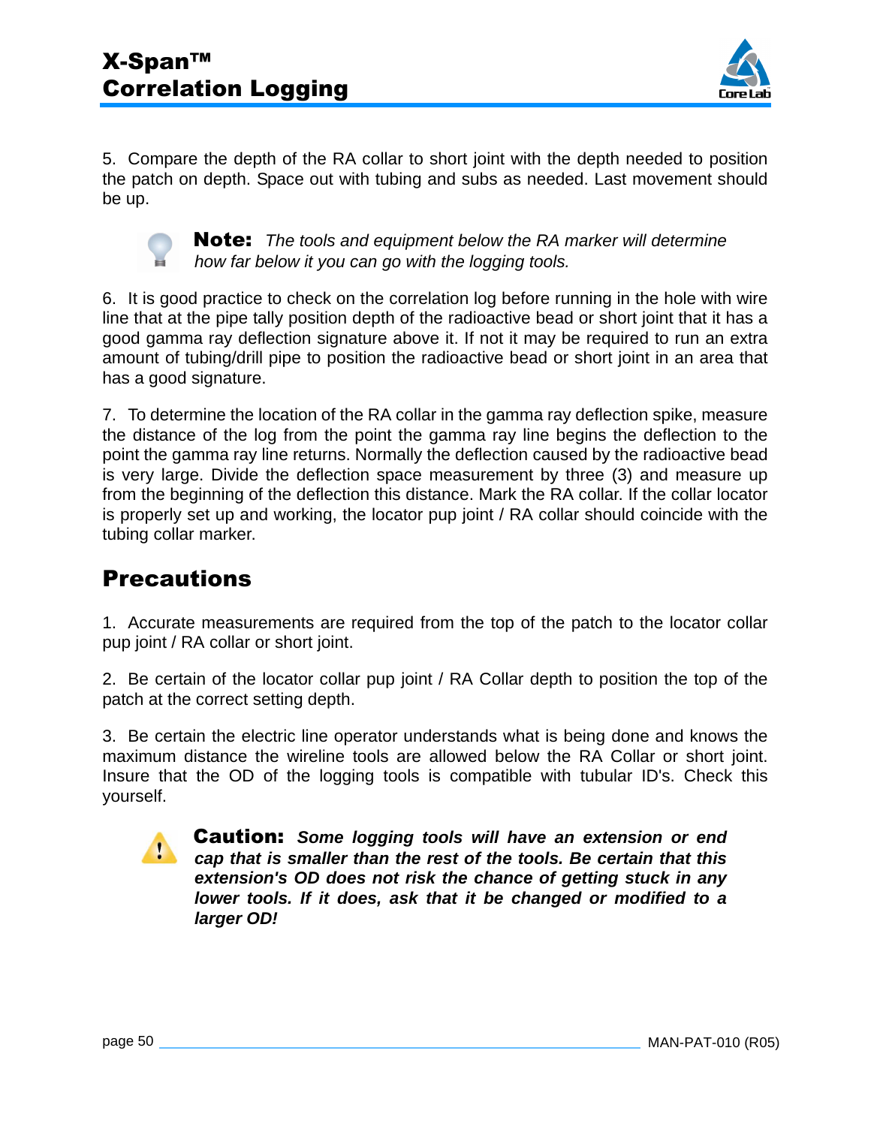

5. Compare the depth of the RA collar to short joint with the depth needed to position the patch on depth. Space out with tubing and subs as needed. Last movement should be up.



**Note:** The tools and equipment below the RA marker will determine how far below it you can go with the logging tools.

6. It is good practice to check on the correlation log before running in the hole with wire line that at the pipe tally position depth of the radioactive bead or short joint that it has a good gamma ray deflection signature above it. If not it may be required to run an extra amount of tubing/drill pipe to position the radioactive bead or short joint in an area that has a good signature.

7. To determine the location of the RA collar in the gamma ray deflection spike, measure the distance of the log from the point the gamma ray line begins the deflection to the point the gamma ray line returns. Normally the deflection caused by the radioactive bead is very large. Divide the deflection space measurement by three (3) and measure up from the beginning of the deflection this distance. Mark the RA collar. If the collar locator is properly set up and working, the locator pup joint / RA collar should coincide with the tubing collar marker.

### **Precautions**

1. Accurate measurements are required from the top of the patch to the locator collar pup joint / RA collar or short joint.

2. Be certain of the locator collar pup joint / RA Collar depth to position the top of the patch at the correct setting depth.

3. Be certain the electric line operator understands what is being done and knows the maximum distance the wireline tools are allowed below the RA Collar or short joint. Insure that the OD of the logging tools is compatible with tubular ID's. Check this yourself.



Caution: **Some logging tools will have an extension or end cap that is smaller than the rest of the tools. Be certain that this extension's OD does not risk the chance of getting stuck in any lower tools. If it does, ask that it be changed or modified to a larger OD!**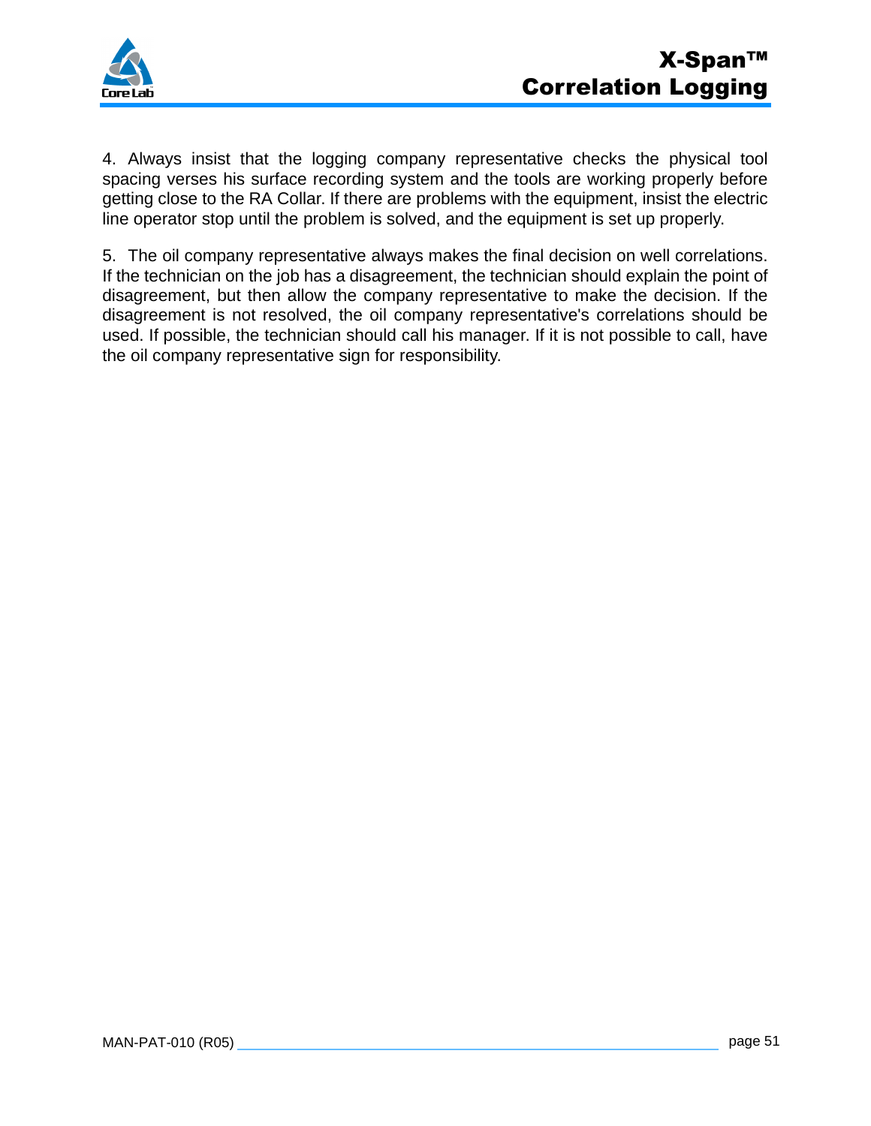

4. Always insist that the logging company representative checks the physical tool spacing verses his surface recording system and the tools are working properly before getting close to the RA Collar. If there are problems with the equipment, insist the electric line operator stop until the problem is solved, and the equipment is set up properly.

5. The oil company representative always makes the final decision on well correlations. If the technician on the job has a disagreement, the technician should explain the point of disagreement, but then allow the company representative to make the decision. If the disagreement is not resolved, the oil company representative's correlations should be used. If possible, the technician should call his manager. If it is not possible to call, have the oil company representative sign for responsibility.